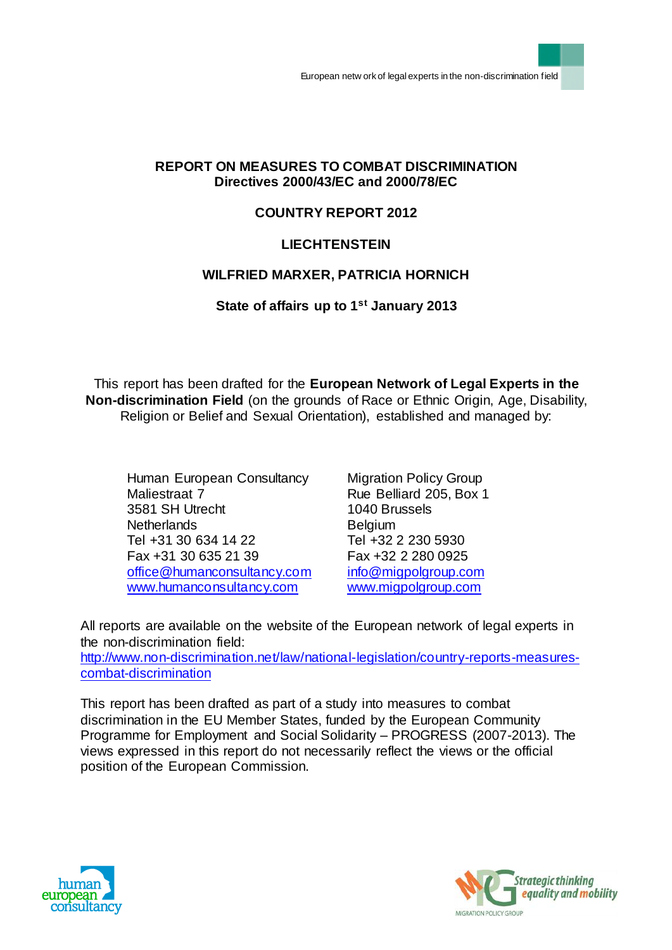### **REPORT ON MEASURES TO COMBAT DISCRIMINATION Directives 2000/43/EC and 2000/78/EC**

## **COUNTRY REPORT 2012**

## **LIECHTENSTEIN**

## **WILFRIED MARXER, PATRICIA HORNICH**

### **State of affairs up to 1st January 2013**

This report has been drafted for the **European Network of Legal Experts in the Non-discrimination Field** (on the grounds of Race or Ethnic Origin, Age, Disability, Religion or Belief and Sexual Orientation), established and managed by:

Human European Consultancy Maliestraat 7 3581 SH Utrecht **Netherlands** Tel +31 30 634 14 22 Fax +31 30 635 21 39 [office@humanconsultancy.com](mailto:office@humanconsultancy.com) [www.humanconsultancy.com](http://www.humanconsultancy.com/)

Migration Policy Group Rue Belliard 205, Box 1 1040 Brussels Belgium Tel +32 2 230 5930 Fax +32 2 280 0925 [info@migpolgroup.com](mailto:info@migpolgroup.com) [www.migpolgroup.com](http://www.migpolgroup.com/)

All reports are available on the website of the European network of legal experts in the non-discrimination field:

[http://www.non-discrimination.net/law/national-legislation/country-reports-measures](http://www.non-discrimination.net/law/national-legislation/country-reports-measures-combat-discrimination)[combat-discrimination](http://www.non-discrimination.net/law/national-legislation/country-reports-measures-combat-discrimination)

This report has been drafted as part of a study into measures to combat discrimination in the EU Member States, funded by the European Community Programme for Employment and Social Solidarity – PROGRESS (2007-2013). The views expressed in this report do not necessarily reflect the views or the official position of the European Commission.



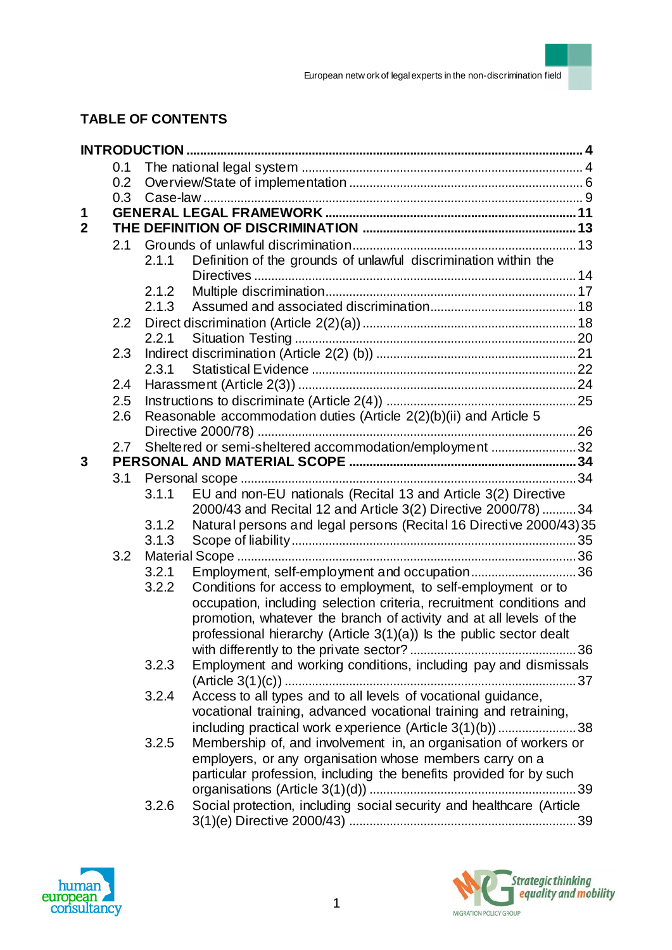# **TABLE OF CONTENTS**

|                | 0.1 |                                                                    |                                                                        |    |  |  |  |
|----------------|-----|--------------------------------------------------------------------|------------------------------------------------------------------------|----|--|--|--|
|                | 0.2 |                                                                    |                                                                        |    |  |  |  |
|                | 0.3 |                                                                    |                                                                        |    |  |  |  |
| 1              |     |                                                                    |                                                                        |    |  |  |  |
| $\overline{2}$ |     |                                                                    |                                                                        |    |  |  |  |
|                | 2.1 |                                                                    |                                                                        |    |  |  |  |
|                |     | 2.1.1                                                              | Definition of the grounds of unlawful discrimination within the        |    |  |  |  |
|                |     |                                                                    |                                                                        |    |  |  |  |
|                |     | 2.1.2                                                              |                                                                        |    |  |  |  |
|                |     | 2.1.3                                                              |                                                                        |    |  |  |  |
|                | 2.2 |                                                                    |                                                                        |    |  |  |  |
|                |     | 2.2.1                                                              |                                                                        |    |  |  |  |
|                | 2.3 |                                                                    |                                                                        |    |  |  |  |
|                |     | 2.3.1                                                              |                                                                        |    |  |  |  |
|                | 2.4 |                                                                    |                                                                        |    |  |  |  |
|                | 2.5 |                                                                    |                                                                        |    |  |  |  |
|                | 2.6 | Reasonable accommodation duties (Article 2(2)(b)(ii) and Article 5 |                                                                        |    |  |  |  |
|                |     |                                                                    |                                                                        |    |  |  |  |
| 3              | 2.7 |                                                                    | Sheltered or semi-sheltered accommodation/employment 32                |    |  |  |  |
|                |     |                                                                    |                                                                        |    |  |  |  |
|                | 3.1 | 3.1.1                                                              | EU and non-EU nationals (Recital 13 and Article 3(2) Directive         |    |  |  |  |
|                |     |                                                                    | 2000/43 and Recital 12 and Article 3(2) Directive 2000/78)  34         |    |  |  |  |
|                |     | 3.1.2                                                              | Natural persons and legal persons (Recital 16 Directive 2000/43) 35    |    |  |  |  |
|                |     | 3.1.3                                                              |                                                                        |    |  |  |  |
|                | 3.2 |                                                                    |                                                                        |    |  |  |  |
|                |     | 3.2.1                                                              | Employment, self-employment and occupation36                           |    |  |  |  |
|                |     | 3.2.2                                                              | Conditions for access to employment, to self-employment or to          |    |  |  |  |
|                |     |                                                                    | occupation, including selection criteria, recruitment conditions and   |    |  |  |  |
|                |     |                                                                    | promotion, whatever the branch of activity and at all levels of the    |    |  |  |  |
|                |     |                                                                    | professional hierarchy (Article $3(1)(a)$ ) is the public sector dealt |    |  |  |  |
|                |     |                                                                    |                                                                        |    |  |  |  |
|                |     | 3.2.3                                                              | Employment and working conditions, including pay and dismissals        |    |  |  |  |
|                |     |                                                                    | $(A$ rticle 3(1)(c))                                                   |    |  |  |  |
|                |     | 3.2.4                                                              | Access to all types and to all levels of vocational guidance,          |    |  |  |  |
|                |     |                                                                    | vocational training, advanced vocational training and retraining,      |    |  |  |  |
|                |     |                                                                    | including practical work experience (Article 3(1)(b))38                |    |  |  |  |
|                |     | 3.2.5                                                              | Membership of, and involvement in, an organisation of workers or       |    |  |  |  |
|                |     |                                                                    | employers, or any organisation whose members carry on a                |    |  |  |  |
|                |     |                                                                    | particular profession, including the benefits provided for by such     |    |  |  |  |
|                |     |                                                                    |                                                                        | 39 |  |  |  |
|                |     | 3.2.6                                                              | Social protection, including social security and healthcare (Article   |    |  |  |  |
|                |     |                                                                    |                                                                        |    |  |  |  |



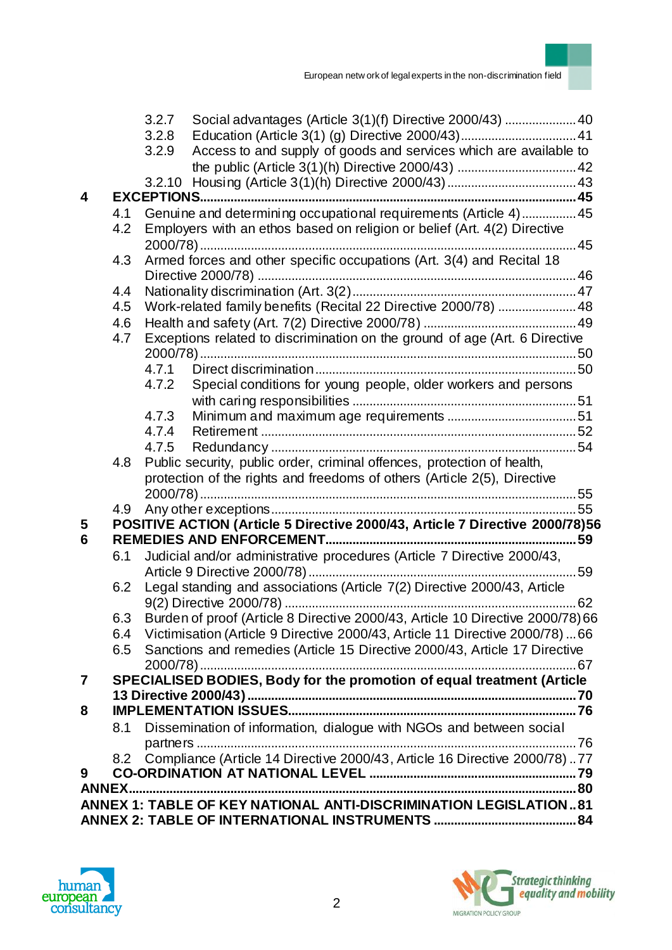

|   |                                                                              | 3.2.7<br>Social advantages (Article 3(1)(f) Directive 2000/43)  40<br>3.2.8<br>Access to and supply of goods and services which are available to<br>3.2.9 |  |  |  |  |
|---|------------------------------------------------------------------------------|-----------------------------------------------------------------------------------------------------------------------------------------------------------|--|--|--|--|
|   |                                                                              |                                                                                                                                                           |  |  |  |  |
|   |                                                                              |                                                                                                                                                           |  |  |  |  |
| 4 |                                                                              |                                                                                                                                                           |  |  |  |  |
|   | 4.1<br>4.2                                                                   | Genuine and determining occupational requirements (Article 4)  45<br>Employers with an ethos based on religion or belief (Art. 4(2) Directive             |  |  |  |  |
|   | 4.3                                                                          | Armed forces and other specific occupations (Art. 3(4) and Recital 18                                                                                     |  |  |  |  |
|   | 4.4                                                                          |                                                                                                                                                           |  |  |  |  |
|   | 4.5                                                                          | Work-related family benefits (Recital 22 Directive 2000/78)  48                                                                                           |  |  |  |  |
|   | 4.6                                                                          |                                                                                                                                                           |  |  |  |  |
|   | 4.7                                                                          | Exceptions related to discrimination on the ground of age (Art. 6 Directive                                                                               |  |  |  |  |
|   |                                                                              | 4.7.1                                                                                                                                                     |  |  |  |  |
|   |                                                                              | Special conditions for young people, older workers and persons<br>4.7.2                                                                                   |  |  |  |  |
|   |                                                                              |                                                                                                                                                           |  |  |  |  |
|   |                                                                              | 4.7.3                                                                                                                                                     |  |  |  |  |
|   |                                                                              | 4.7.4                                                                                                                                                     |  |  |  |  |
|   |                                                                              | 4.7.5                                                                                                                                                     |  |  |  |  |
|   | 4.8                                                                          | Public security, public order, criminal offences, protection of health,                                                                                   |  |  |  |  |
|   |                                                                              | protection of the rights and freedoms of others (Article 2(5), Directive                                                                                  |  |  |  |  |
|   | 4.9                                                                          |                                                                                                                                                           |  |  |  |  |
| 5 | POSITIVE ACTION (Article 5 Directive 2000/43, Article 7 Directive 2000/78)56 |                                                                                                                                                           |  |  |  |  |
| 6 |                                                                              |                                                                                                                                                           |  |  |  |  |
|   | 6.1                                                                          | Judicial and/or administrative procedures (Article 7 Directive 2000/43,                                                                                   |  |  |  |  |
|   |                                                                              |                                                                                                                                                           |  |  |  |  |
|   | 6.2                                                                          | Legal standing and associations (Article 7(2) Directive 2000/43, Article                                                                                  |  |  |  |  |
|   |                                                                              |                                                                                                                                                           |  |  |  |  |
|   | 6.3                                                                          | Burden of proof (Article 8 Directive 2000/43, Article 10 Directive 2000/78) 66                                                                            |  |  |  |  |
|   | 6.4                                                                          | Victimisation (Article 9 Directive 2000/43, Article 11 Directive 2000/78)  66                                                                             |  |  |  |  |
|   | 6.5                                                                          | Sanctions and remedies (Article 15 Directive 2000/43, Article 17 Directive                                                                                |  |  |  |  |
|   |                                                                              |                                                                                                                                                           |  |  |  |  |
| 7 |                                                                              | SPECIALISED BODIES, Body for the promotion of equal treatment (Article                                                                                    |  |  |  |  |
| 8 |                                                                              |                                                                                                                                                           |  |  |  |  |
|   |                                                                              |                                                                                                                                                           |  |  |  |  |
|   | 8.1                                                                          | Dissemination of information, dialogue with NGOs and between social                                                                                       |  |  |  |  |
|   | 8.2                                                                          | Compliance (Article 14 Directive 2000/43, Article 16 Directive 2000/78)77                                                                                 |  |  |  |  |
| 9 |                                                                              |                                                                                                                                                           |  |  |  |  |
|   |                                                                              |                                                                                                                                                           |  |  |  |  |
|   |                                                                              | ANNEX 1: TABLE OF KEY NATIONAL ANTI-DISCRIMINATION LEGISLATION81                                                                                          |  |  |  |  |
|   |                                                                              |                                                                                                                                                           |  |  |  |  |



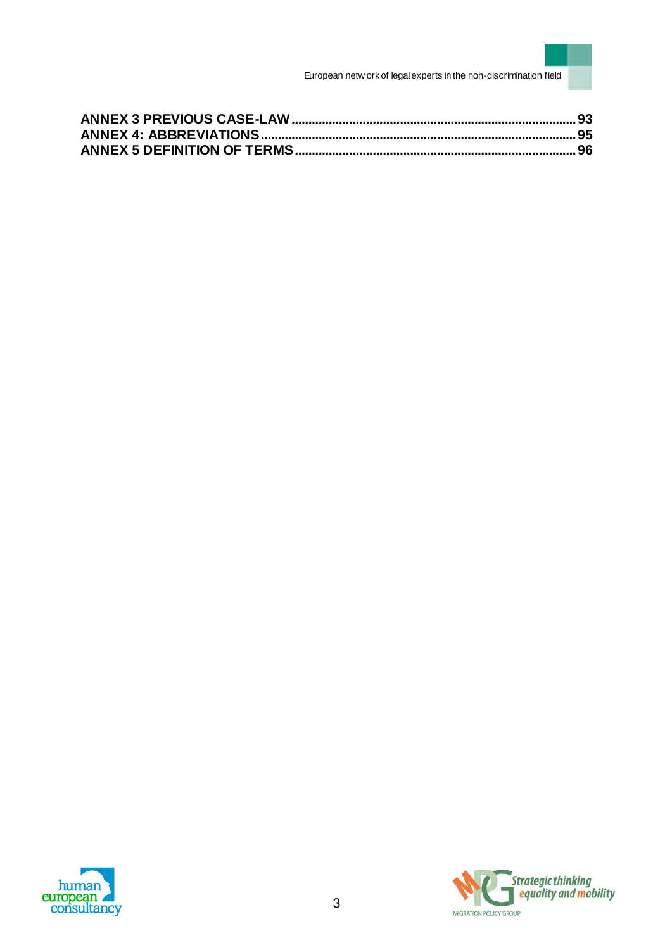



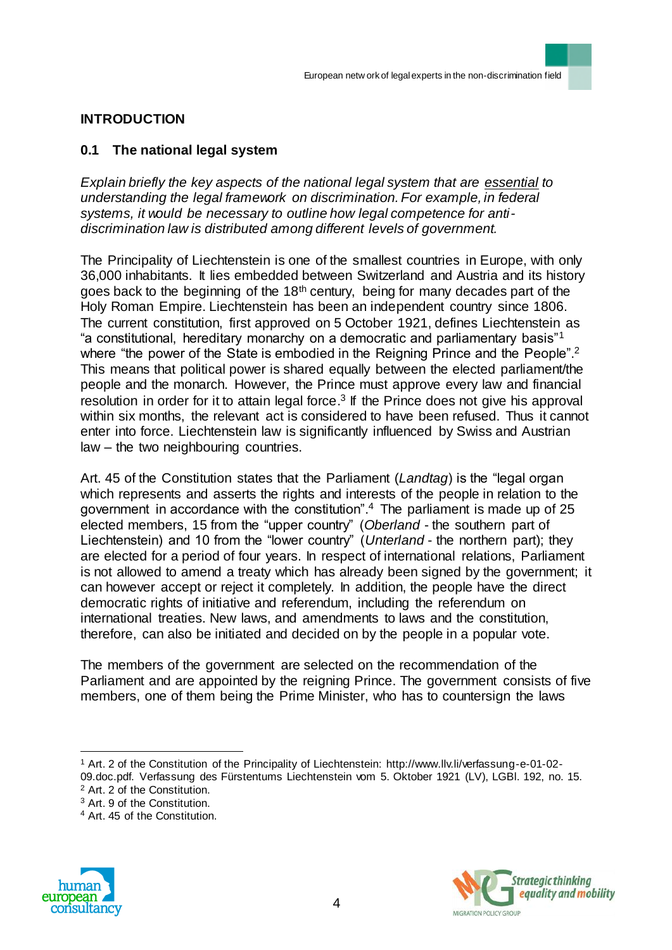## **INTRODUCTION**

### **0.1 The national legal system**

*Explain briefly the key aspects of the national legal system that are essential to understanding the legal framework on discrimination. For example, in federal systems, it would be necessary to outline how legal competence for antidiscrimination law is distributed among different levels of government.*

The Principality of Liechtenstein is one of the smallest countries in Europe, with only 36,000 inhabitants. It lies embedded between Switzerland and Austria and its history goes back to the beginning of the  $18<sup>th</sup>$  century, being for many decades part of the Holy Roman Empire. Liechtenstein has been an independent country since 1806. The current constitution, first approved on 5 October 1921, defines Liechtenstein as "a constitutional, hereditary monarchy on a democratic and parliamentary basis"<sup>1</sup> where "the power of the State is embodied in the Reigning Prince and the People".<sup>2</sup> This means that political power is shared equally between the elected parliament/the people and the monarch. However, the Prince must approve every law and financial resolution in order for it to attain legal force.<sup>3</sup> If the Prince does not give his approval within six months, the relevant act is considered to have been refused. Thus it cannot enter into force. Liechtenstein law is significantly influenced by Swiss and Austrian law – the two neighbouring countries.

Art. 45 of the Constitution states that the Parliament (*Landtag*) is the "legal organ which represents and asserts the rights and interests of the people in relation to the government in accordance with the constitution". <sup>4</sup> The parliament is made up of 25 elected members, 15 from the "upper country" (*Oberland* - the southern part of Liechtenstein) and 10 from the "lower country" (*Unterland* - the northern part); they are elected for a period of four years. In respect of international relations, Parliament is not allowed to amend a treaty which has already been signed by the government; it can however accept or reject it completely. In addition, the people have the direct democratic rights of initiative and referendum, including the referendum on international treaties. New laws, and amendments to laws and the constitution, therefore, can also be initiated and decided on by the people in a popular vote.

The members of the government are selected on the recommendation of the Parliament and are appointed by the reigning Prince. The government consists of five members, one of them being the Prime Minister, who has to countersign the laws

<sup>4</sup> Art. 45 of the Constitution.





<sup>1</sup> Art. 2 of the Constitution of the Principality of Liechtenstein: http://www.llv.li/verfassung-e-01-02- 09.doc.pdf. Verfassung des Fürstentums Liechtenstein vom 5. Oktober 1921 (LV), LGBl. 192, no. 15. <sup>2</sup> Art. 2 of the Constitution.

<sup>3</sup> Art. 9 of the Constitution.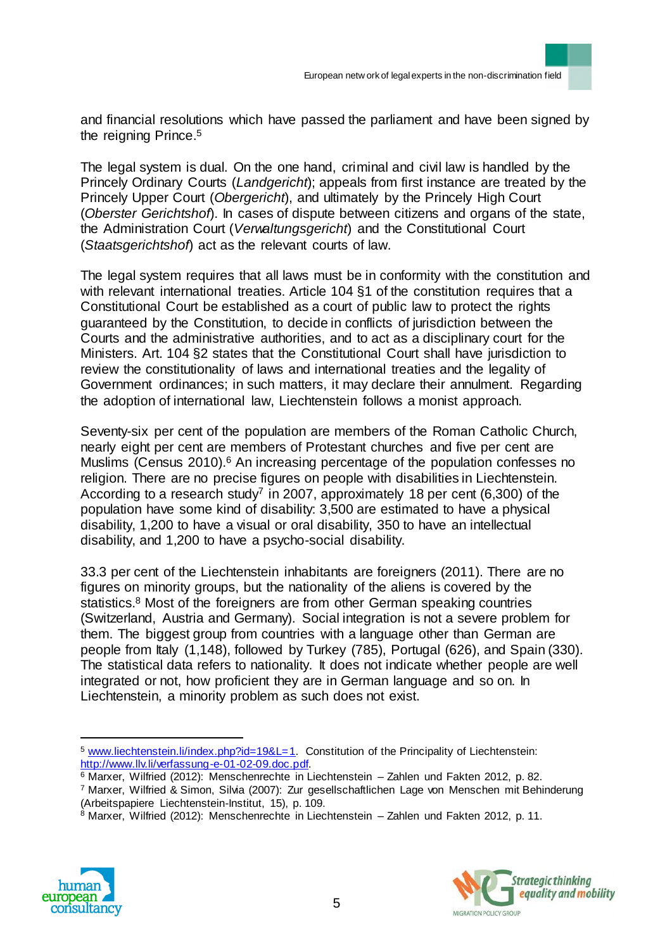and financial resolutions which have passed the parliament and have been signed by the reigning Prince. 5

The legal system is dual. On the one hand, criminal and civil law is handled by the Princely Ordinary Courts (*Landgericht*); appeals from first instance are treated by the Princely Upper Court (*Obergericht*), and ultimately by the Princely High Court (*Oberster Gerichtshof*). In cases of dispute between citizens and organs of the state, the Administration Court (*Verwaltungsgericht*) and the Constitutional Court (*Staatsgerichtshof*) act as the relevant courts of law.

The legal system requires that all laws must be in conformity with the constitution and with relevant international treaties. Article 104 §1 of the constitution requires that a Constitutional Court be established as a court of public law to protect the rights guaranteed by the Constitution, to decide in conflicts of jurisdiction between the Courts and the administrative authorities, and to act as a disciplinary court for the Ministers. Art. 104 §2 states that the Constitutional Court shall have jurisdiction to review the constitutionality of laws and international treaties and the legality of Government ordinances; in such matters, it may declare their annulment. Regarding the adoption of international law, Liechtenstein follows a monist approach.

Seventy-six per cent of the population are members of the Roman Catholic Church, nearly eight per cent are members of Protestant churches and five per cent are Muslims (Census 2010).<sup>6</sup> An increasing percentage of the population confesses no religion. There are no precise figures on people with disabilities in Liechtenstein. According to a research study<sup>7</sup> in 2007, approximately 18 per cent (6,300) of the population have some kind of disability: 3,500 are estimated to have a physical disability, 1,200 to have a visual or oral disability, 350 to have an intellectual disability, and 1,200 to have a psycho-social disability.

33.3 per cent of the Liechtenstein inhabitants are foreigners (2011). There are no figures on minority groups, but the nationality of the aliens is covered by the statistics.<sup>8</sup> Most of the foreigners are from other German speaking countries (Switzerland, Austria and Germany). Social integration is not a severe problem for them. The biggest group from countries with a language other than German are people from Italy (1,148), followed by Turkey (785), Portugal (626), and Spain (330). The statistical data refers to nationality. It does not indicate whether people are well integrated or not, how proficient they are in German language and so on. In Liechtenstein, a minority problem as such does not exist.

 $8$  Marxer, Wilfried (2012): Menschenrechte in Liechtenstein – Zahlen und Fakten 2012, p. 11.





<sup>5</sup> [www.liechtenstein.li/index.php?id=19&L=1.](http://www.liechtenstein.li/index.php?id=19&L=1) Constitution of the Principality of Liechtenstein: http://www.llv.li/verfassung-e-01-02-09.doc.pdf.

<sup>6</sup> Marxer, Wilfried (2012): Menschenrechte in Liechtenstein – Zahlen und Fakten 2012, p. 82. <sup>7</sup> Marxer, Wilfried & Simon, Silvia (2007): Zur gesellschaftlichen Lage von Menschen mit Behinderung (Arbeitspapiere Liechtenstein-Institut, 15), p. 109.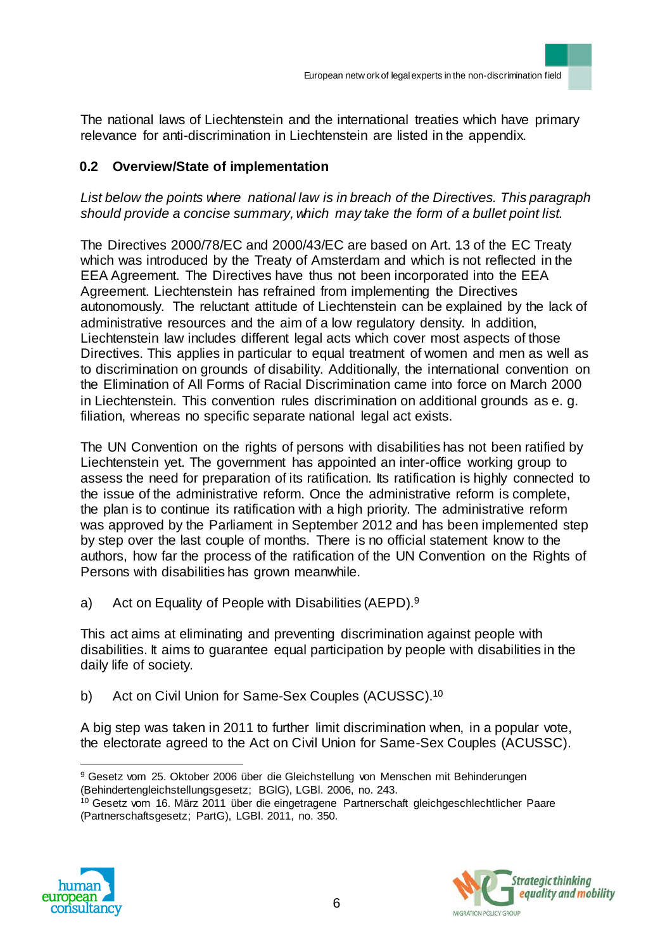The national laws of Liechtenstein and the international treaties which have primary relevance for anti-discrimination in Liechtenstein are listed in the appendix.

# **0.2 Overview/State of implementation**

## *List below the points where national law is in breach of the Directives. This paragraph should provide a concise summary, which may take the form of a bullet point list.*

The Directives 2000/78/EC and 2000/43/EC are based on Art. 13 of the EC Treaty which was introduced by the Treaty of Amsterdam and which is not reflected in the EEA Agreement. The Directives have thus not been incorporated into the EEA Agreement. Liechtenstein has refrained from implementing the Directives autonomously. The reluctant attitude of Liechtenstein can be explained by the lack of administrative resources and the aim of a low regulatory density. In addition, Liechtenstein law includes different legal acts which cover most aspects of those Directives. This applies in particular to equal treatment of women and men as well as to discrimination on grounds of disability. Additionally, the international convention on the Elimination of All Forms of Racial Discrimination came into force on March 2000 in Liechtenstein. This convention rules discrimination on additional grounds as e. g. filiation, whereas no specific separate national legal act exists.

The UN Convention on the rights of persons with disabilities has not been ratified by Liechtenstein yet. The government has appointed an inter-office working group to assess the need for preparation of its ratification. Its ratification is highly connected to the issue of the administrative reform. Once the administrative reform is complete, the plan is to continue its ratification with a high priority. The administrative reform was approved by the Parliament in September 2012 and has been implemented step by step over the last couple of months. There is no official statement know to the authors, how far the process of the ratification of the UN Convention on the Rights of Persons with disabilities has grown meanwhile.

a) Act on Equality of People with Disabilities (AEPD).<sup>9</sup>

This act aims at eliminating and preventing discrimination against people with disabilities. It aims to guarantee equal participation by people with disabilities in the daily life of society.

b) Act on Civil Union for Same-Sex Couples (ACUSSC).<sup>10</sup>

A big step was taken in 2011 to further limit discrimination when, in a popular vote, the electorate agreed to the Act on Civil Union for Same-Sex Couples (ACUSSC).

<sup>&</sup>lt;sup>10</sup> Gesetz vom 16. März 2011 über die eingetragene Partnerschaft gleichgeschlechtlicher Paare (Partnerschaftsgesetz; PartG), LGBl. 2011, no. 350.





 $\overline{a}$ <sup>9</sup> Gesetz vom 25. Oktober 2006 über die Gleichstellung von Menschen mit Behinderungen (Behindertengleichstellungsgesetz; BGlG), LGBl. 2006, no. 243.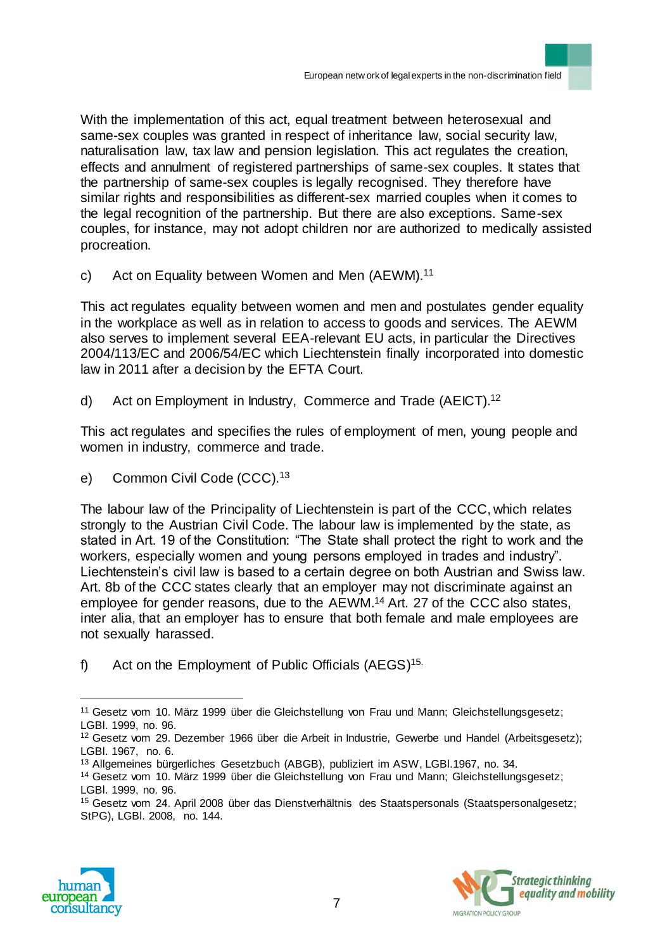With the implementation of this act, equal treatment between heterosexual and same-sex couples was granted in respect of inheritance law, social security law, naturalisation law, tax law and pension legislation. This act regulates the creation, effects and annulment of registered partnerships of same-sex couples. It states that the partnership of same-sex couples is legally recognised. They therefore have similar rights and responsibilities as different-sex married couples when it comes to the legal recognition of the partnership. But there are also exceptions. Same-sex couples, for instance, may not adopt children nor are authorized to medically assisted procreation.

c) Act on Equality between Women and Men (AEWM).<sup>11</sup>

This act regulates equality between women and men and postulates gender equality in the workplace as well as in relation to access to goods and services. The AEWM also serves to implement several EEA-relevant EU acts, in particular the Directives 2004/113/EC and 2006/54/EC which Liechtenstein finally incorporated into domestic law in 2011 after a decision by the EFTA Court.

d) Act on Employment in Industry, Commerce and Trade (AEICT).<sup>12</sup>

This act regulates and specifies the rules of employment of men, young people and women in industry, commerce and trade.

e) Common Civil Code (CCC).<sup>13</sup>

The labour law of the Principality of Liechtenstein is part of the CCC, which relates strongly to the Austrian Civil Code. The labour law is implemented by the state, as stated in Art. 19 of the Constitution: "The State shall protect the right to work and the workers, especially women and young persons employed in trades and industry". Liechtenstein's civil law is based to a certain degree on both Austrian and Swiss law. Art. 8b of the CCC states clearly that an employer may not discriminate against an employee for gender reasons, due to the AEWM. <sup>14</sup> Art. 27 of the CCC also states, inter alia, that an employer has to ensure that both female and male employees are not sexually harassed.

f) Act on the Employment of Public Officials (AEGS)<sup>15.</sup>

<sup>&</sup>lt;sup>15</sup> Gesetz vom 24. April 2008 über das Dienstverhältnis des Staatspersonals (Staatspersonalgesetz; StPG), LGBl. 2008, no. 144.





<sup>11</sup> Gesetz vom 10. März 1999 über die Gleichstellung von Frau und Mann; Gleichstellungsgesetz; LGBl. 1999, no. 96.

<sup>12</sup> Gesetz vom 29. Dezember 1966 über die Arbeit in Industrie, Gewerbe und Handel (Arbeitsgesetz); LGBl. 1967, no. 6.

<sup>13</sup> Allgemeines bürgerliches Gesetzbuch (ABGB), publiziert im ASW, LGBl.1967, no. 34.

<sup>14</sup> Gesetz vom 10. März 1999 über die Gleichstellung von Frau und Mann; Gleichstellungsgesetz; LGBl. 1999, no. 96.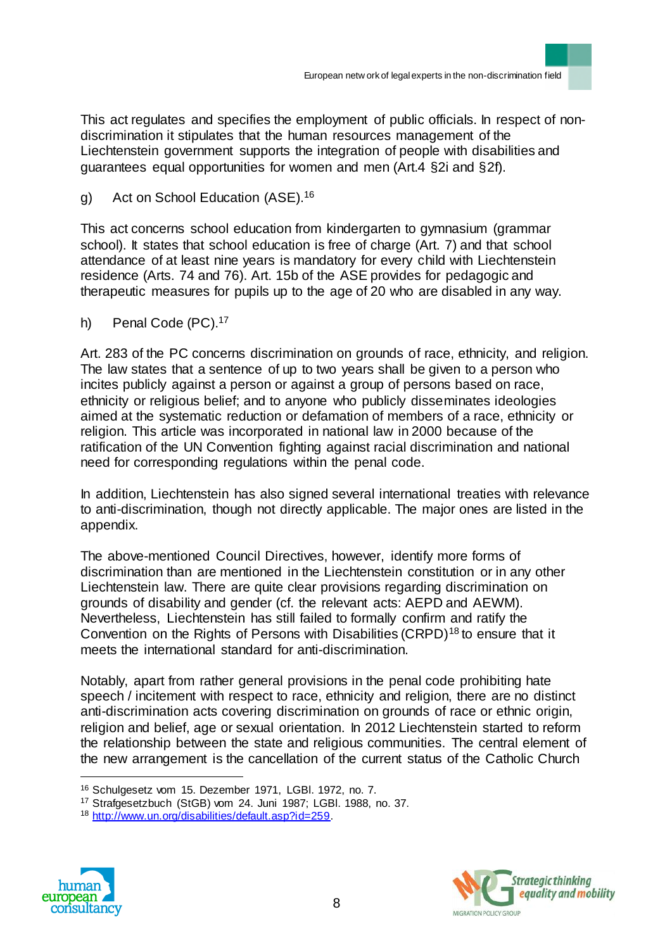This act regulates and specifies the employment of public officials. In respect of nondiscrimination it stipulates that the human resources management of the Liechtenstein government supports the integration of people with disabilities and guarantees equal opportunities for women and men (Art.4 §2i and §2f).

g) Act on School Education (ASE).<sup>16</sup>

This act concerns school education from kindergarten to gymnasium (grammar school). It states that school education is free of charge (Art. 7) and that school attendance of at least nine years is mandatory for every child with Liechtenstein residence (Arts. 74 and 76). Art. 15b of the ASE provides for pedagogic and therapeutic measures for pupils up to the age of 20 who are disabled in any way.

h) Penal Code (PC).<sup>17</sup>

Art. 283 of the PC concerns discrimination on grounds of race, ethnicity, and religion. The law states that a sentence of up to two years shall be given to a person who incites publicly against a person or against a group of persons based on race, ethnicity or religious belief; and to anyone who publicly disseminates ideologies aimed at the systematic reduction or defamation of members of a race, ethnicity or religion. This article was incorporated in national law in 2000 because of the ratification of the UN Convention fighting against racial discrimination and national need for corresponding regulations within the penal code.

In addition, Liechtenstein has also signed several international treaties with relevance to anti-discrimination, though not directly applicable. The major ones are listed in the appendix.

The above-mentioned Council Directives, however, identify more forms of discrimination than are mentioned in the Liechtenstein constitution or in any other Liechtenstein law. There are quite clear provisions regarding discrimination on grounds of disability and gender (cf. the relevant acts: AEPD and AEWM). Nevertheless, Liechtenstein has still failed to formally confirm and ratify the Convention on the Rights of Persons with Disabilities (CRPD)<sup>18</sup> to ensure that it meets the international standard for anti-discrimination.

Notably, apart from rather general provisions in the penal code prohibiting hate speech / incitement with respect to race, ethnicity and religion, there are no distinct anti-discrimination acts covering discrimination on grounds of race or ethnic origin, religion and belief, age or sexual orientation. In 2012 Liechtenstein started to reform the relationship between the state and religious communities. The central element of the new arrangement is the cancellation of the current status of the Catholic Church

<sup>18</sup> http://www.un.org/disabilities/default.asp?id=259.





<sup>16</sup> Schulgesetz vom 15. Dezember 1971, LGBl. 1972, no. 7.

<sup>17</sup> Strafgesetzbuch (StGB) vom 24. Juni 1987; LGBl. 1988, no. 37.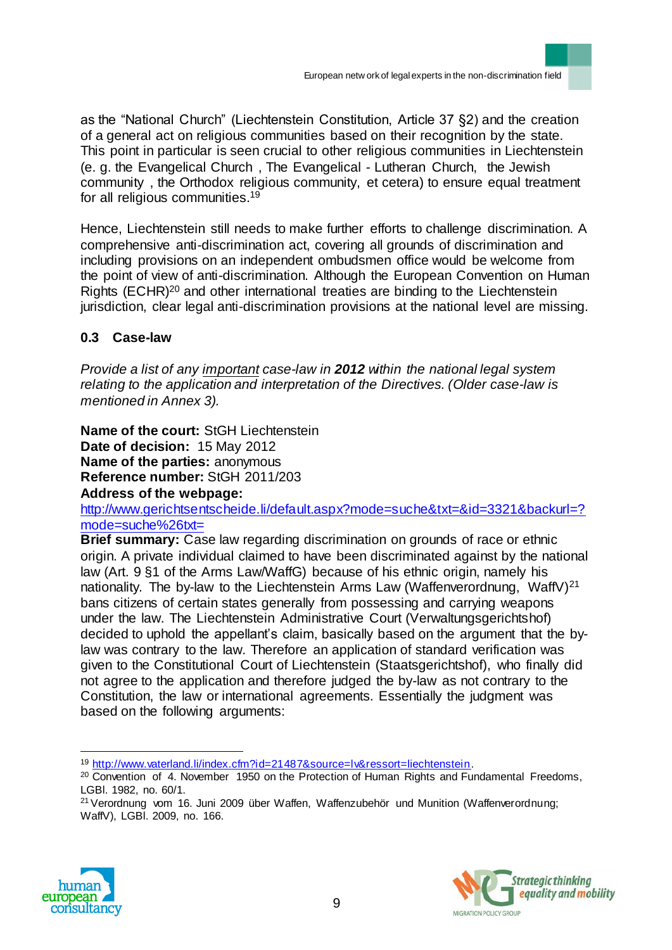as the "National Church" (Liechtenstein Constitution, Article 37 §2) and the creation of a general act on religious communities based on their recognition by the state. This point in particular is seen crucial to other religious communities in Liechtenstein (e. g. the Evangelical Church , The Evangelical - Lutheran Church, the Jewish community , the Orthodox religious community, et cetera) to ensure equal treatment for all religious communities. 19

Hence, Liechtenstein still needs to make further efforts to challenge discrimination. A comprehensive anti-discrimination act, covering all grounds of discrimination and including provisions on an independent ombudsmen office would be welcome from the point of view of anti-discrimination. Although the European Convention on Human Rights (ECHR)<sup>20</sup> and other international treaties are binding to the Liechtenstein jurisdiction, clear legal anti-discrimination provisions at the national level are missing.

## **0.3 Case-law**

*Provide a list of any important case-law in 2012 within the national legal system relating to the application and interpretation of the Directives. (Older case-law is mentioned in Annex 3).* 

**Name of the court:** StGH Liechtenstein **Date of decision:** 15 May 2012 **Name of the parties:** anonymous **Reference number:** [StGH 2011/203](http://www.gerichtsentscheidungen.li/default.aspx?mode=gerichte&prim=2&value=2010&id=2553&backurl=?mode=gerichte%26prim=2%26value=2010)

#### **Address of the webpage:**

http://www.gerichtsentscheide.li/default.aspx?mode=suche&txt=&id=3321&backurl=? mode=suche%26txt=

**Brief summary:** Case law regarding discrimination on grounds of race or ethnic origin. A private individual claimed to have been discriminated against by the national law (Art. 9 §1 of the Arms Law/WaffG) because of his ethnic origin, namely his nationality. The by-law to the Liechtenstein Arms Law (Waffenverordnung, WaffV) $^{21}$ bans citizens of certain states generally from possessing and carrying weapons under the law. The Liechtenstein Administrative Court (Verwaltungsgerichtshof) decided to uphold the appellant's claim, basically based on the argument that the bylaw was contrary to the law. Therefore an application of standard verification was given to the Constitutional Court of Liechtenstein (Staatsgerichtshof), who finally did not agree to the application and therefore judged the by-law as not contrary to the Constitution, the law or international agreements. Essentially the judgment was based on the following arguments:

<sup>&</sup>lt;sup>21</sup> Verordnung vom 16. Juni 2009 über Waffen, Waffenzubehör und Munition (Waffenverordnung; WaffV), LGBl. 2009, no. 166.





 $\overline{a}$ <sup>19</sup> http://www.vaterland.li/index.cfm?id=21487&source=lv&ressort=liechtenstein.

<sup>&</sup>lt;sup>20</sup> Convention of 4. November 1950 on the Protection of Human Rights and Fundamental Freedoms, LGBl. 1982, no. 60/1.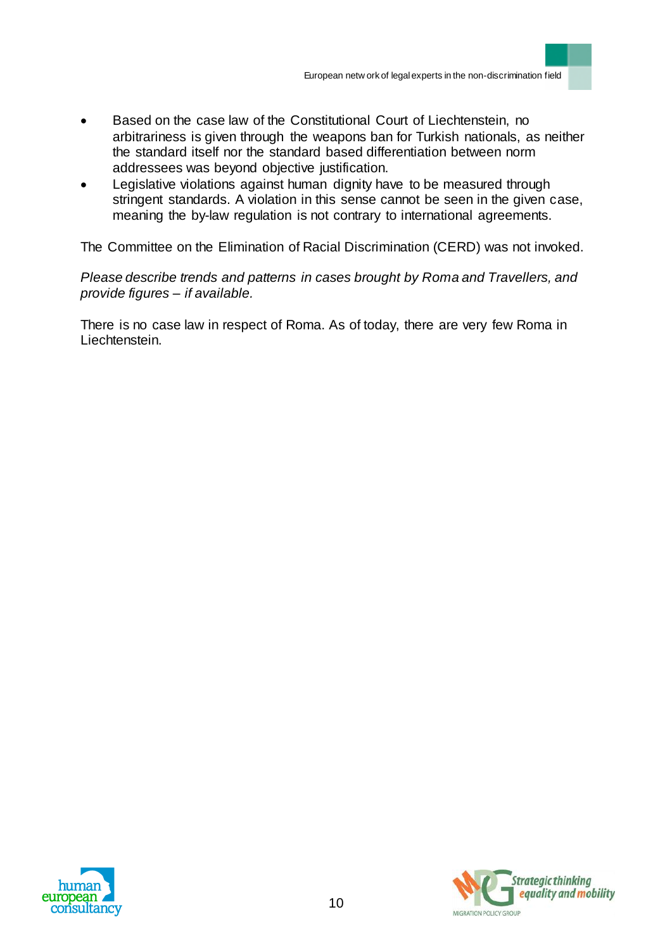- Based on the case law of the Constitutional Court of Liechtenstein, no arbitrariness is given through the weapons ban for Turkish nationals, as neither the standard itself nor the standard based differentiation between norm addressees was beyond objective justification.
- Legislative violations against human dignity have to be measured through stringent standards. A violation in this sense cannot be seen in the given case, meaning the by-law regulation is not contrary to international agreements.

The Committee on the Elimination of Racial Discrimination (CERD) was not invoked.

*Please describe trends and patterns in cases brought by Roma and Travellers, and provide figures – if available.*

There is no case law in respect of Roma. As of today, there are very few Roma in Liechtenstein.



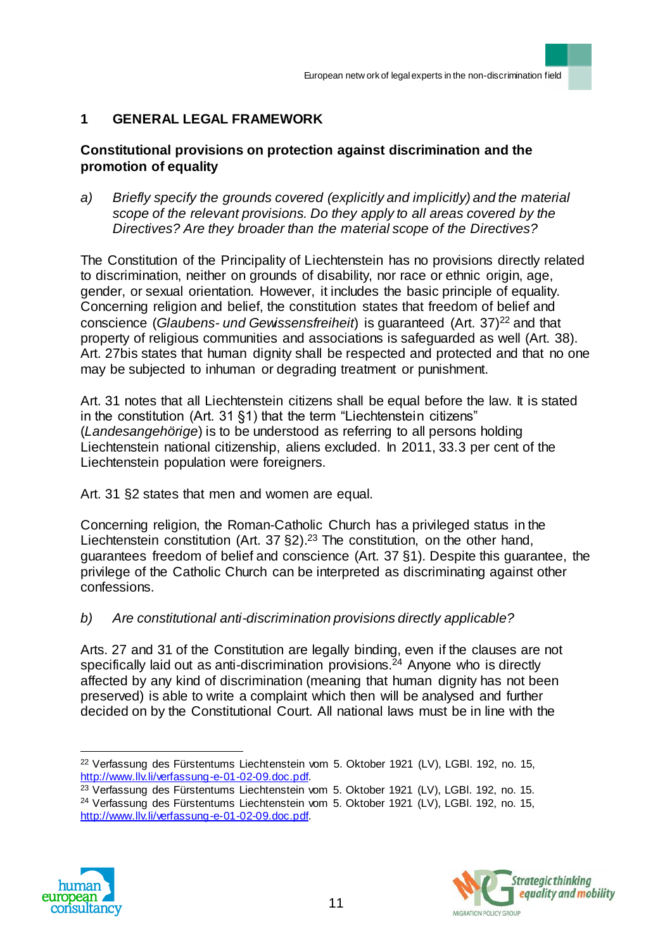## **1 GENERAL LEGAL FRAMEWORK**

## **Constitutional provisions on protection against discrimination and the promotion of equality**

*a) Briefly specify the grounds covered (explicitly and implicitly) and the material scope of the relevant provisions. Do they apply to all areas covered by the Directives? Are they broader than the material scope of the Directives?*

The Constitution of the Principality of Liechtenstein has no provisions directly related to discrimination, neither on grounds of disability, nor race or ethnic origin, age, gender, or sexual orientation. However, it includes the basic principle of equality. Concerning religion and belief, the constitution states that freedom of belief and conscience (*Glaubens- und Gewissensfreiheit*) is guaranteed (Art. 37)<sup>22</sup> and that property of religious communities and associations is safeguarded as well (Art. 38). Art. 27bis states that human dignity shall be respected and protected and that no one may be subjected to inhuman or degrading treatment or punishment.

Art. 31 notes that all Liechtenstein citizens shall be equal before the law. It is stated in the constitution (Art. 31 §1) that the term "Liechtenstein citizens" (*Landesangehörige*) is to be understood as referring to all persons holding Liechtenstein national citizenship, aliens excluded. In 2011, 33.3 per cent of the Liechtenstein population were foreigners.

Art. 31 §2 states that men and women are equal.

Concerning religion, the Roman-Catholic Church has a privileged status in the Liechtenstein constitution (Art. 37 §2).<sup>23</sup> The constitution, on the other hand, guarantees freedom of belief and conscience (Art. 37 §1). Despite this guarantee, the privilege of the Catholic Church can be interpreted as discriminating against other confessions.

## *b) Are constitutional anti-discrimination provisions directly applicable?*

Arts. 27 and 31 of the Constitution are legally binding, even if the clauses are not specifically laid out as anti-discrimination provisions. $24$  Anyone who is directly affected by any kind of discrimination (meaning that human dignity has not been preserved) is able to write a complaint which then will be analysed and further decided on by the Constitutional Court. All national laws must be in line with the

<sup>&</sup>lt;sup>24</sup> Verfassung des Fürstentums Liechtenstein vom 5. Oktober 1921 (LV), LGBI. 192, no. 15, http://www.llv.li/verfassung-e-01-02-09.doc.pdf.





 $\overline{a}$ <sup>22</sup> Verfassung des Fürstentums Liechtenstein vom 5. Oktober 1921 (LV), LGBI. 192, no. 15, http://www.llv.li/verfassung-e-01-02-09.doc.pdf.

<sup>&</sup>lt;sup>23</sup> Verfassung des Fürstentums Liechtenstein vom 5. Oktober 1921 (LV), LGBI. 192, no. 15.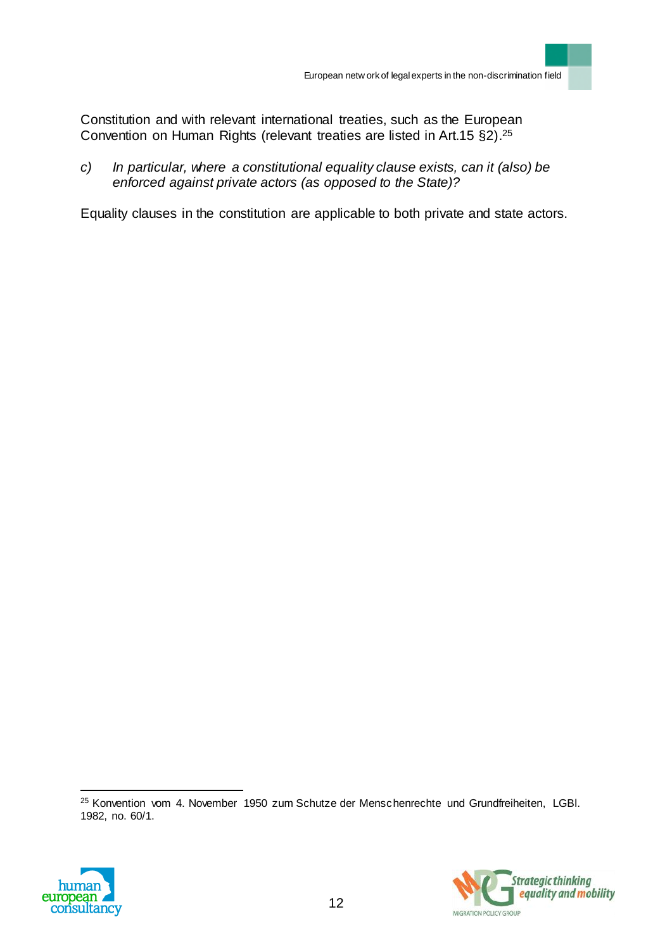Constitution and with relevant international treaties, such as the European Convention on Human Rights (relevant treaties are listed in Art.15 §2).<sup>25</sup>

*c) In particular, where a constitutional equality clause exists, can it (also) be enforced against private actors (as opposed to the State)?*

Equality clauses in the constitution are applicable to both private and state actors.

<sup>25</sup> Konvention vom 4. November 1950 zum Schutze der Menschenrechte und Grundfreiheiten, LGBl. 1982, no. 60/1.



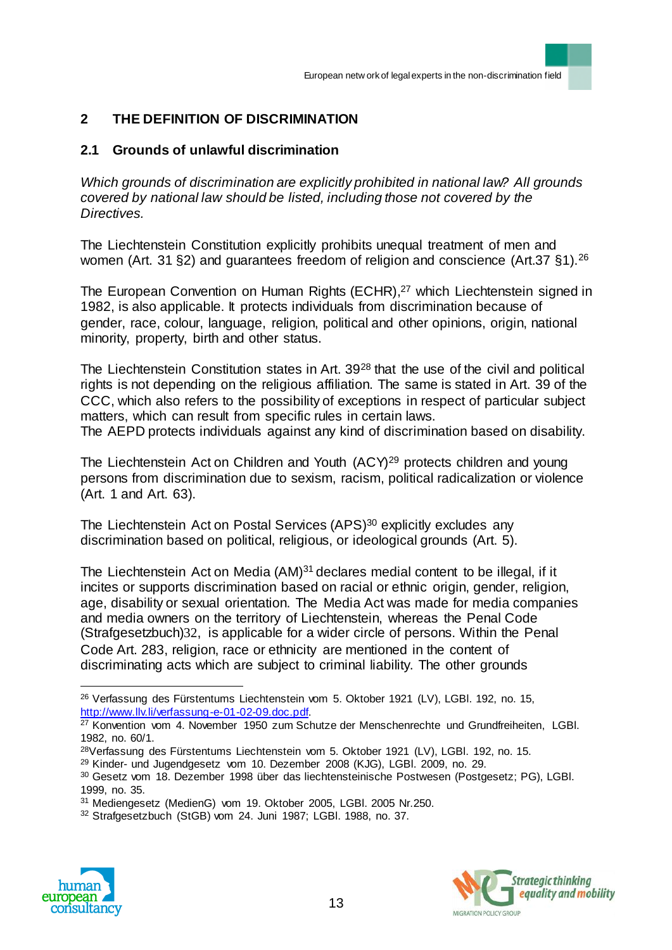# **2 THE DEFINITION OF DISCRIMINATION**

## **2.1 Grounds of unlawful discrimination**

*Which grounds of discrimination are explicitly prohibited in national law? All grounds covered by national law should be listed, including those not covered by the Directives.* 

The Liechtenstein Constitution explicitly prohibits unequal treatment of men and women (Art. 31 §2) and quarantees freedom of religion and conscience (Art.37 §1).<sup>26</sup>

The European Convention on Human Rights (ECHR), <sup>27</sup> which Liechtenstein signed in 1982, is also applicable. It protects individuals from discrimination because of gender, race, colour, language, religion, political and other opinions, origin, national minority, property, birth and other status.

The Liechtenstein Constitution states in Art. 39<sup>28</sup> that the use of the civil and political rights is not depending on the religious affiliation. The same is stated in Art. 39 of the CCC, which also refers to the possibility of exceptions in respect of particular subject matters, which can result from specific rules in certain laws.

The AEPD protects individuals against any kind of discrimination based on disability.

The Liechtenstein Act on Children and Youth (ACY)<sup>29</sup> protects children and young persons from discrimination due to sexism, racism, political radicalization or violence (Art. 1 and Art. 63).

The Liechtenstein Act on Postal Services (APS)<sup>30</sup> explicitly excludes any discrimination based on political, religious, or ideological grounds (Art. 5).

The Liechtenstein Act on Media  $(AM)^{31}$  declares medial content to be illegal, if it incites or supports discrimination based on racial or ethnic origin, gender, religion, age, disability or sexual orientation. The Media Act was made for media companies and media owners on the territory of Liechtenstein, whereas the Penal Code (Strafgesetzbuch)32, is applicable for a wider circle of persons. Within the Penal Code Art. 283, religion, race or ethnicity are mentioned in the content of discriminating acts which are subject to criminal liability. The other grounds

<sup>30</sup> Gesetz vom 18. Dezember 1998 über das liechtensteinische Postwesen (Postgesetz; PG), LGBl. 1999, no. 35.

<sup>32</sup> Strafgesetzbuch (StGB) vom 24. Juni 1987; LGBl. 1988, no. 37.





<sup>&</sup>lt;sup>26</sup> Verfassung des Fürstentums Liechtenstein vom 5. Oktober 1921 (LV), LGBI. 192, no. 15, http://www.llv.li/verfassung-e-01-02-09.doc.pdf.

<sup>&</sup>lt;sup>27</sup> Konvention vom 4. November 1950 zum Schutze der Menschenrechte und Grundfreiheiten, LGBI. 1982, no. 60/1.

<sup>28</sup>Verfassung des Fürstentums Liechtenstein vom 5. Oktober 1921 (LV), LGBl. 192, no. 15.

<sup>29</sup> Kinder- und Jugendgesetz vom 10. Dezember 2008 (KJG), LGBl. 2009, no. 29.

<sup>31</sup> Mediengesetz (MedienG) vom 19. Oktober 2005, LGBl. 2005 Nr.250.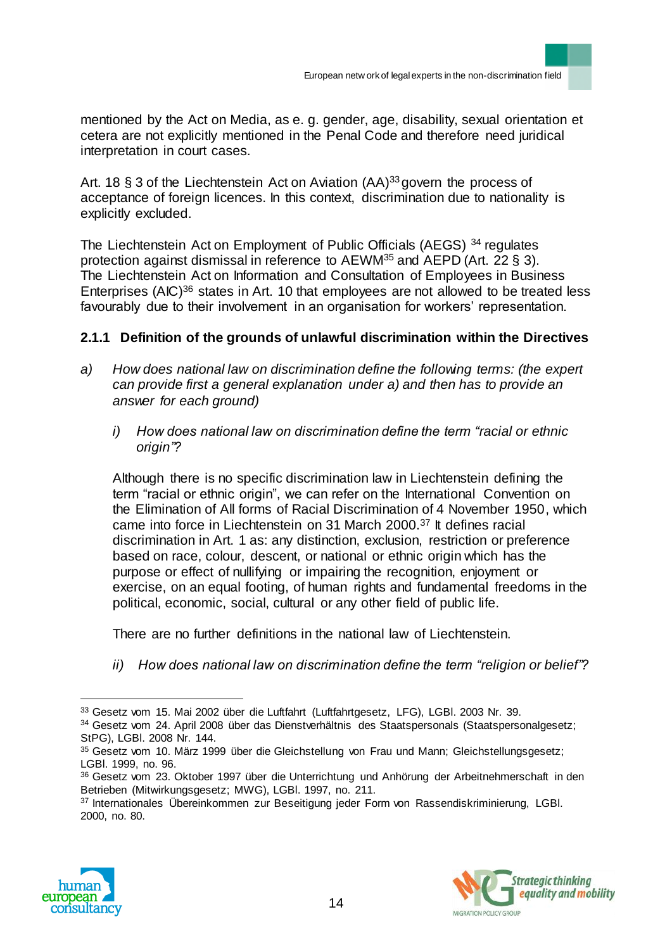mentioned by the Act on Media, as e. g. gender, age, disability, sexual orientation et cetera are not explicitly mentioned in the Penal Code and therefore need juridical interpretation in court cases.

Art. 18  $\S$  3 of the Liechtenstein Act on Aviation (AA)<sup>33</sup> govern the process of acceptance of foreign licences. In this context, discrimination due to nationality is explicitly excluded.

The Liechtenstein Act on Employment of Public Officials (AEGS) <sup>34</sup> regulates protection against dismissal in reference to  $AEWM^{35}$  and  $AEPD(Art. 22 \S 3)$ . The Liechtenstein Act on Information and Consultation of Employees in Business Enterprises (AIC)<sup>36</sup> states in Art. 10 that employees are not allowed to be treated less favourably due to their involvement in an organisation for workers' representation.

### **2.1.1 Definition of the grounds of unlawful discrimination within the Directives**

- *a) How does national law on discrimination define the following terms: (the expert can provide first a general explanation under a) and then has to provide an answer for each ground)*
	- *i) How does national law on discrimination define the term "racial or ethnic origin"?*

Although there is no specific discrimination law in Liechtenstein defining the term "racial or ethnic origin", we can refer on the International Convention on the Elimination of All forms of Racial Discrimination of 4 November 1950, which came into force in Liechtenstein on 31 March 2000.<sup>37</sup> It defines racial discrimination in Art. 1 as: any distinction, exclusion, restriction or preference based on race, colour, descent, or national or ethnic origin which has the purpose or effect of nullifying or impairing the recognition, enjoyment or exercise, on an equal footing, of human rights and fundamental freedoms in the political, economic, social, cultural or any other field of public life.

There are no further definitions in the national law of Liechtenstein.

*ii) How does national law on discrimination define the term "religion or belief"?*

<sup>37</sup> Internationales Übereinkommen zur Beseitigung jeder Form von Rassendiskriminierung, LGBI. 2000, no. 80.





<sup>33</sup> Gesetz vom 15. Mai 2002 über die Luftfahrt (Luftfahrtgesetz, LFG), LGBl. 2003 Nr. 39.

<sup>34</sup> Gesetz vom 24. April 2008 über das Dienstverhältnis des Staatspersonals (Staatspersonalgesetz; StPG), LGBl. 2008 Nr. 144.

<sup>35</sup> Gesetz vom 10. März 1999 über die Gleichstellung von Frau und Mann; Gleichstellungsgesetz; LGBl. 1999, no. 96.

<sup>36</sup> Gesetz vom 23. Oktober 1997 über die Unterrichtung und Anhörung der Arbeitnehmerschaft in den Betrieben (Mitwirkungsgesetz; MWG), LGBl. 1997, no. 211.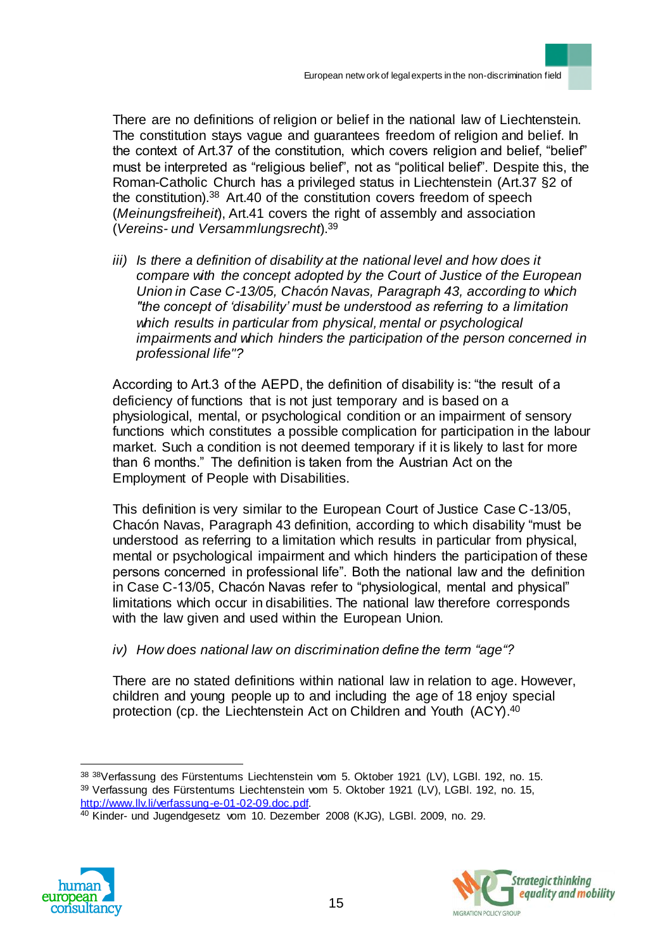There are no definitions of religion or belief in the national law of Liechtenstein. The constitution stays vague and guarantees freedom of religion and belief. In the context of Art.37 of the constitution, which covers religion and belief, "belief" must be interpreted as "religious belief", not as "political belief". Despite this, the Roman-Catholic Church has a privileged status in Liechtenstein (Art.37 §2 of the constitution).<sup>38</sup> Art.40 of the constitution covers freedom of speech (*Meinungsfreiheit*), Art.41 covers the right of assembly and association (*Vereins- und Versammlungsrecht*).<sup>39</sup>

*iii) Is there a definition of disability at the national level and how does it compare with the concept adopted by the Court of Justice of the European Union in Case C-13/05, Chacón Navas, Paragraph 43, according to which "the concept of 'disability' must be understood as referring to a limitation which results in particular from physical, mental or psychological impairments and which hinders the participation of the person concerned in professional life"?*

According to Art.3 of the AEPD, the definition of disability is: "the result of a deficiency of functions that is not just temporary and is based on a physiological, mental, or psychological condition or an impairment of sensory functions which constitutes a possible complication for participation in the labour market. Such a condition is not deemed temporary if it is likely to last for more than 6 months." The definition is taken from the Austrian Act on the Employment of People with Disabilities.

This definition is very similar to the European Court of Justice Case C-13/05, Chacón Navas, Paragraph 43 definition, according to which disability "must be understood as referring to a limitation which results in particular from physical, mental or psychological impairment and which hinders the participation of these persons concerned in professional life". Both the national law and the definition in Case C-13/05, Chacón Navas refer to "physiological, mental and physical" limitations which occur in disabilities. The national law therefore corresponds with the law given and used within the European Union.

*iv) How does national law on discrimination define the term "age"?* 

There are no stated definitions within national law in relation to age. However, children and young people up to and including the age of 18 enjoy special protection (cp. the Liechtenstein Act on Children and Youth (ACY).<sup>40</sup>

<sup>40</sup> Kinder- und Jugendgesetz vom 10. Dezember 2008 (KJG), LGBl. 2009, no. 29.





 $\overline{a}$ <sup>38</sup> <sup>38</sup>Verfassung des Fürstentums Liechtenstein vom 5. Oktober 1921 (LV), LGBl. 192, no. 15. <sup>39</sup> Verfassung des Fürstentums Liechtenstein vom 5. Oktober 1921 (LV), LGBl. 192, no. 15, http://www.llv.li/verfassung-e-01-02-09.doc.pdf.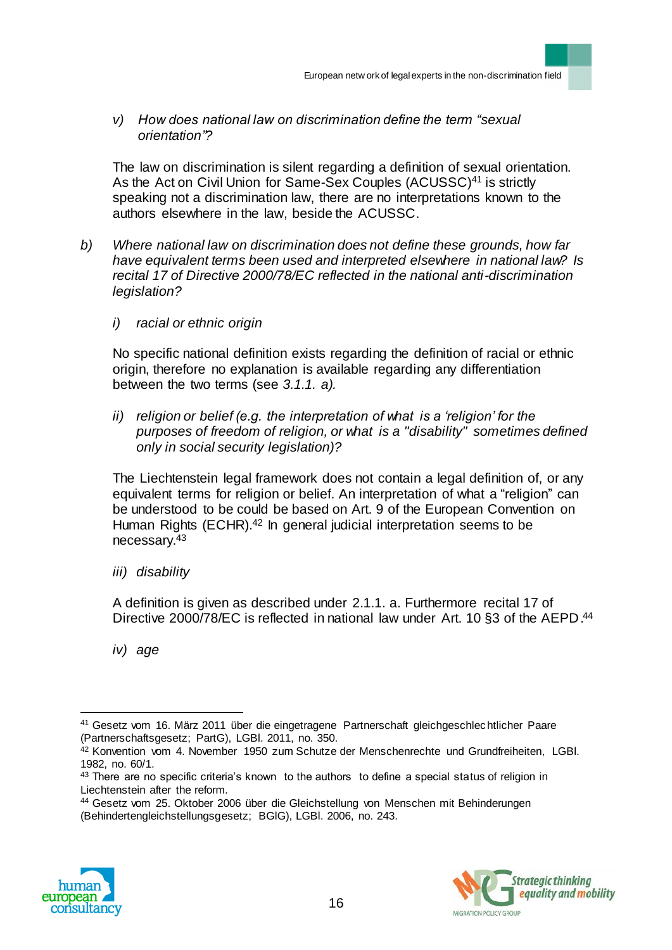*v) How does national law on discrimination define the term "sexual orientation"?* 

The law on discrimination is silent regarding a definition of sexual orientation. As the Act on Civil Union for Same-Sex Couples (ACUSSC)<sup>41</sup> is strictly speaking not a discrimination law, there are no interpretations known to the authors elsewhere in the law, beside the ACUSSC.

- *b) Where national law on discrimination does not define these grounds, how far have equivalent terms been used and interpreted elsewhere in national law? Is recital 17 of Directive 2000/78/EC reflected in the national anti-discrimination legislation?*
	- *i) racial or ethnic origin*

No specific national definition exists regarding the definition of racial or ethnic origin, therefore no explanation is available regarding any differentiation between the two terms (see *3.1.1. a).* 

*ii) religion or belief (e.g. the interpretation of what is a 'religion' for the purposes of freedom of religion, or what is a "disability" sometimes defined only in social security legislation)?*

The Liechtenstein legal framework does not contain a legal definition of, or any equivalent terms for religion or belief. An interpretation of what a "religion" can be understood to be could be based on Art. 9 of the European Convention on Human Rights (ECHR).<sup>42</sup> In general judicial interpretation seems to be necessary.<sup>43</sup>

*iii) disability*

A definition is given as described under 2.1.1. a. Furthermore recital 17 of Directive 2000/78/EC is reflected in national law under Art. 10 §3 of the AEPD.<sup>44</sup>

*iv) age*

<sup>44</sup> Gesetz vom 25. Oktober 2006 über die Gleichstellung von Menschen mit Behinderungen (Behindertengleichstellungsgesetz; BGlG), LGBl. 2006, no. 243.





<sup>41</sup> Gesetz vom 16. März 2011 über die eingetragene Partnerschaft gleichgeschlechtlicher Paare (Partnerschaftsgesetz; PartG), LGBl. 2011, no. 350.

<sup>42</sup> Konvention vom 4. November 1950 zum Schutze der Menschenrechte und Grundfreiheiten, LGBI. 1982, no. 60/1.

 $43$  There are no specific criteria's known to the authors to define a special status of religion in Liechtenstein after the reform.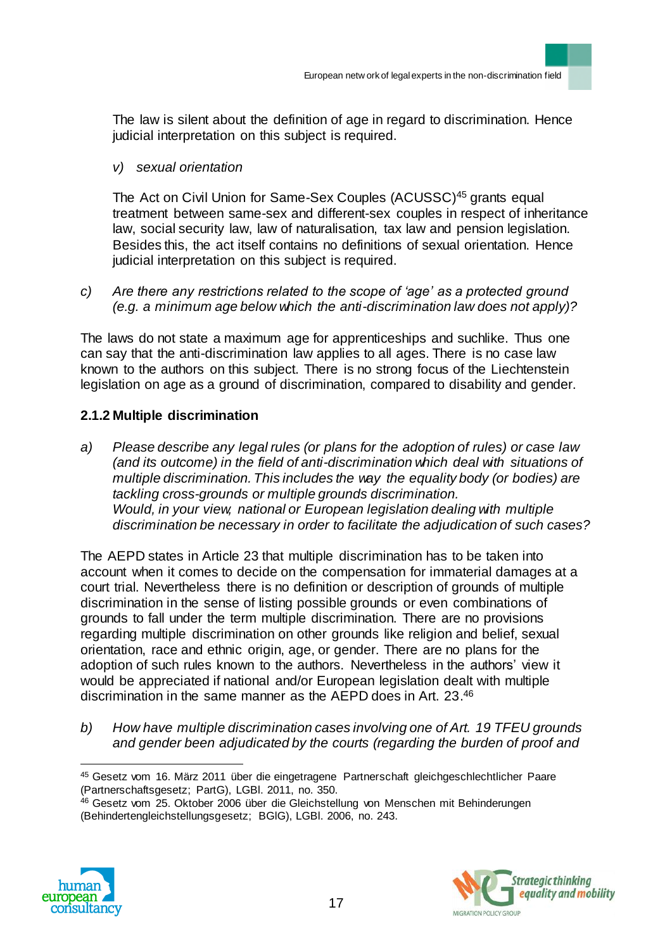The law is silent about the definition of age in regard to discrimination. Hence judicial interpretation on this subject is required.

### *v) sexual orientation*

The Act on Civil Union for Same-Sex Couples (ACUSSC)<sup>45</sup> grants equal treatment between same-sex and different-sex couples in respect of inheritance law, social security law, law of naturalisation, tax law and pension legislation. Besides this, the act itself contains no definitions of sexual orientation. Hence judicial interpretation on this subject is required.

*c) Are there any restrictions related to the scope of 'age' as a protected ground (e.g. a minimum age below which the anti-discrimination law does not apply)?*

The laws do not state a maximum age for apprenticeships and suchlike. Thus one can say that the anti-discrimination law applies to all ages. There is no case law known to the authors on this subject. There is no strong focus of the Liechtenstein legislation on age as a ground of discrimination, compared to disability and gender.

## **2.1.2 Multiple discrimination**

*a) Please describe any legal rules (or plans for the adoption of rules) or case law (and its outcome) in the field of anti-discrimination which deal with situations of multiple discrimination. This includes the way the equality body (or bodies) are tackling cross-grounds or multiple grounds discrimination. Would, in your view, national or European legislation dealing with multiple discrimination be necessary in order to facilitate the adjudication of such cases?*

The AEPD states in Article 23 that multiple discrimination has to be taken into account when it comes to decide on the compensation for immaterial damages at a court trial. Nevertheless there is no definition or description of grounds of multiple discrimination in the sense of listing possible grounds or even combinations of grounds to fall under the term multiple discrimination. There are no provisions regarding multiple discrimination on other grounds like religion and belief, sexual orientation, race and ethnic origin, age, or gender. There are no plans for the adoption of such rules known to the authors. Nevertheless in the authors' view it would be appreciated if national and/or European legislation dealt with multiple discrimination in the same manner as the AEPD does in Art. 23. 46

*b) How have multiple discrimination cases involving one of Art. 19 TFEU grounds and gender been adjudicated by the courts (regarding the burden of proof and* 

<sup>&</sup>lt;sup>46</sup> Gesetz vom 25. Oktober 2006 über die Gleichstellung von Menschen mit Behinderungen (Behindertengleichstellungsgesetz; BGlG), LGBl. 2006, no. 243.





 $\overline{a}$ 45 Gesetz vom 16. März 2011 über die eingetragene Partnerschaft gleichgeschlechtlicher Paare (Partnerschaftsgesetz; PartG), LGBl. 2011, no. 350.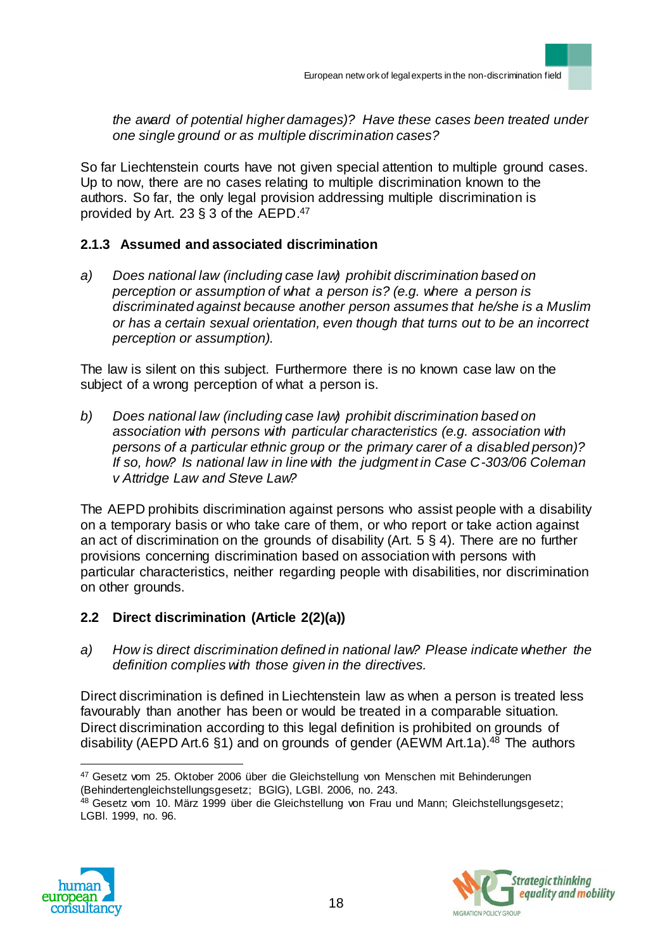*the award of potential higher damages)? Have these cases been treated under one single ground or as multiple discrimination cases?* 

So far Liechtenstein courts have not given special attention to multiple ground cases. Up to now, there are no cases relating to multiple discrimination known to the authors. So far, the only legal provision addressing multiple discrimination is provided by Art. 23 § 3 of the AEPD. 47

## **2.1.3 Assumed and associated discrimination**

*a) Does national law (including case law) prohibit discrimination based on perception or assumption of what a person is? (e.g. where a person is discriminated against because another person assumes that he/she is a Muslim or has a certain sexual orientation, even though that turns out to be an incorrect perception or assumption).* 

The law is silent on this subject. Furthermore there is no known case law on the subject of a wrong perception of what a person is.

*b) Does national law (including case law) prohibit discrimination based on association with persons with particular characteristics (e.g. association with persons of a particular ethnic group or the primary carer of a disabled person)? If so, how? Is national law in line with the judgment in Case C-303/06 Coleman v Attridge Law and Steve Law?* 

The AEPD prohibits discrimination against persons who assist people with a disability on a temporary basis or who take care of them, or who report or take action against an act of discrimination on the grounds of disability (Art. 5 § 4). There are no further provisions concerning discrimination based on association with persons with particular characteristics, neither regarding people with disabilities, nor discrimination on other grounds.

# **2.2 Direct discrimination (Article 2(2)(a))**

*a) How is direct discrimination defined in national law? Please indicate whether the definition complies with those given in the directives.*

Direct discrimination is defined in Liechtenstein law as when a person is treated less favourably than another has been or would be treated in a comparable situation. Direct discrimination according to this legal definition is prohibited on grounds of disability (AEPD Art.6 §1) and on grounds of gender (AEWM Art.1a).<sup>48</sup> The authors

<sup>&</sup>lt;sup>48</sup> Gesetz vom 10. März 1999 über die Gleichstellung von Frau und Mann; Gleichstellungsgesetz; LGBl. 1999, no. 96.





 $\overline{a}$ <sup>47</sup> Gesetz vom 25. Oktober 2006 über die Gleichstellung von Menschen mit Behinderungen (Behindertengleichstellungsgesetz; BGlG), LGBl. 2006, no. 243.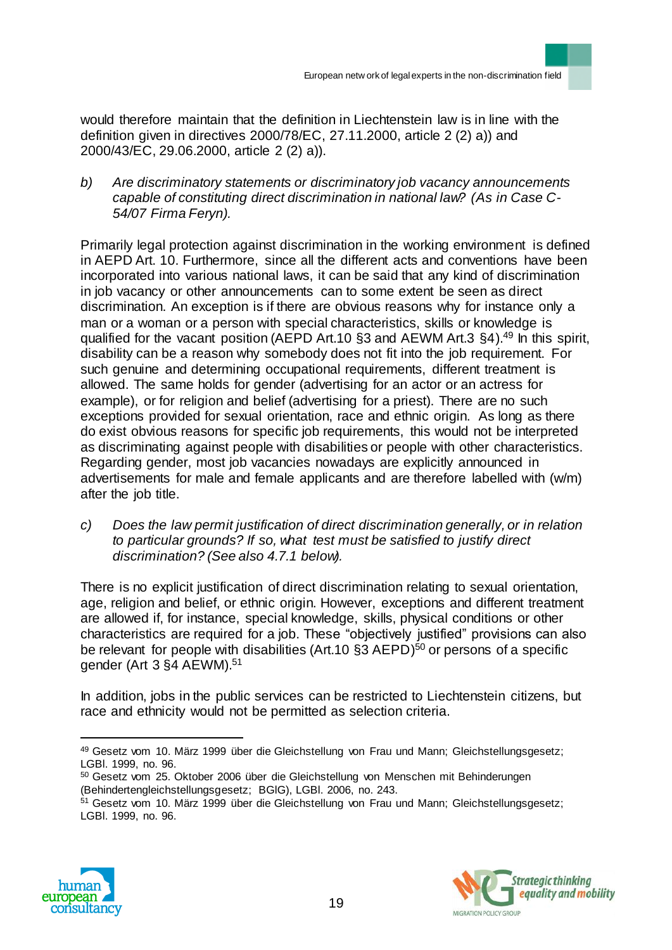would therefore maintain that the definition in Liechtenstein law is in line with the definition given in directives 2000/78/EC, 27.11.2000, article 2 (2) a)) and 2000/43/EC, 29.06.2000, article 2 (2) a)).

*b) Are discriminatory statements or discriminatory job vacancy announcements capable of constituting direct discrimination in national law? (As in Case C-54/07 Firma Feryn).*

Primarily legal protection against discrimination in the working environment is defined in AEPD Art. 10. Furthermore, since all the different acts and conventions have been incorporated into various national laws, it can be said that any kind of discrimination in job vacancy or other announcements can to some extent be seen as direct discrimination. An exception is if there are obvious reasons why for instance only a man or a woman or a person with special characteristics, skills or knowledge is qualified for the vacant position (AEPD Art.10 §3 and AEWM Art.3 §4).<sup>49</sup> In this spirit, disability can be a reason why somebody does not fit into the job requirement. For such genuine and determining occupational requirements, different treatment is allowed. The same holds for gender (advertising for an actor or an actress for example), or for religion and belief (advertising for a priest). There are no such exceptions provided for sexual orientation, race and ethnic origin. As long as there do exist obvious reasons for specific job requirements, this would not be interpreted as discriminating against people with disabilities or people with other characteristics. Regarding gender, most job vacancies nowadays are explicitly announced in advertisements for male and female applicants and are therefore labelled with (w/m) after the job title.

*c) Does the law permit justification of direct discrimination generally, or in relation to particular grounds? If so, what test must be satisfied to justify direct discrimination? (See also 4.7.1 below).* 

There is no explicit justification of direct discrimination relating to sexual orientation, age, religion and belief, or ethnic origin. However, exceptions and different treatment are allowed if, for instance, special knowledge, skills, physical conditions or other characteristics are required for a job. These "objectively justified" provisions can also be relevant for people with disabilities (Art.10 §3 AEPD)<sup>50</sup> or persons of a specific gender (Art 3 §4 AEWM).<sup>51</sup>

In addition, jobs in the public services can be restricted to Liechtenstein citizens, but race and ethnicity would not be permitted as selection criteria.

<sup>&</sup>lt;sup>51</sup> Gesetz vom 10. März 1999 über die Gleichstellung von Frau und Mann; Gleichstellungsgesetz; LGBl. 1999, no. 96.





<sup>49</sup> Gesetz vom 10. März 1999 über die Gleichstellung von Frau und Mann; Gleichstellungsgesetz; LGBl. 1999, no. 96.

<sup>50</sup> Gesetz vom 25. Oktober 2006 über die Gleichstellung von Menschen mit Behinderungen (Behindertengleichstellungsgesetz; BGlG), LGBl. 2006, no. 243.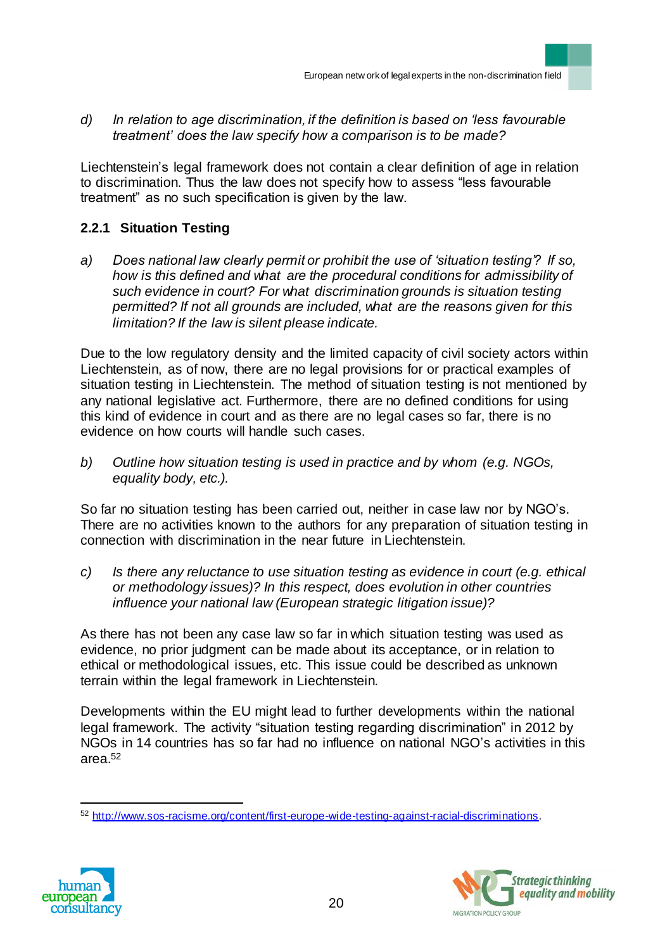*d) In relation to age discrimination, if the definition is based on 'less favourable treatment' does the law specify how a comparison is to be made?*

Liechtenstein's legal framework does not contain a clear definition of age in relation to discrimination. Thus the law does not specify how to assess "less favourable treatment" as no such specification is given by the law.

# **2.2.1 Situation Testing**

*a) Does national law clearly permit or prohibit the use of 'situation testing'? If so, how is this defined and what are the procedural conditions for admissibility of such evidence in court? For what discrimination grounds is situation testing permitted? If not all grounds are included, what are the reasons given for this limitation? If the law is silent please indicate.*

Due to the low regulatory density and the limited capacity of civil society actors within Liechtenstein, as of now, there are no legal provisions for or practical examples of situation testing in Liechtenstein. The method of situation testing is not mentioned by any national legislative act. Furthermore, there are no defined conditions for using this kind of evidence in court and as there are no legal cases so far, there is no evidence on how courts will handle such cases.

*b) Outline how situation testing is used in practice and by whom (e.g. NGOs, equality body, etc.).* 

So far no situation testing has been carried out, neither in case law nor by NGO's. There are no activities known to the authors for any preparation of situation testing in connection with discrimination in the near future in Liechtenstein.

*c) Is there any reluctance to use situation testing as evidence in court (e.g. ethical or methodology issues)? In this respect, does evolution in other countries influence your national law (European strategic litigation issue)?*

As there has not been any case law so far in which situation testing was used as evidence, no prior judgment can be made about its acceptance, or in relation to ethical or methodological issues, etc. This issue could be described as unknown terrain within the legal framework in Liechtenstein.

Developments within the EU might lead to further developments within the national legal framework. The activity "situation testing regarding discrimination" in 2012 by NGOs in 14 countries has so far had no influence on national NGO's activities in this area.<sup>52</sup>

<sup>52</sup> http://www.sos-racisme.org/content/first-europe-wide-testing-against-racial-discriminations.



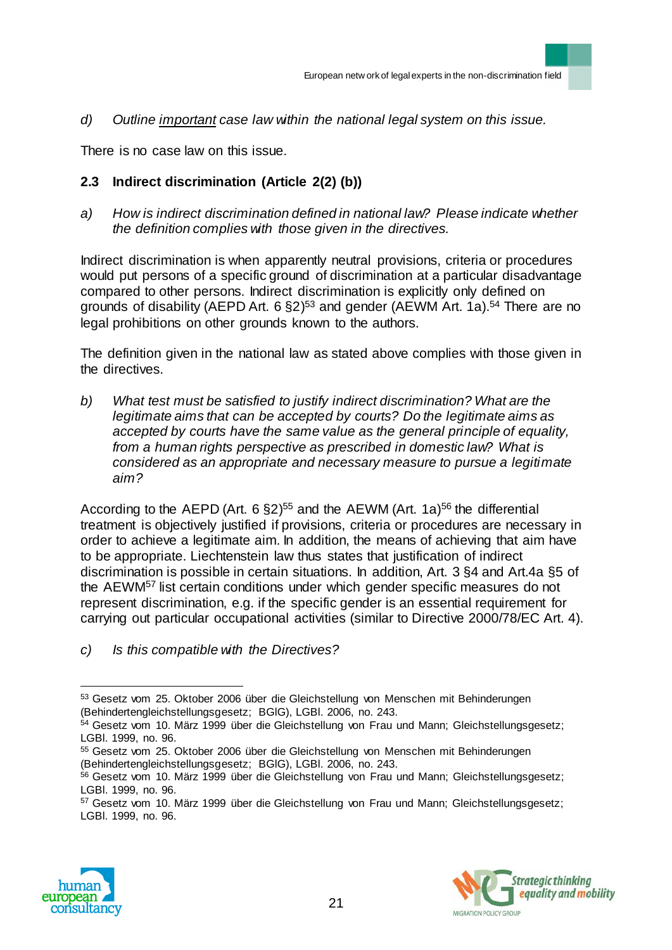*d) Outline important case law within the national legal system on this issue.*

There is no case law on this issue.

# **2.3 Indirect discrimination (Article 2(2) (b))**

*a) How is indirect discrimination defined in national law? Please indicate whether the definition complies with those given in the directives.*

Indirect discrimination is when apparently neutral provisions, criteria or procedures would put persons of a specific ground of discrimination at a particular disadvantage compared to other persons. Indirect discrimination is explicitly only defined on grounds of disability (AEPD Art. 6 §2)<sup>53</sup> and gender (AEWM Art. 1a).<sup>54</sup> There are no legal prohibitions on other grounds known to the authors.

The definition given in the national law as stated above complies with those given in the directives.

*b) What test must be satisfied to justify indirect discrimination? What are the legitimate aims that can be accepted by courts? Do the legitimate aims as accepted by courts have the same value as the general principle of equality, from a human rights perspective as prescribed in domestic law? What is considered as an appropriate and necessary measure to pursue a legitimate aim?*

According to the AEPD (Art. 6  $\S2$ )<sup>55</sup> and the AEWM (Art. 1a)<sup>56</sup> the differential treatment is objectively justified if provisions, criteria or procedures are necessary in order to achieve a legitimate aim. In addition, the means of achieving that aim have to be appropriate. Liechtenstein law thus states that justification of indirect discrimination is possible in certain situations. In addition, Art. 3 §4 and Art.4a §5 of the AEWM<sup>57</sup> list certain conditions under which gender specific measures do not represent discrimination, e.g. if the specific gender is an essential requirement for carrying out particular occupational activities (similar to Directive 2000/78/EC Art. 4).

*c) Is this compatible with the Directives?*

<sup>57</sup> Gesetz vom 10. März 1999 über die Gleichstellung von Frau und Mann; Gleichstellungsgesetz; LGBl. 1999, no. 96.





 $\overline{a}$ <sup>53</sup> Gesetz vom 25. Oktober 2006 über die Gleichstellung von Menschen mit Behinderungen (Behindertengleichstellungsgesetz; BGlG), LGBl. 2006, no. 243.

<sup>54</sup> Gesetz vom 10. März 1999 über die Gleichstellung von Frau und Mann; Gleichstellungsgesetz; LGBl. 1999, no. 96.

<sup>55</sup> Gesetz vom 25. Oktober 2006 über die Gleichstellung von Menschen mit Behinderungen (Behindertengleichstellungsgesetz; BGlG), LGBl. 2006, no. 243.

<sup>&</sup>lt;sup>56</sup> Gesetz vom 10. März 1999 über die Gleichstellung von Frau und Mann; Gleichstellungsgesetz; LGBl. 1999, no. 96.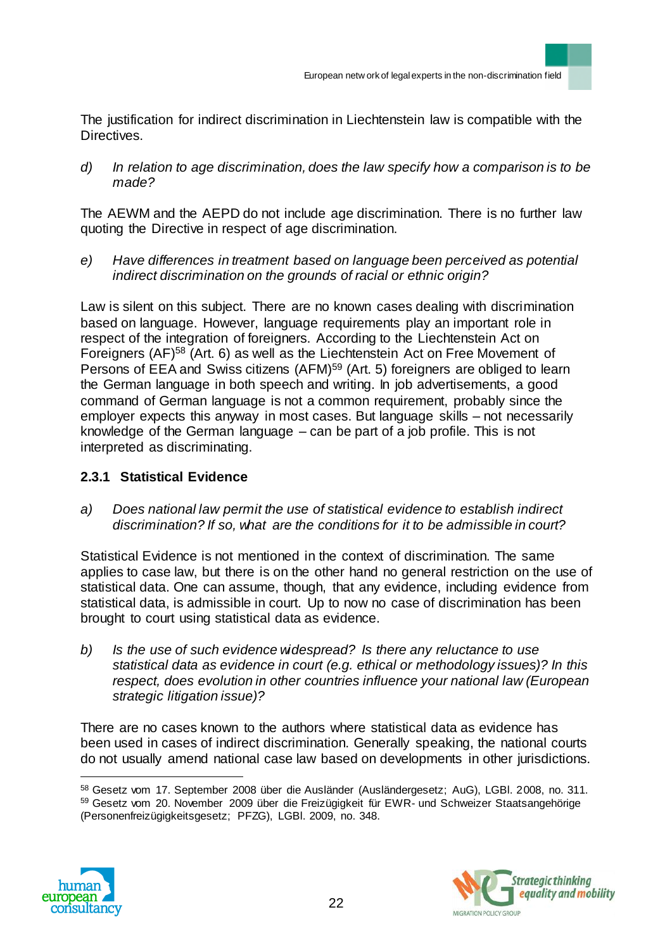The justification for indirect discrimination in Liechtenstein law is compatible with the Directives.

*d) In relation to age discrimination, does the law specify how a comparison is to be made?*

The AEWM and the AEPD do not include age discrimination. There is no further law quoting the Directive in respect of age discrimination.

*e) Have differences in treatment based on language been perceived as potential indirect discrimination on the grounds of racial or ethnic origin?* 

Law is silent on this subject. There are no known cases dealing with discrimination based on language. However, language requirements play an important role in respect of the integration of foreigners. According to the Liechtenstein Act on Foreigners (AF)<sup>58</sup> (Art. 6) as well as the Liechtenstein Act on Free Movement of Persons of EEA and Swiss citizens (AFM)<sup>59</sup> (Art. 5) foreigners are obliged to learn the German language in both speech and writing. In job advertisements, a good command of German language is not a common requirement, probably since the employer expects this anyway in most cases. But language skills – not necessarily knowledge of the German language – can be part of a job profile. This is not interpreted as discriminating.

## **2.3.1 Statistical Evidence**

*a) Does national law permit the use of statistical evidence to establish indirect discrimination? If so, what are the conditions for it to be admissible in court?*

Statistical Evidence is not mentioned in the context of discrimination. The same applies to case law, but there is on the other hand no general restriction on the use of statistical data. One can assume, though, that any evidence, including evidence from statistical data, is admissible in court. Up to now no case of discrimination has been brought to court using statistical data as evidence.

*b) Is the use of such evidence widespread? Is there any reluctance to use statistical data as evidence in court (e.g. ethical or methodology issues)? In this respect, does evolution in other countries influence your national law (European strategic litigation issue)?*

There are no cases known to the authors where statistical data as evidence has been used in cases of indirect discrimination. Generally speaking, the national courts do not usually amend national case law based on developments in other jurisdictions.

 $\overline{a}$ <sup>58</sup> Gesetz vom 17. September 2008 über die Ausländer (Ausländergesetz; AuG), LGBl. 2008, no. 311. 59 Gesetz vom 20. November 2009 über die Freizügigkeit für EWR- und Schweizer Staatsangehörige (Personenfreizügigkeitsgesetz; PFZG), LGBl. 2009, no. 348.



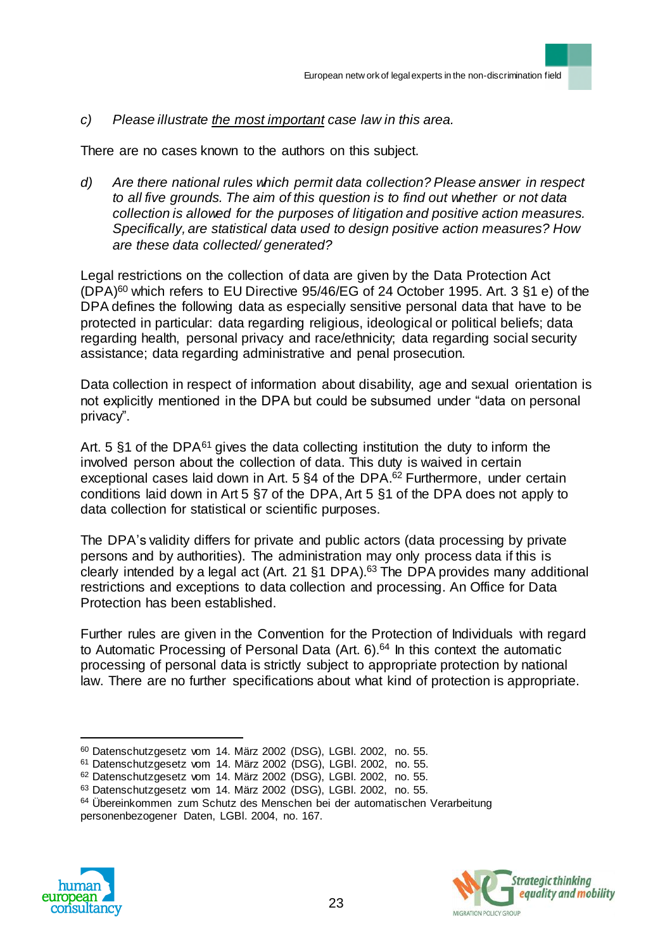#### *c) Please illustrate the most important case law in this area.*

There are no cases known to the authors on this subject.

*d) Are there national rules which permit data collection? Please answer in respect to all five grounds. The aim of this question is to find out whether or not data collection is allowed for the purposes of litigation and positive action measures. Specifically, are statistical data used to design positive action measures? How are these data collected/ generated?*

Legal restrictions on the collection of data are given by the Data Protection Act (DPA)<sup>60</sup> which refers to EU Directive 95/46/EG of 24 October 1995. Art. 3 §1 e) of the DPA defines the following data as especially sensitive personal data that have to be protected in particular: data regarding religious, ideological or political beliefs; data regarding health, personal privacy and race/ethnicity; data regarding social security assistance; data regarding administrative and penal prosecution.

Data collection in respect of information about disability, age and sexual orientation is not explicitly mentioned in the DPA but could be subsumed under "data on personal privacy".

Art. 5  $§1$  of the DPA $^{61}$  gives the data collecting institution the duty to inform the involved person about the collection of data. This duty is waived in certain exceptional cases laid down in Art. 5 §4 of the DPA.<sup>62</sup> Furthermore, under certain conditions laid down in Art 5 §7 of the DPA, Art 5 §1 of the DPA does not apply to data collection for statistical or scientific purposes.

The DPA's validity differs for private and public actors (data processing by private persons and by authorities). The administration may only process data if this is clearly intended by a legal act (Art. 21  $\S1$  DPA).<sup>63</sup> The DPA provides many additional restrictions and exceptions to data collection and processing. An Office for Data Protection has been established.

Further rules are given in the Convention for the Protection of Individuals with regard to Automatic Processing of Personal Data (Art. 6).<sup>64</sup> In this context the automatic processing of personal data is strictly subject to appropriate protection by national law. There are no further specifications about what kind of protection is appropriate.

<sup>&</sup>lt;sup>64</sup> Übereinkommen zum Schutz des Menschen bei der automatischen Verarbeitung personenbezogener Daten, LGBl. 2004, no. 167.





<sup>60</sup> Datenschutzgesetz vom 14. März 2002 (DSG), LGBl. 2002, no. 55.

<sup>61</sup> Datenschutzgesetz vom 14. März 2002 (DSG), LGBl. 2002, no. 55.

<sup>62</sup> Datenschutzgesetz vom 14. März 2002 (DSG), LGBl. 2002, no. 55.

<sup>63</sup> Datenschutzgesetz vom 14. März 2002 (DSG), LGBl. 2002, no. 55.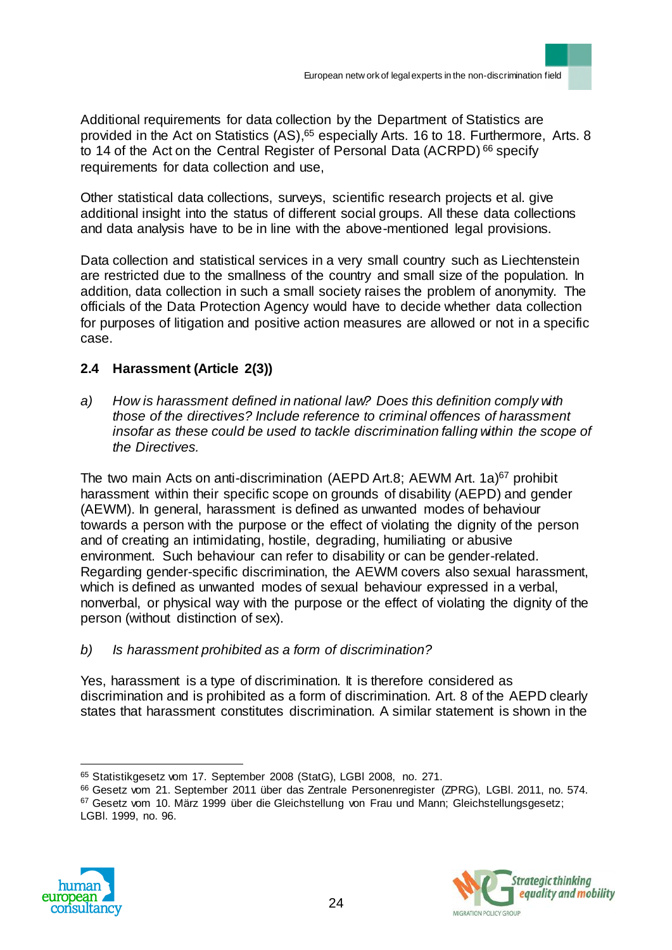Additional requirements for data collection by the Department of Statistics are provided in the Act on Statistics (AS),<sup>65</sup> especially Arts. 16 to 18. Furthermore, Arts. 8 to 14 of the Act on the Central Register of Personal Data (ACRPD) <sup>66</sup> specify requirements for data collection and use,

Other statistical data collections, surveys, scientific research projects et al. give additional insight into the status of different social groups. All these data collections and data analysis have to be in line with the above-mentioned legal provisions.

Data collection and statistical services in a very small country such as Liechtenstein are restricted due to the smallness of the country and small size of the population. In addition, data collection in such a small society raises the problem of anonymity. The officials of the Data Protection Agency would have to decide whether data collection for purposes of litigation and positive action measures are allowed or not in a specific case.

## **2.4 Harassment (Article 2(3))**

*a) How is harassment defined in national law? Does this definition comply with those of the directives? Include reference to criminal offences of harassment insofar as these could be used to tackle discrimination falling within the scope of the Directives.*

The two main Acts on anti-discrimination (AEPD Art.8; AEWM Art. 1a)<sup>67</sup> prohibit harassment within their specific scope on grounds of disability (AEPD) and gender (AEWM). In general, harassment is defined as unwanted modes of behaviour towards a person with the purpose or the effect of violating the dignity of the person and of creating an intimidating, hostile, degrading, humiliating or abusive environment. Such behaviour can refer to disability or can be gender-related. Regarding gender-specific discrimination, the AEWM covers also sexual harassment, which is defined as unwanted modes of sexual behaviour expressed in a verbal, nonverbal, or physical way with the purpose or the effect of violating the dignity of the person (without distinction of sex).

*b) Is harassment prohibited as a form of discrimination?* 

Yes, harassment is a type of discrimination. It is therefore considered as discrimination and is prohibited as a form of discrimination. Art. 8 of the AEPD clearly states that harassment constitutes discrimination. A similar statement is shown in the

<sup>67</sup> Gesetz vom 10. März 1999 über die Gleichstellung von Frau und Mann; Gleichstellungsgesetz; LGBl. 1999, no. 96.





<sup>65</sup> Statistikgesetz vom 17. September 2008 (StatG), LGBl 2008, no. 271.

<sup>66</sup> Gesetz vom 21. September 2011 über das Zentrale Personenregister (ZPRG), LGBl. 2011, no. 574.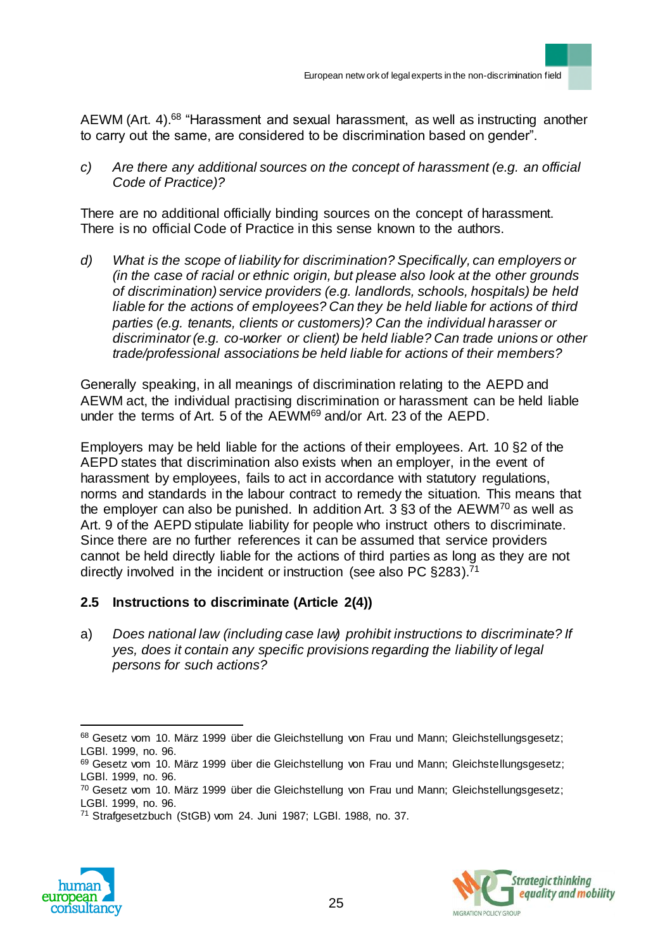AEWM (Art. 4).<sup>68</sup> "Harassment and sexual harassment, as well as instructing another to carry out the same, are considered to be discrimination based on gender".

*c) Are there any additional sources on the concept of harassment (e.g. an official Code of Practice)?*

There are no additional officially binding sources on the concept of harassment. There is no official Code of Practice in this sense known to the authors.

*d) What is the scope of liability for discrimination? Specifically, can employers or (in the case of racial or ethnic origin, but please also look at the other grounds of discrimination) service providers (e.g. landlords, schools, hospitals) be held liable for the actions of employees? Can they be held liable for actions of third parties (e.g. tenants, clients or customers)? Can the individual harasser or discriminator (e.g. co-worker or client) be held liable? Can trade unions or other trade/professional associations be held liable for actions of their members?*

Generally speaking, in all meanings of discrimination relating to the AEPD and AEWM act, the individual practising discrimination or harassment can be held liable under the terms of Art. 5 of the AEWM<sup>69</sup> and/or Art. 23 of the AEPD.

Employers may be held liable for the actions of their employees. Art. 10 §2 of the AEPD states that discrimination also exists when an employer, in the event of harassment by employees, fails to act in accordance with statutory regulations, norms and standards in the labour contract to remedy the situation. This means that the employer can also be punished. In addition Art. 3  $\S$ 3 of the AEWM<sup>70</sup> as well as Art. 9 of the AEPD stipulate liability for people who instruct others to discriminate. Since there are no further references it can be assumed that service providers cannot be held directly liable for the actions of third parties as long as they are not directly involved in the incident or instruction (see also PC §283).<sup>71</sup>

## **2.5 Instructions to discriminate (Article 2(4))**

a) *Does national law (including case law) prohibit instructions to discriminate? If yes, does it contain any specific provisions regarding the liability of legal persons for such actions?*

<sup>71</sup> Strafgesetzbuch (StGB) vom 24. Juni 1987; LGBl. 1988, no. 37.





<sup>68</sup> Gesetz vom 10. März 1999 über die Gleichstellung von Frau und Mann; Gleichstellungsgesetz; LGBl. 1999, no. 96.

<sup>69</sup> Gesetz vom 10. März 1999 über die Gleichstellung von Frau und Mann; Gleichstellungsgesetz; LGBl. 1999, no. 96.

<sup>70</sup> Gesetz vom 10. März 1999 über die Gleichstellung von Frau und Mann; Gleichstellungsgesetz; LGBl. 1999, no. 96.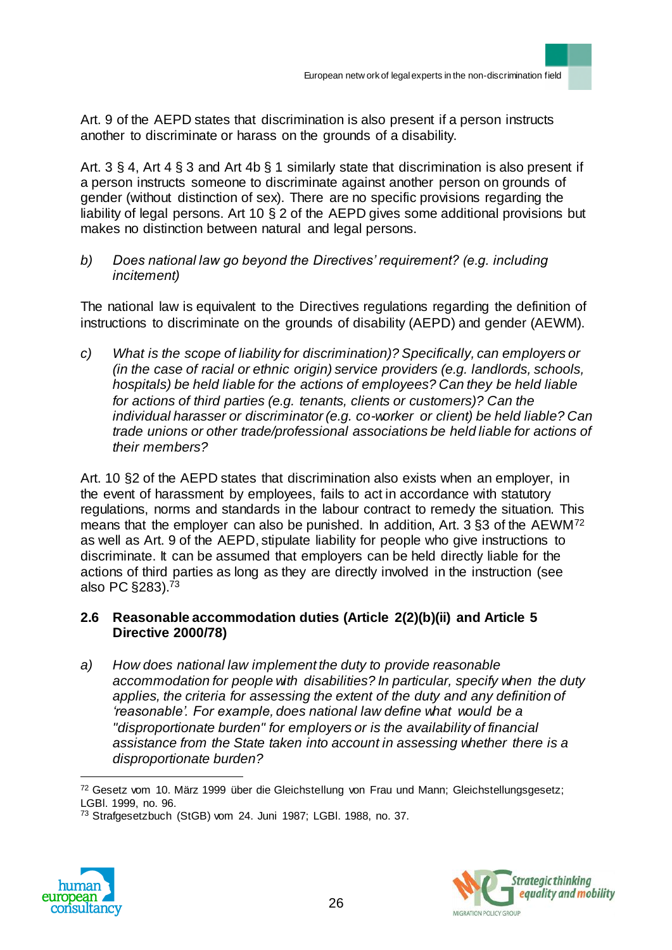Art. 9 of the AEPD states that discrimination is also present if a person instructs another to discriminate or harass on the grounds of a disability.

Art. 3 § 4, Art 4 § 3 and Art 4b § 1 similarly state that discrimination is also present if a person instructs someone to discriminate against another person on grounds of gender (without distinction of sex). There are no specific provisions regarding the liability of legal persons. Art 10 § 2 of the AEPD gives some additional provisions but makes no distinction between natural and legal persons.

*b) Does national law go beyond the Directives' requirement? (e.g. including incitement)*

The national law is equivalent to the Directives regulations regarding the definition of instructions to discriminate on the grounds of disability (AEPD) and gender (AEWM).

*c) What is the scope of liability for discrimination)? Specifically, can employers or (in the case of racial or ethnic origin) service providers (e.g. landlords, schools, hospitals) be held liable for the actions of employees? Can they be held liable for actions of third parties (e.g. tenants, clients or customers)? Can the individual harasser or discriminator (e.g. co-worker or client) be held liable? Can trade unions or other trade/professional associations be held liable for actions of their members?*

Art. 10 §2 of the AEPD states that discrimination also exists when an employer, in the event of harassment by employees, fails to act in accordance with statutory regulations, norms and standards in the labour contract to remedy the situation. This means that the employer can also be punished. In addition, Art. 3 §3 of the AEWM<sup>72</sup> as well as Art. 9 of the AEPD, stipulate liability for people who give instructions to discriminate. It can be assumed that employers can be held directly liable for the actions of third parties as long as they are directly involved in the instruction (see also PC §283).<sup>73</sup>

### **2.6 Reasonable accommodation duties (Article 2(2)(b)(ii) and Article 5 Directive 2000/78)**

*a) How does national law implement the duty to provide reasonable accommodation for people with disabilities? In particular, specify when the duty applies, the criteria for assessing the extent of the duty and any definition of 'reasonable'. For example, does national law define what would be a "disproportionate burden" for employers or is the availability of financial assistance from the State taken into account in assessing whether there is a disproportionate burden?* 

<sup>73</sup> Strafgesetzbuch (StGB) vom 24. Juni 1987; LGBl. 1988, no. 37.





<sup>72</sup> Gesetz vom 10. März 1999 über die Gleichstellung von Frau und Mann; Gleichstellungsgesetz; LGBl. 1999, no. 96.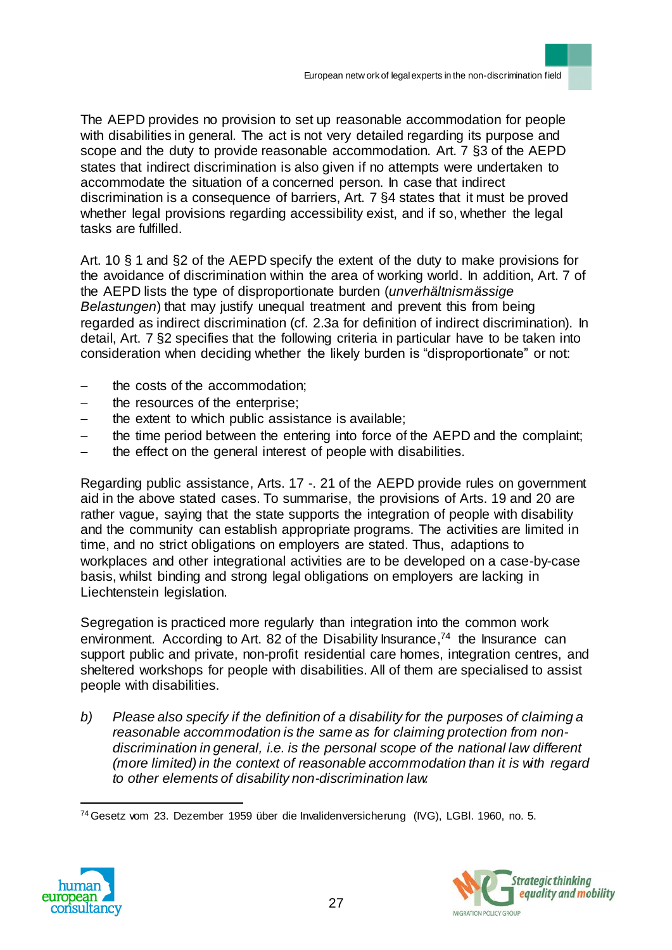The AEPD provides no provision to set up reasonable accommodation for people with disabilities in general. The act is not very detailed regarding its purpose and scope and the duty to provide reasonable accommodation. Art. 7 §3 of the AEPD states that indirect discrimination is also given if no attempts were undertaken to accommodate the situation of a concerned person. In case that indirect discrimination is a consequence of barriers, Art. 7 §4 states that it must be proved whether legal provisions regarding accessibility exist, and if so, whether the legal tasks are fulfilled.

Art. 10 § 1 and §2 of the AEPD specify the extent of the duty to make provisions for the avoidance of discrimination within the area of working world. In addition, Art. 7 of the AEPD lists the type of disproportionate burden (*unverhältnismässige Belastungen*) that may justify unequal treatment and prevent this from being regarded as indirect discrimination (cf. 2.3a for definition of indirect discrimination). In detail, Art. 7 §2 specifies that the following criteria in particular have to be taken into consideration when deciding whether the likely burden is "disproportionate" or not:

- the costs of the accommodation;
- the resources of the enterprise;
- the extent to which public assistance is available;
- the time period between the entering into force of the AEPD and the complaint;
- the effect on the general interest of people with disabilities.

Regarding public assistance, Arts. 17 -. 21 of the AEPD provide rules on government aid in the above stated cases. To summarise, the provisions of Arts. 19 and 20 are rather vague, saying that the state supports the integration of people with disability and the community can establish appropriate programs. The activities are limited in time, and no strict obligations on employers are stated. Thus, adaptions to workplaces and other integrational activities are to be developed on a case-by-case basis, whilst binding and strong legal obligations on employers are lacking in Liechtenstein legislation.

Segregation is practiced more regularly than integration into the common work environment. According to Art. 82 of the Disability Insurance,<sup>74</sup> the Insurance can support public and private, non-profit residential care homes, integration centres, and sheltered workshops for people with disabilities. All of them are specialised to assist people with disabilities.

*b) Please also specify if the definition of a disability for the purposes of claiming a reasonable accommodation is the same as for claiming protection from nondiscrimination in general, i.e. is the personal scope of the national law different (more limited) in the context of reasonable accommodation than it is with regard to other elements of disability non-discrimination law.*

<sup>74</sup>Gesetz vom 23. Dezember 1959 über die Invalidenversicherung (IVG), LGBl. 1960, no. 5.



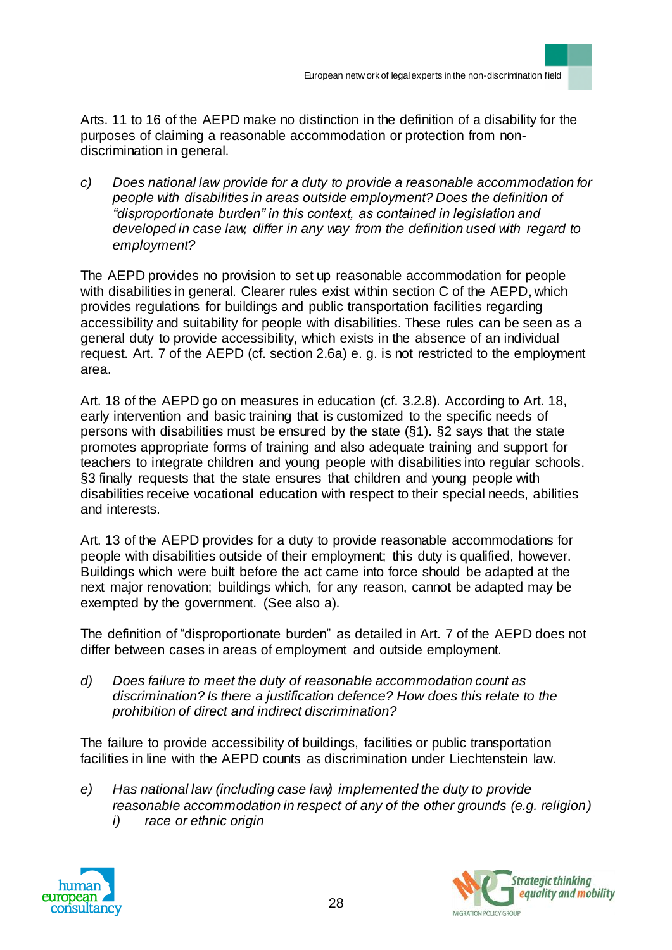Arts. 11 to 16 of the AEPD make no distinction in the definition of a disability for the purposes of claiming a reasonable accommodation or protection from nondiscrimination in general.

*c) Does national law provide for a duty to provide a reasonable accommodation for people with disabilities in areas outside employment? Does the definition of "disproportionate burden" in this context, as contained in legislation and developed in case law, differ in any way from the definition used with regard to employment?* 

The AEPD provides no provision to set up reasonable accommodation for people with disabilities in general. Clearer rules exist within section C of the AEPD, which provides regulations for buildings and public transportation facilities regarding accessibility and suitability for people with disabilities. These rules can be seen as a general duty to provide accessibility, which exists in the absence of an individual request. Art. 7 of the AEPD (cf. section 2.6a) e. g. is not restricted to the employment area.

Art. 18 of the AEPD go on measures in education (cf. 3.2.8). According to Art. 18, early intervention and basic training that is customized to the specific needs of persons with disabilities must be ensured by the state (§1). §2 says that the state promotes appropriate forms of training and also adequate training and support for teachers to integrate children and young people with disabilities into regular schools. §3 finally requests that the state ensures that children and young people with disabilities receive vocational education with respect to their special needs, abilities and interests.

Art. 13 of the AEPD provides for a duty to provide reasonable accommodations for people with disabilities outside of their employment; this duty is qualified, however. Buildings which were built before the act came into force should be adapted at the next major renovation; buildings which, for any reason, cannot be adapted may be exempted by the government. (See also a).

The definition of "disproportionate burden" as detailed in Art. 7 of the AEPD does not differ between cases in areas of employment and outside employment.

*d) Does failure to meet the duty of reasonable accommodation count as discrimination? Is there a justification defence? How does this relate to the prohibition of direct and indirect discrimination?*

The failure to provide accessibility of buildings, facilities or public transportation facilities in line with the AEPD counts as discrimination under Liechtenstein law.

- *e) Has national law (including case law) implemented the duty to provide reasonable accommodation in respect of any of the other grounds (e.g. religion)*
	- *i) race or ethnic origin*



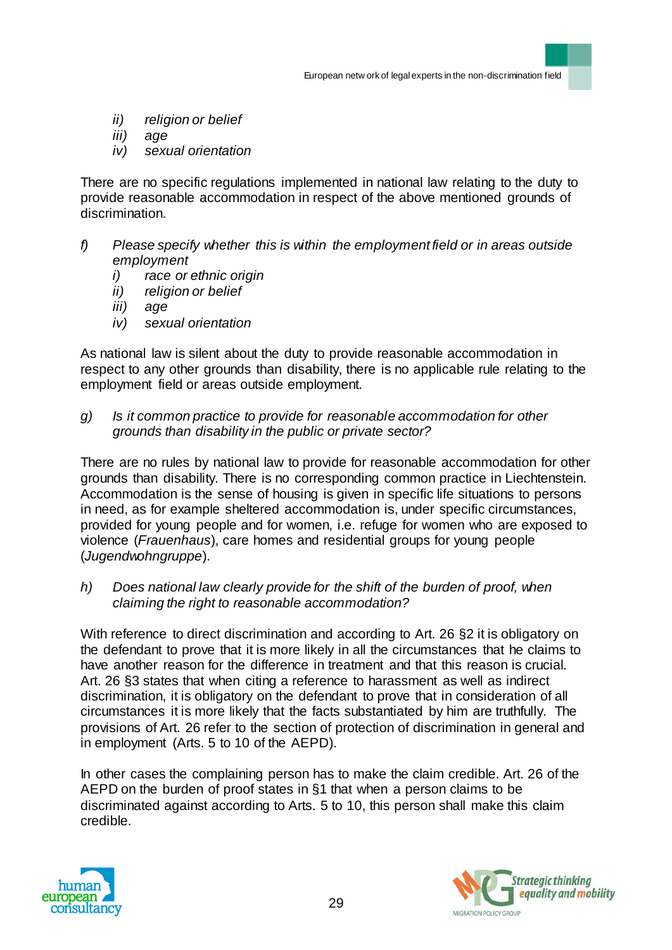- *ii) religion or belief*
- *iii) age*
- *iv) sexual orientation*

There are no specific regulations implemented in national law relating to the duty to provide reasonable accommodation in respect of the above mentioned grounds of discrimination.

- *f) Please specify whether this is within the employment field or in areas outside employment*
	- *i) race or ethnic origin*
	- *ii) religion or belief*
	- *iii) age*
	- *iv) sexual orientation*

As national law is silent about the duty to provide reasonable accommodation in respect to any other grounds than disability, there is no applicable rule relating to the employment field or areas outside employment.

*g) Is it common practice to provide for reasonable accommodation for other grounds than disability in the public or private sector?*

There are no rules by national law to provide for reasonable accommodation for other grounds than disability. There is no corresponding common practice in Liechtenstein. Accommodation is the sense of housing is given in specific life situations to persons in need, as for example sheltered accommodation is, under specific circumstances, provided for young people and for women, i.e. refuge for women who are exposed to violence (*Frauenhaus*), care homes and residential groups for young people (*Jugendwohngruppe*).

*h) Does national law clearly provide for the shift of the burden of proof, when claiming the right to reasonable accommodation?*

With reference to direct discrimination and according to Art. 26 §2 it is obligatory on the defendant to prove that it is more likely in all the circumstances that he claims to have another reason for the difference in treatment and that this reason is crucial. Art. 26 §3 states that when citing a reference to harassment as well as indirect discrimination, it is obligatory on the defendant to prove that in consideration of all circumstances it is more likely that the facts substantiated by him are truthfully. The provisions of Art. 26 refer to the section of protection of discrimination in general and in employment (Arts. 5 to 10 of the AEPD).

In other cases the complaining person has to make the claim credible. Art. 26 of the AEPD on the burden of proof states in §1 that when a person claims to be discriminated against according to Arts. 5 to 10, this person shall make this claim credible.



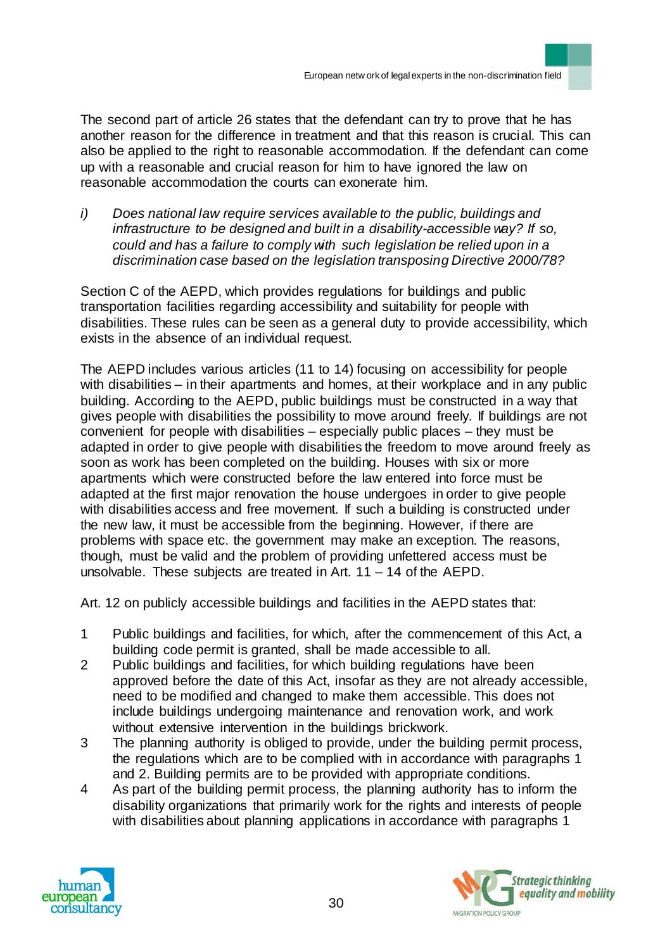

The second part of article 26 states that the defendant can try to prove that he has another reason for the difference in treatment and that this reason is crucial. This can also be applied to the right to reasonable accommodation. If the defendant can come up with a reasonable and crucial reason for him to have ignored the law on reasonable accommodation the courts can exonerate him.

*i) Does national law require services available to the public, buildings and infrastructure to be designed and built in a disability-accessible way? If so, could and has a failure to comply with such legislation be relied upon in a discrimination case based on the legislation transposing Directive 2000/78?*

Section C of the AEPD, which provides regulations for buildings and public transportation facilities regarding accessibility and suitability for people with disabilities. These rules can be seen as a general duty to provide accessibility, which exists in the absence of an individual request.

The AEPD includes various articles (11 to 14) focusing on accessibility for people with disabilities – in their apartments and homes, at their workplace and in any public building. According to the AEPD, public buildings must be constructed in a way that gives people with disabilities the possibility to move around freely. If buildings are not convenient for people with disabilities – especially public places – they must be adapted in order to give people with disabilities the freedom to move around freely as soon as work has been completed on the building. Houses with six or more apartments which were constructed before the law entered into force must be adapted at the first major renovation the house undergoes in order to give people with disabilities access and free movement. If such a building is constructed under the new law, it must be accessible from the beginning. However, if there are problems with space etc. the government may make an exception. The reasons, though, must be valid and the problem of providing unfettered access must be unsolvable. These subjects are treated in Art. 11 – 14 of the AEPD.

Art. 12 on publicly accessible buildings and facilities in the AEPD states that:

- 1 Public buildings and facilities, for which, after the commencement of this Act, a building code permit is granted, shall be made accessible to all.
- 2 Public buildings and facilities, for which building regulations have been approved before the date of this Act, insofar as they are not already accessible, need to be modified and changed to make them accessible. This does not include buildings undergoing maintenance and renovation work, and work without extensive intervention in the buildings brickwork.
- 3 The planning authority is obliged to provide, under the building permit process, the regulations which are to be complied with in accordance with paragraphs 1 and 2. Building permits are to be provided with appropriate conditions.
- 4 As part of the building permit process, the planning authority has to inform the disability organizations that primarily work for the rights and interests of people with disabilities about planning applications in accordance with paragraphs 1



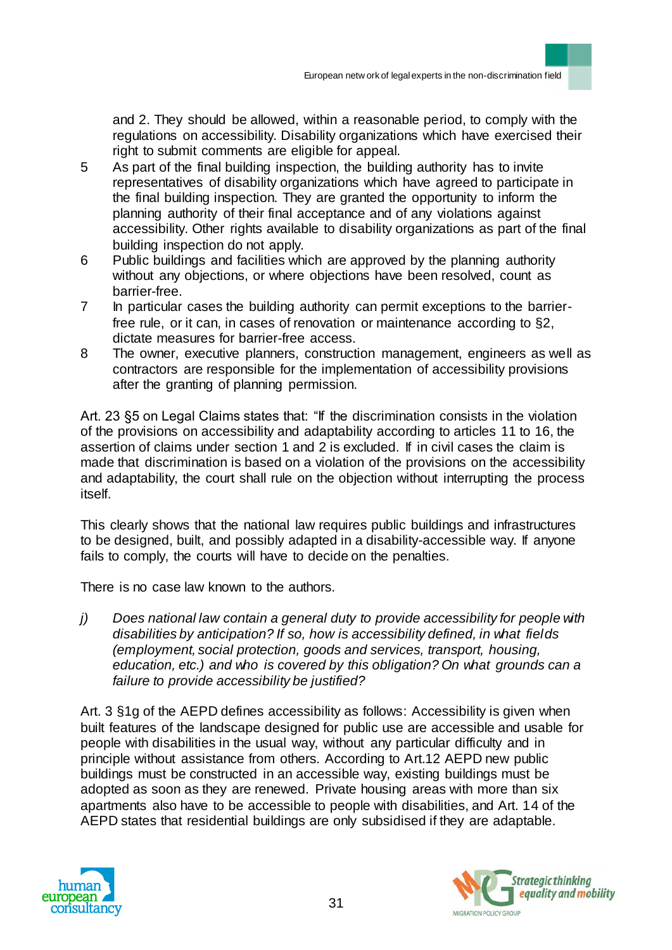and 2. They should be allowed, within a reasonable period, to comply with the regulations on accessibility. Disability organizations which have exercised their right to submit comments are eligible for appeal.

- 5 As part of the final building inspection, the building authority has to invite representatives of disability organizations which have agreed to participate in the final building inspection. They are granted the opportunity to inform the planning authority of their final acceptance and of any violations against accessibility. Other rights available to disability organizations as part of the final building inspection do not apply.
- 6 Public buildings and facilities which are approved by the planning authority without any objections, or where objections have been resolved, count as barrier-free.
- 7 In particular cases the building authority can permit exceptions to the barrierfree rule, or it can, in cases of renovation or maintenance according to §2, dictate measures for barrier-free access.
- 8 The owner, executive planners, construction management, engineers as well as contractors are responsible for the implementation of accessibility provisions after the granting of planning permission.

Art. 23 §5 on Legal Claims states that: "If the discrimination consists in the violation of the provisions on accessibility and adaptability according to articles 11 to 16, the assertion of claims under section 1 and 2 is excluded. If in civil cases the claim is made that discrimination is based on a violation of the provisions on the accessibility and adaptability, the court shall rule on the objection without interrupting the process itself.

This clearly shows that the national law requires public buildings and infrastructures to be designed, built, and possibly adapted in a disability-accessible way. If anyone fails to comply, the courts will have to decide on the penalties.

There is no case law known to the authors.

*j) Does national law contain a general duty to provide accessibility for people with disabilities by anticipation? If so, how is accessibility defined, in what fields (employment, social protection, goods and services, transport, housing, education, etc.) and who is covered by this obligation? On what grounds can a failure to provide accessibility be justified?*

Art. 3 §1g of the AEPD defines accessibility as follows: Accessibility is given when built features of the landscape designed for public use are accessible and usable for people with disabilities in the usual way, without any particular difficulty and in principle without assistance from others. According to Art.12 AEPD new public buildings must be constructed in an accessible way, existing buildings must be adopted as soon as they are renewed. Private housing areas with more than six apartments also have to be accessible to people with disabilities, and Art. 14 of the AEPD states that residential buildings are only subsidised if they are adaptable.



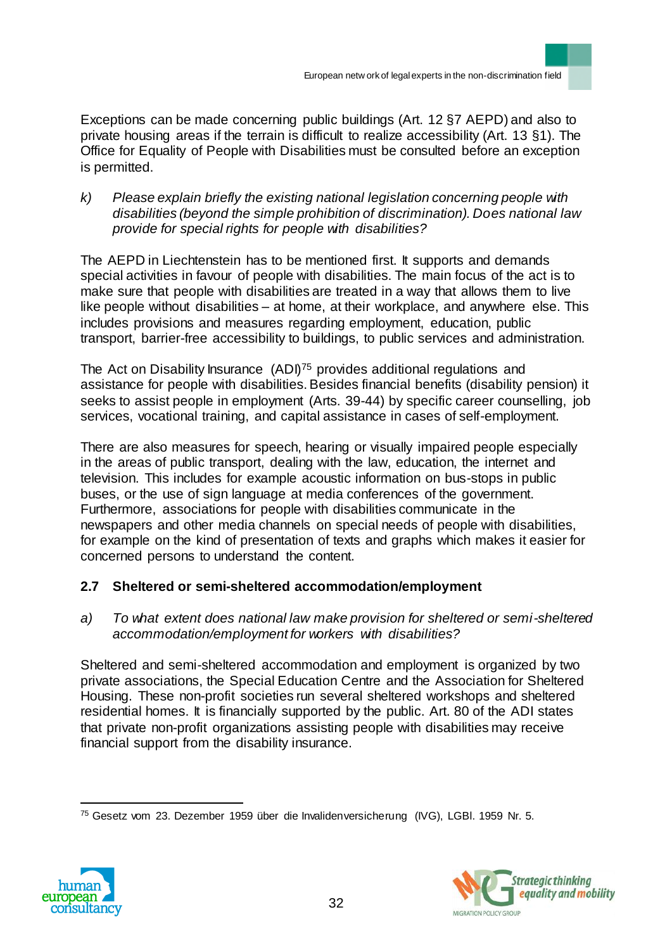Exceptions can be made concerning public buildings (Art. 12 §7 AEPD) and also to private housing areas if the terrain is difficult to realize accessibility (Art. 13 §1). The Office for Equality of People with Disabilities must be consulted before an exception is permitted.

*k) Please explain briefly the existing national legislation concerning people with disabilities (beyond the simple prohibition of discrimination). Does national law provide for special rights for people with disabilities?*

The AEPD in Liechtenstein has to be mentioned first. It supports and demands special activities in favour of people with disabilities. The main focus of the act is to make sure that people with disabilities are treated in a way that allows them to live like people without disabilities – at home, at their workplace, and anywhere else. This includes provisions and measures regarding employment, education, public transport, barrier-free accessibility to buildings, to public services and administration.

The Act on Disability Insurance (ADI)<sup>75</sup> provides additional regulations and assistance for people with disabilities. Besides financial benefits (disability pension) it seeks to assist people in employment (Arts. 39-44) by specific career counselling, job services, vocational training, and capital assistance in cases of self-employment.

There are also measures for speech, hearing or visually impaired people especially in the areas of public transport, dealing with the law, education, the internet and television. This includes for example acoustic information on bus-stops in public buses, or the use of sign language at media conferences of the government. Furthermore, associations for people with disabilities communicate in the newspapers and other media channels on special needs of people with disabilities, for example on the kind of presentation of texts and graphs which makes it easier for concerned persons to understand the content.

# **2.7 Sheltered or semi-sheltered accommodation/employment**

*a) To what extent does national law make provision for sheltered or semi-sheltered accommodation/employment for workers with disabilities?* 

Sheltered and semi-sheltered accommodation and employment is organized by two private associations, the Special Education Centre and the Association for Sheltered Housing. These non-profit societies run several sheltered workshops and sheltered residential homes. It is financially supported by the public. Art. 80 of the ADI states that private non-profit organizations assisting people with disabilities may receive financial support from the disability insurance.

 $\overline{a}$ <sup>75</sup> Gesetz vom 23. Dezember 1959 über die Invalidenversicherung (IVG), LGBl. 1959 Nr. 5.



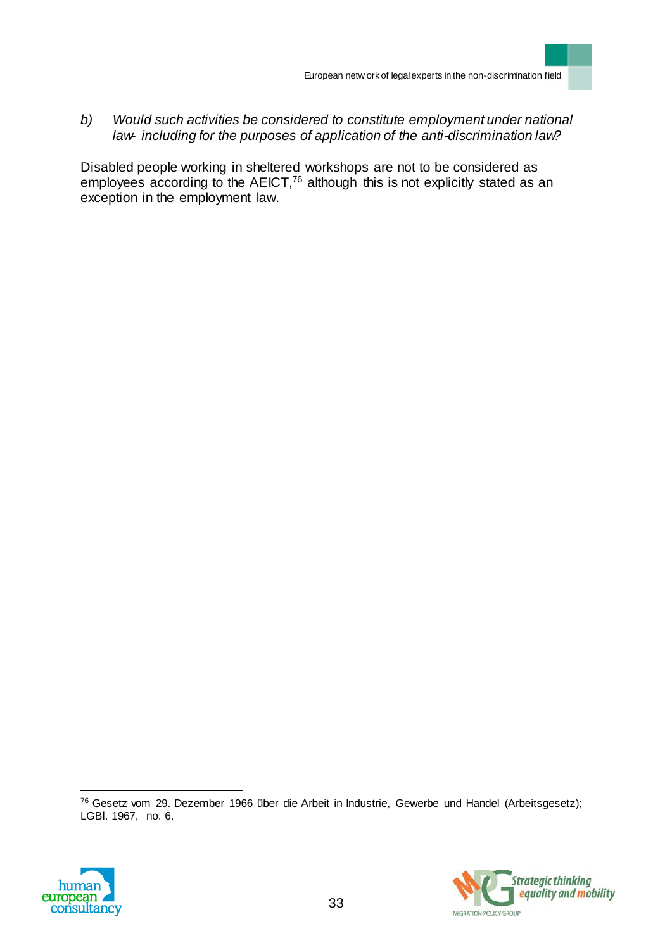*b) Would such activities be considered to constitute employment under national law- including for the purposes of application of the anti-discrimination law?*

Disabled people working in sheltered workshops are not to be considered as employees according to the  $AECT$ ,<sup>76</sup> although this is not explicitly stated as an exception in the employment law.

<sup>76</sup> Gesetz vom 29. Dezember 1966 über die Arbeit in Industrie, Gewerbe und Handel (Arbeitsgesetz); LGBl. 1967, no. 6.



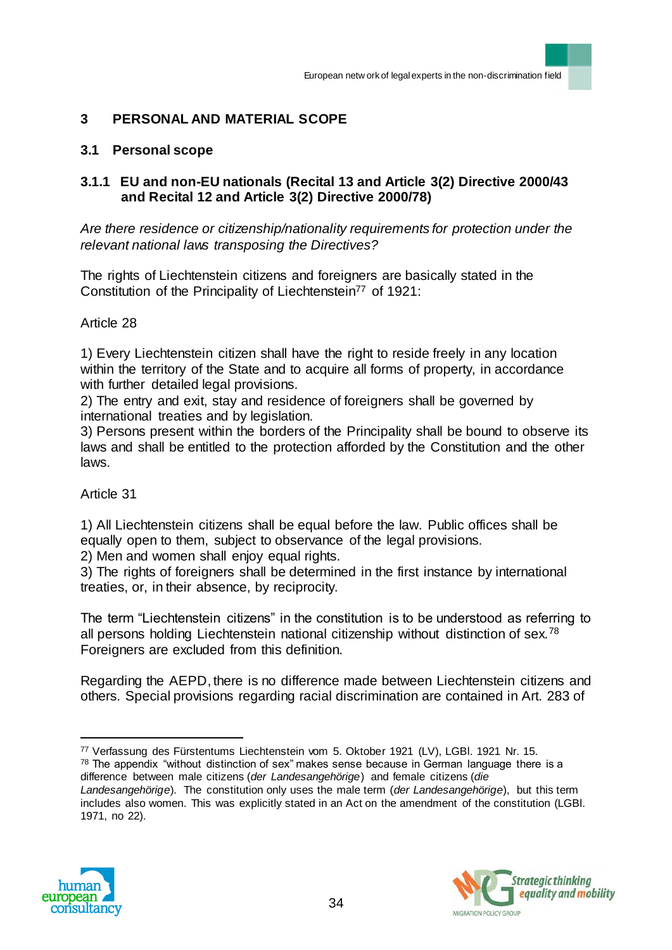# **3 PERSONAL AND MATERIAL SCOPE**

### **3.1 Personal scope**

### **3.1.1 EU and non-EU nationals (Recital 13 and Article 3(2) Directive 2000/43 and Recital 12 and Article 3(2) Directive 2000/78)**

*Are there residence or citizenship/nationality requirements for protection under the relevant national laws transposing the Directives?* 

The rights of Liechtenstein citizens and foreigners are basically stated in the Constitution of the Principality of Liechtenstein<sup>77</sup> of 1921:

#### Article 28

1) Every Liechtenstein citizen shall have the right to reside freely in any location within the territory of the State and to acquire all forms of property, in accordance with further detailed legal provisions.

2) The entry and exit, stay and residence of foreigners shall be governed by international treaties and by legislation.

3) Persons present within the borders of the Principality shall be bound to observe its laws and shall be entitled to the protection afforded by the Constitution and the other laws.

#### Article 31

1) All Liechtenstein citizens shall be equal before the law. Public offices shall be equally open to them, subject to observance of the legal provisions.

2) Men and women shall enjoy equal rights.

3) The rights of foreigners shall be determined in the first instance by international treaties, or, in their absence, by reciprocity.

The term "Liechtenstein citizens" in the constitution is to be understood as referring to all persons holding Liechtenstein national citizenship without distinction of sex.<sup>78</sup> Foreigners are excluded from this definition.

Regarding the AEPD, there is no difference made between Liechtenstein citizens and others. Special provisions regarding racial discrimination are contained in Art. 283 of

*Landesangehörige*). The constitution only uses the male term (*der Landesangehörige*), but this term includes also women. This was explicitly stated in an Act on the amendment of the constitution (LGBl. 1971, no 22).





 $\overline{a}$ <sup>77</sup> Verfassung des Fürstentums Liechtenstein vom 5. Oktober 1921 (LV), LGBl. 1921 Nr. 15.  $78$  The appendix "without distinction of sex" makes sense because in German language there is a difference between male citizens (*der Landesangehörige*) and female citizens (*die*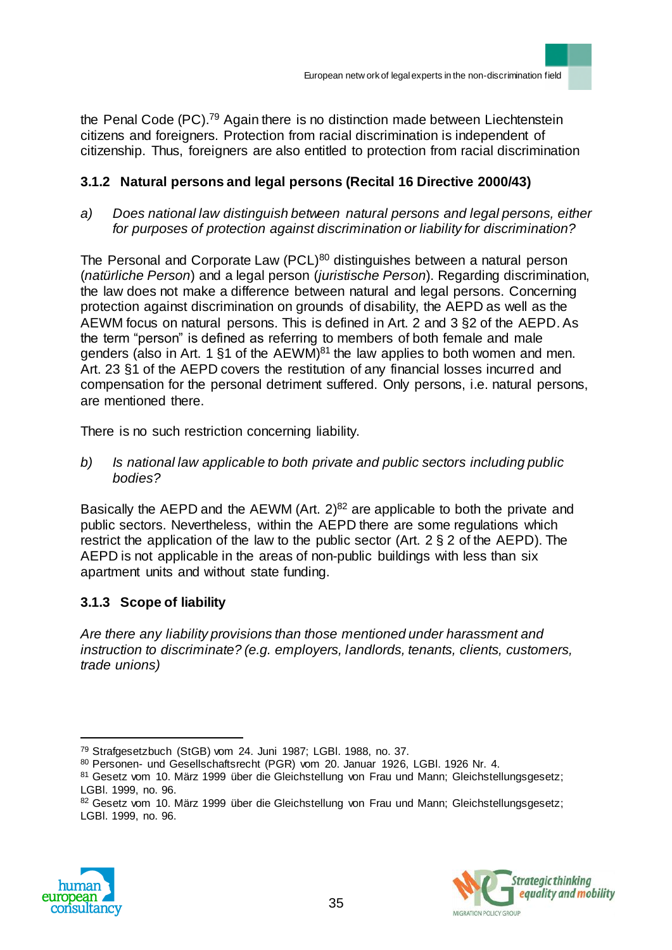the Penal Code (PC).<sup>79</sup> Again there is no distinction made between Liechtenstein citizens and foreigners. Protection from racial discrimination is independent of citizenship. Thus, foreigners are also entitled to protection from racial discrimination

# **3.1.2 Natural persons and legal persons (Recital 16 Directive 2000/43)**

*a) Does national law distinguish between natural persons and legal persons, either for purposes of protection against discrimination or liability for discrimination?* 

The Personal and Corporate Law (PCL)<sup>80</sup> distinguishes between a natural person (*natürliche Person*) and a legal person (*juristische Person*). Regarding discrimination, the law does not make a difference between natural and legal persons. Concerning protection against discrimination on grounds of disability, the AEPD as well as the AEWM focus on natural persons. This is defined in Art. 2 and 3 §2 of the AEPD. As the term "person" is defined as referring to members of both female and male genders (also in Art. 1 §1 of the AEWM)<sup>81</sup> the law applies to both women and men. Art. 23 §1 of the AEPD covers the restitution of any financial losses incurred and compensation for the personal detriment suffered. Only persons, i.e. natural persons, are mentioned there.

There is no such restriction concerning liability.

*b) Is national law applicable to both private and public sectors including public bodies?*

Basically the AEPD and the AEWM (Art.  $2)^{82}$  are applicable to both the private and public sectors. Nevertheless, within the AEPD there are some regulations which restrict the application of the law to the public sector (Art. 2 § 2 of the AEPD). The AEPD is not applicable in the areas of non-public buildings with less than six apartment units and without state funding.

# **3.1.3 Scope of liability**

*Are there any liability provisions than those mentioned under harassment and instruction to discriminate? (e.g. employers, landlords, tenants, clients, customers, trade unions)*

<sup>82</sup> Gesetz vom 10. März 1999 über die Gleichstellung von Frau und Mann; Gleichstellungsgesetz; LGBl. 1999, no. 96.





<sup>79</sup> Strafgesetzbuch (StGB) vom 24. Juni 1987; LGBl. 1988, no. 37.

<sup>80</sup> Personen- und Gesellschaftsrecht (PGR) vom 20. Januar 1926, LGBl. 1926 Nr. 4.

<sup>81</sup> Gesetz vom 10. März 1999 über die Gleichstellung von Frau und Mann; Gleichstellungsgesetz; LGBl. 1999, no. 96.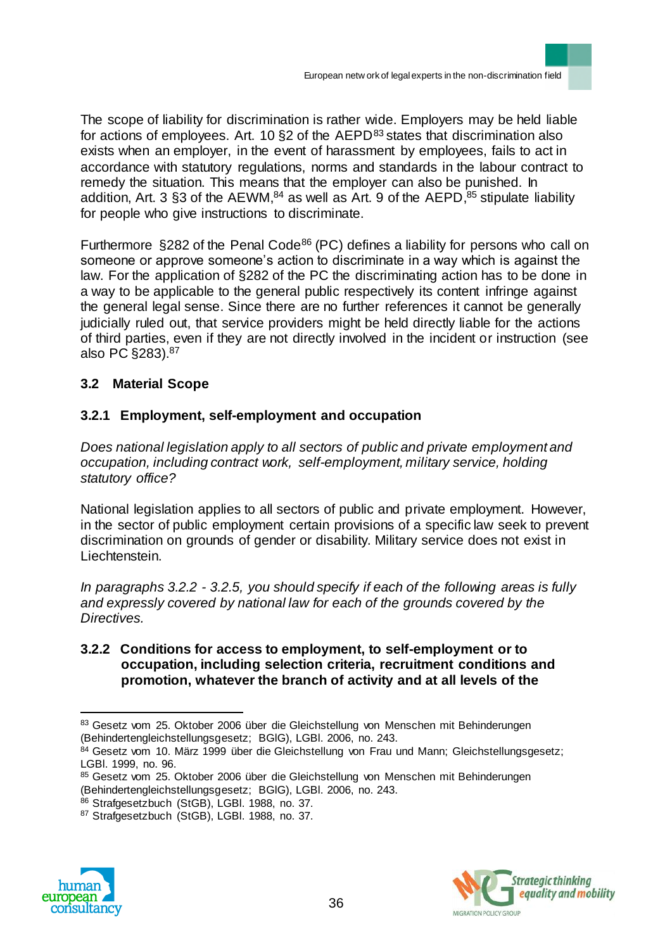The scope of liability for discrimination is rather wide. Employers may be held liable for actions of employees. Art. 10  $\S$ 2 of the AEPD $^{83}$  states that discrimination also exists when an employer, in the event of harassment by employees, fails to act in accordance with statutory regulations, norms and standards in the labour contract to remedy the situation. This means that the employer can also be punished. In addition, Art. 3 §3 of the AEWM,<sup>84</sup> as well as Art. 9 of the AEPD,<sup>85</sup> stipulate liability for people who give instructions to discriminate.

Furthermore  $\S 282$  of the Penal Code<sup>86</sup> (PC) defines a liability for persons who call on someone or approve someone's action to discriminate in a way which is against the law. For the application of §282 of the PC the discriminating action has to be done in a way to be applicable to the general public respectively its content infringe against the general legal sense. Since there are no further references it cannot be generally judicially ruled out, that service providers might be held directly liable for the actions of third parties, even if they are not directly involved in the incident or instruction (see also PC §283).<sup>87</sup>

# **3.2 Material Scope**

# **3.2.1 Employment, self-employment and occupation**

*Does national legislation apply to all sectors of public and private employment and occupation, including contract work, self-employment, military service, holding statutory office?*

National legislation applies to all sectors of public and private employment. However, in the sector of public employment certain provisions of a specific law seek to prevent discrimination on grounds of gender or disability. Military service does not exist in Liechtenstein.

*In paragraphs 3.2.2 - 3.2.5, you should specify if each of the following areas is fully and expressly covered by national law for each of the grounds covered by the Directives.*

### **3.2.2 Conditions for access to employment, to self-employment or to occupation, including selection criteria, recruitment conditions and promotion, whatever the branch of activity and at all levels of the**

<sup>87</sup> Strafgesetzbuch (StGB), LGBl. 1988, no. 37.





<sup>83</sup> Gesetz vom 25. Oktober 2006 über die Gleichstellung von Menschen mit Behinderungen (Behindertengleichstellungsgesetz; BGlG), LGBl. 2006, no. 243.

<sup>84</sup> Gesetz vom 10. März 1999 über die Gleichstellung von Frau und Mann; Gleichstellungsgesetz; LGBl. 1999, no. 96.

<sup>85</sup> Gesetz vom 25. Oktober 2006 über die Gleichstellung von Menschen mit Behinderungen (Behindertengleichstellungsgesetz; BGlG), LGBl. 2006, no. 243.

<sup>86</sup> Strafgesetzbuch (StGB), LGBI. 1988, no. 37.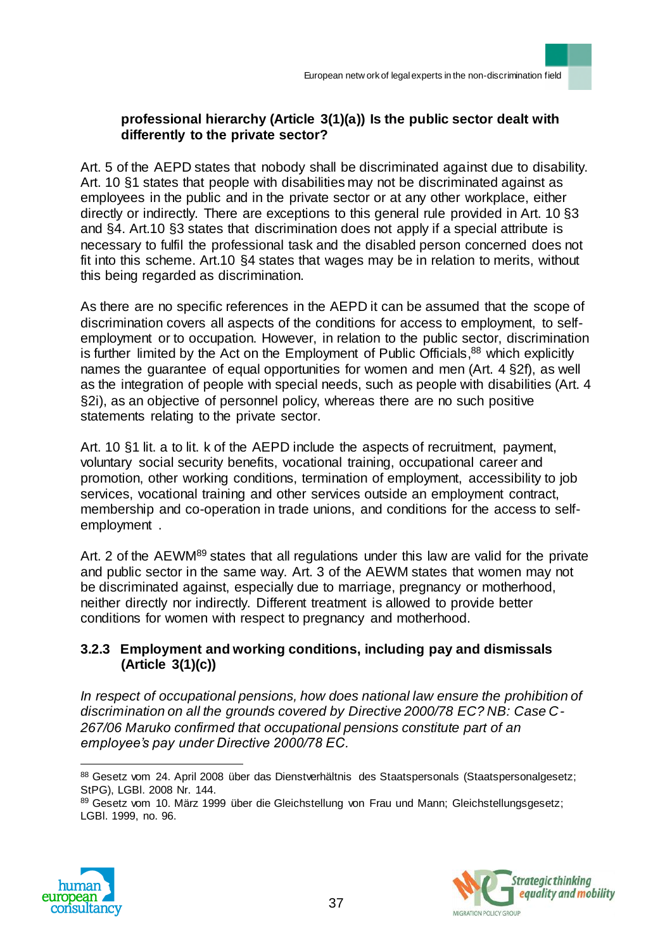## **professional hierarchy (Article 3(1)(a)) Is the public sector dealt with differently to the private sector?**

Art. 5 of the AEPD states that nobody shall be discriminated against due to disability. Art. 10 §1 states that people with disabilities may not be discriminated against as employees in the public and in the private sector or at any other workplace, either directly or indirectly. There are exceptions to this general rule provided in Art. 10 §3 and §4. Art.10 §3 states that discrimination does not apply if a special attribute is necessary to fulfil the professional task and the disabled person concerned does not fit into this scheme. Art.10 §4 states that wages may be in relation to merits, without this being regarded as discrimination.

As there are no specific references in the AEPD it can be assumed that the scope of discrimination covers all aspects of the conditions for access to employment, to selfemployment or to occupation. However, in relation to the public sector, discrimination is further limited by the Act on the Employment of Public Officials,<sup>88</sup> which explicitly names the guarantee of equal opportunities for women and men (Art. 4 §2f), as well as the integration of people with special needs, such as people with disabilities (Art. 4 §2i), as an objective of personnel policy, whereas there are no such positive statements relating to the private sector.

Art. 10 §1 lit. a to lit. k of the AEPD include the aspects of recruitment, payment, voluntary social security benefits, vocational training, occupational career and promotion, other working conditions, termination of employment, accessibility to job services, vocational training and other services outside an employment contract, membership and co-operation in trade unions, and conditions for the access to selfemployment .

Art. 2 of the AEWM<sup>89</sup> states that all regulations under this law are valid for the private and public sector in the same way. Art. 3 of the AEWM states that women may not be discriminated against, especially due to marriage, pregnancy or motherhood, neither directly nor indirectly. Different treatment is allowed to provide better conditions for women with respect to pregnancy and motherhood.

## **3.2.3 Employment and working conditions, including pay and dismissals (Article 3(1)(c))**

*In respect of occupational pensions, how does national law ensure the prohibition of discrimination on all the grounds covered by Directive 2000/78 EC? NB: Case C-267/06 Maruko confirmed that occupational pensions constitute part of an employee's pay under Directive 2000/78 EC.*

<sup>89</sup> Gesetz vom 10. März 1999 über die Gleichstellung von Frau und Mann; Gleichstellungsgesetz; LGBl. 1999, no. 96.





<sup>88</sup> Gesetz vom 24. April 2008 über das Dienstverhältnis des Staatspersonals (Staatspersonalgesetz; StPG), LGBl. 2008 Nr. 144.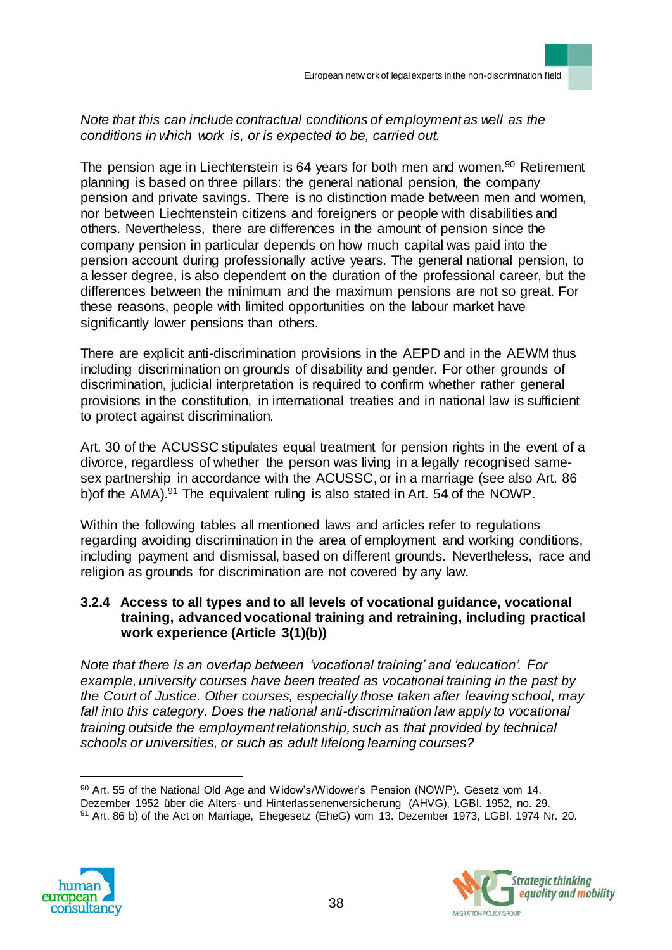## *Note that this can include contractual conditions of employment as well as the conditions in which work is, or is expected to be, carried out.*

The pension age in Liechtenstein is 64 years for both men and women.<sup>90</sup> Retirement planning is based on three pillars: the general national pension, the company pension and private savings. There is no distinction made between men and women, nor between Liechtenstein citizens and foreigners or people with disabilities and others. Nevertheless, there are differences in the amount of pension since the company pension in particular depends on how much capital was paid into the pension account during professionally active years. The general national pension, to a lesser degree, is also dependent on the duration of the professional career, but the differences between the minimum and the maximum pensions are not so great. For these reasons, people with limited opportunities on the labour market have significantly lower pensions than others.

There are explicit anti-discrimination provisions in the AEPD and in the AEWM thus including discrimination on grounds of disability and gender. For other grounds of discrimination, judicial interpretation is required to confirm whether rather general provisions in the constitution, in international treaties and in national law is sufficient to protect against discrimination.

Art. 30 of the ACUSSC stipulates equal treatment for pension rights in the event of a divorce, regardless of whether the person was living in a legally recognised samesex partnership in accordance with the ACUSSC, or in a marriage (see also Art. 86 b) of the AMA).<sup>91</sup> The equivalent ruling is also stated in Art. 54 of the NOWP.

Within the following tables all mentioned laws and articles refer to regulations regarding avoiding discrimination in the area of employment and working conditions, including payment and dismissal, based on different grounds. Nevertheless, race and religion as grounds for discrimination are not covered by any law.

### **3.2.4 Access to all types and to all levels of vocational guidance, vocational training, advanced vocational training and retraining, including practical work experience (Article 3(1)(b))**

*Note that there is an overlap between 'vocational training' and 'education'. For example, university courses have been treated as vocational training in the past by the Court of Justice. Other courses, especially those taken after leaving school, may*  fall into this category. Does the national anti-discrimination law apply to vocational *training outside the employment relationship, such as that provided by technical schools or universities, or such as adult lifelong learning courses?* 

90 Art. 55 of the National Old Age and Widow's/Widower's Pension (NOWP). Gesetz vom 14. Dezember 1952 über die Alters- und Hinterlassenenversicherung (AHVG), LGBl. 1952, no. 29. <sup>91</sup> Art. 86 b) of the Act on Marriage, Ehegesetz (EheG) vom 13. Dezember 1973, LGBl. 1974 Nr. 20.



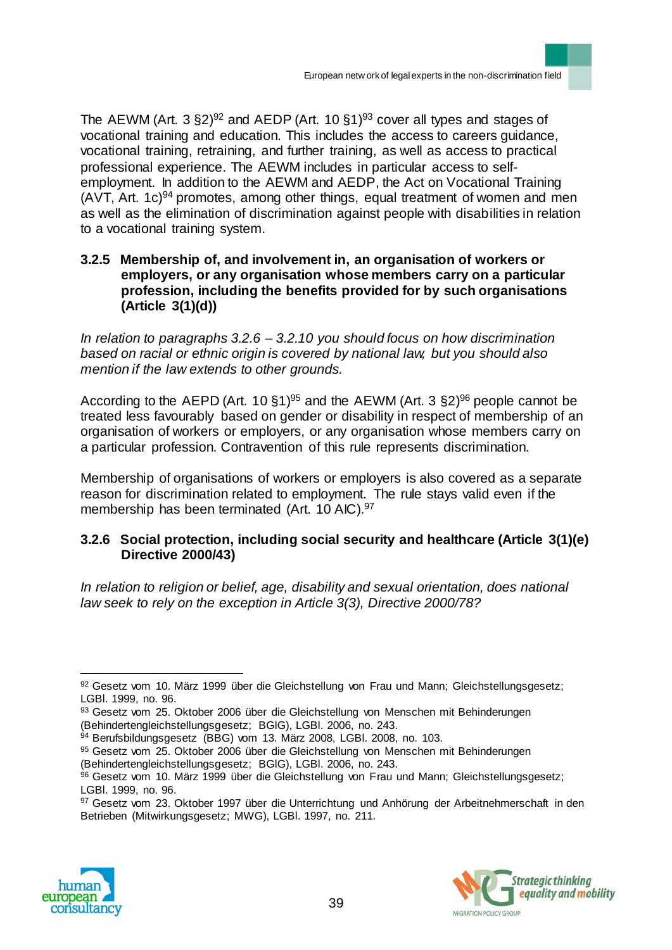The AEWM (Art. 3  $\S 2)^{92}$  and AEDP (Art. 10  $\S 1)^{93}$  cover all types and stages of vocational training and education. This includes the access to careers guidance, vocational training, retraining, and further training, as well as access to practical professional experience. The AEWM includes in particular access to selfemployment. In addition to the AEWM and AEDP, the Act on Vocational Training  $(AVT, Art. 1c)<sup>94</sup>$  promotes, among other things, equal treatment of women and men as well as the elimination of discrimination against people with disabilities in relation to a vocational training system.

#### **3.2.5 Membership of, and involvement in, an organisation of workers or employers, or any organisation whose members carry on a particular profession, including the benefits provided for by such organisations (Article 3(1)(d))**

*In relation to paragraphs 3.2.6 – 3.2.10 you should focus on how discrimination based on racial or ethnic origin is covered by national law, but you should also mention if the law extends to other grounds.*

According to the AEPD (Art. 10 §1)<sup>95</sup> and the AEWM (Art. 3 §2)<sup>96</sup> people cannot be treated less favourably based on gender or disability in respect of membership of an organisation of workers or employers, or any organisation whose members carry on a particular profession. Contravention of this rule represents discrimination.

Membership of organisations of workers or employers is also covered as a separate reason for discrimination related to employment. The rule stays valid even if the membership has been terminated (Art. 10 AIC).<sup>97</sup>

### **3.2.6 Social protection, including social security and healthcare (Article 3(1)(e) Directive 2000/43)**

*In relation to religion or belief, age, disability and sexual orientation, does national law seek to rely on the exception in Article 3(3), Directive 2000/78?*

<sup>97</sup> Gesetz vom 23. Oktober 1997 über die Unterrichtung und Anhörung der Arbeitnehmerschaft in den Betrieben (Mitwirkungsgesetz; MWG), LGBl. 1997, no. 211.





 $\overline{a}$ 92 Gesetz vom 10. März 1999 über die Gleichstellung von Frau und Mann; Gleichstellungsgesetz; LGBl. 1999, no. 96.

<sup>93</sup> Gesetz vom 25. Oktober 2006 über die Gleichstellung von Menschen mit Behinderungen (Behindertengleichstellungsgesetz; BGlG), LGBl. 2006, no. 243.

<sup>94</sup> Berufsbildungsgesetz (BBG) vom 13. März 2008, LGBI. 2008, no. 103.

<sup>95</sup> Gesetz vom 25. Oktober 2006 über die Gleichstellung von Menschen mit Behinderungen (Behindertengleichstellungsgesetz; BGlG), LGBl. 2006, no. 243.

<sup>96</sup> Gesetz vom 10. März 1999 über die Gleichstellung von Frau und Mann; Gleichstellungsgesetz; LGBl. 1999, no. 96.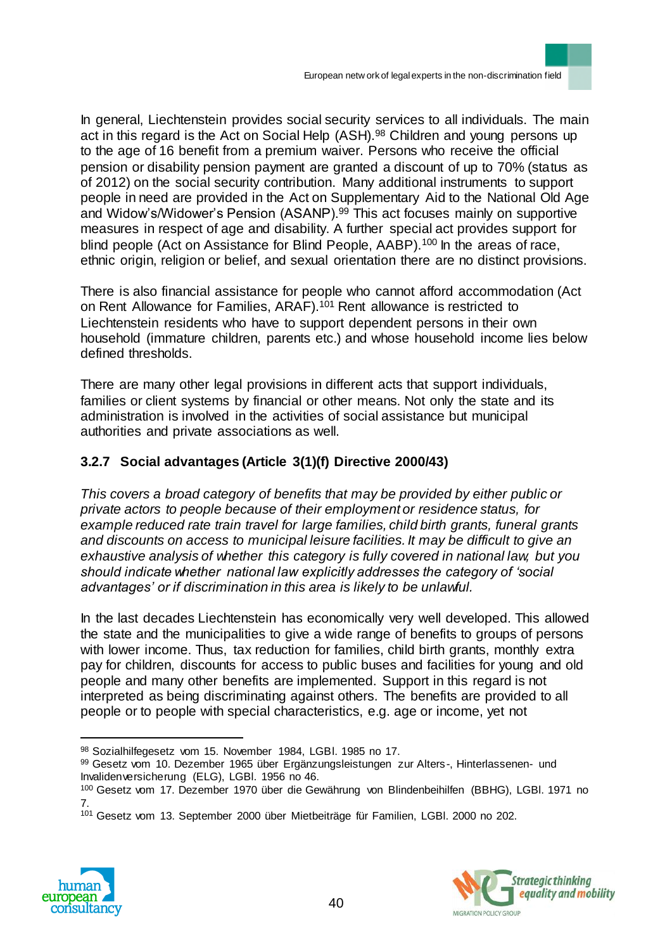In general, Liechtenstein provides social security services to all individuals. The main act in this regard is the Act on Social Help (ASH).<sup>98</sup> Children and young persons up to the age of 16 benefit from a premium waiver. Persons who receive the official pension or disability pension payment are granted a discount of up to 70% (status as of 2012) on the social security contribution. Many additional instruments to support people in need are provided in the Act on Supplementary Aid to the National Old Age and Widow's/Widower's Pension (ASANP).<sup>99</sup> This act focuses mainly on supportive measures in respect of age and disability. A further special act provides support for blind people (Act on Assistance for Blind People, AABP).<sup>100</sup> In the areas of race, ethnic origin, religion or belief, and sexual orientation there are no distinct provisions.

There is also financial assistance for people who cannot afford accommodation (Act on Rent Allowance for Families, ARAF).<sup>101</sup> Rent allowance is restricted to Liechtenstein residents who have to support dependent persons in their own household (immature children, parents etc.) and whose household income lies below defined thresholds.

There are many other legal provisions in different acts that support individuals, families or client systems by financial or other means. Not only the state and its administration is involved in the activities of social assistance but municipal authorities and private associations as well.

# **3.2.7 Social advantages (Article 3(1)(f) Directive 2000/43)**

*This covers a broad category of benefits that may be provided by either public or private actors to people because of their employment or residence status, for example reduced rate train travel for large families, child birth grants, funeral grants and discounts on access to municipal leisure facilities. It may be difficult to give an exhaustive analysis of whether this category is fully covered in national law, but you should indicate whether national law explicitly addresses the category of 'social advantages' or if discrimination in this area is likely to be unlawful.* 

In the last decades Liechtenstein has economically very well developed. This allowed the state and the municipalities to give a wide range of benefits to groups of persons with lower income. Thus, tax reduction for families, child birth grants, monthly extra pay for children, discounts for access to public buses and facilities for young and old people and many other benefits are implemented. Support in this regard is not interpreted as being discriminating against others. The benefits are provided to all people or to people with special characteristics, e.g. age or income, yet not

<sup>101</sup> Gesetz vom 13. September 2000 über Mietbeiträge für Familien, LGBl. 2000 no 202.





<sup>98</sup> Sozialhilfegesetz vom 15. November 1984, LGBl. 1985 no 17.

<sup>99</sup> Gesetz vom 10. Dezember 1965 über Ergänzungsleistungen zur Alters-, Hinterlassenen- und Invalidenversicherung (ELG), LGBl. 1956 no 46.

<sup>100</sup> Gesetz vom 17. Dezember 1970 über die Gewährung von Blindenbeihilfen (BBHG), LGBI. 1971 no 7.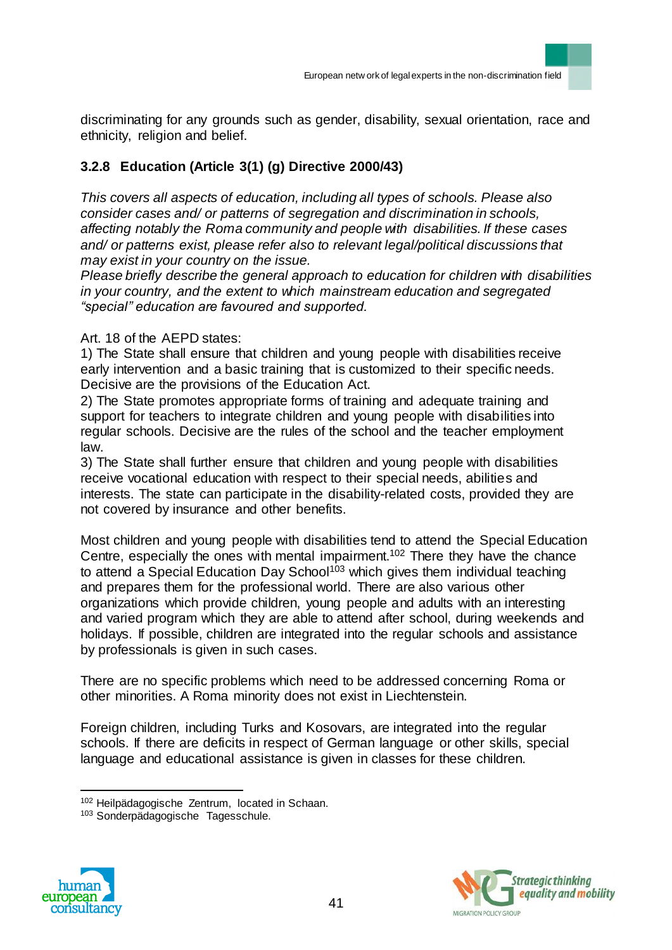discriminating for any grounds such as gender, disability, sexual orientation, race and ethnicity, religion and belief.

# **3.2.8 Education (Article 3(1) (g) Directive 2000/43)**

*This covers all aspects of education, including all types of schools. Please also consider cases and/ or patterns of segregation and discrimination in schools, affecting notably the Roma community and people with disabilities. If these cases and/ or patterns exist, please refer also to relevant legal/political discussions that may exist in your country on the issue.*

*Please briefly describe the general approach to education for children with disabilities in your country, and the extent to which mainstream education and segregated "special" education are favoured and supported.*

### Art. 18 of the AEPD states:

1) The State shall ensure that children and young people with disabilities receive early intervention and a basic training that is customized to their specific needs. Decisive are the provisions of the Education Act.

2) The State promotes appropriate forms of training and adequate training and support for teachers to integrate children and young people with disabilities into regular schools. Decisive are the rules of the school and the teacher employment law.

3) The State shall further ensure that children and young people with disabilities receive vocational education with respect to their special needs, abilities and interests. The state can participate in the disability-related costs, provided they are not covered by insurance and other benefits.

Most children and young people with disabilities tend to attend the Special Education Centre, especially the ones with mental impairment.<sup>102</sup> There they have the chance to attend a Special Education Day School<sup>103</sup> which gives them individual teaching and prepares them for the professional world. There are also various other organizations which provide children, young people and adults with an interesting and varied program which they are able to attend after school, during weekends and holidays. If possible, children are integrated into the regular schools and assistance by professionals is given in such cases.

There are no specific problems which need to be addressed concerning Roma or other minorities. A Roma minority does not exist in Liechtenstein.

Foreign children, including Turks and Kosovars, are integrated into the regular schools. If there are deficits in respect of German language or other skills, special language and educational assistance is given in classes for these children.

<sup>103</sup> Sonderpädagogische Tagesschule.





 $\overline{a}$ <sup>102</sup> Heilpädagogische Zentrum, located in Schaan.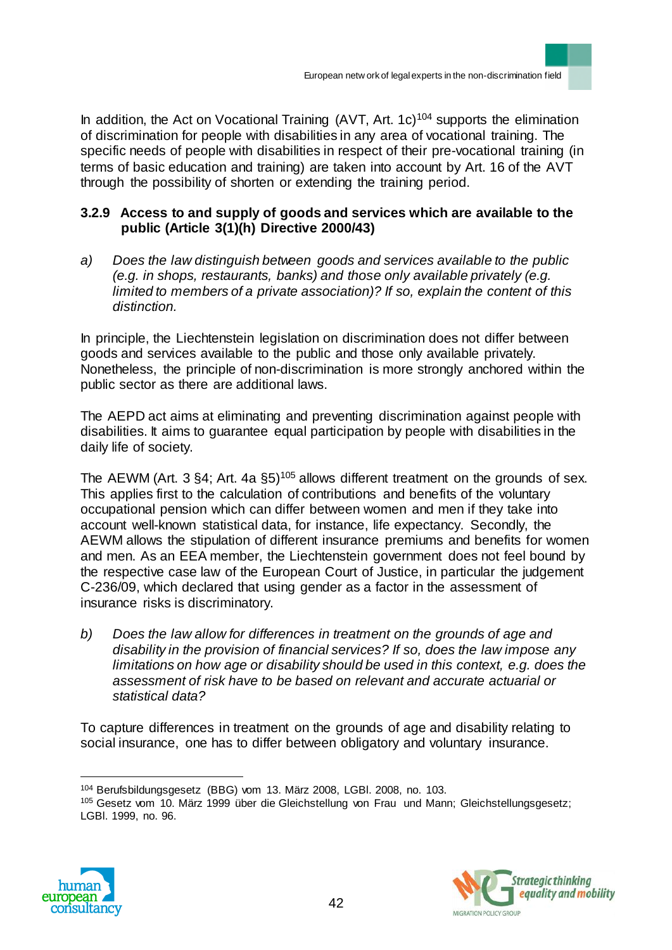In addition, the Act on Vocational Training  $(AVT, Art. 1c)$ <sup>104</sup> supports the elimination of discrimination for people with disabilities in any area of vocational training. The specific needs of people with disabilities in respect of their pre-vocational training (in terms of basic education and training) are taken into account by Art. 16 of the AVT through the possibility of shorten or extending the training period.

## **3.2.9 Access to and supply of goods and services which are available to the public (Article 3(1)(h) Directive 2000/43)**

*a) Does the law distinguish between goods and services available to the public (e.g. in shops, restaurants, banks) and those only available privately (e.g. limited to members of a private association)? If so, explain the content of this distinction.*

In principle, the Liechtenstein legislation on discrimination does not differ between goods and services available to the public and those only available privately. Nonetheless, the principle of non-discrimination is more strongly anchored within the public sector as there are additional laws.

The AEPD act aims at eliminating and preventing discrimination against people with disabilities. It aims to guarantee equal participation by people with disabilities in the daily life of society.

The AEWM (Art.  $3$  §4; Art. 4a §5)<sup>105</sup> allows different treatment on the grounds of sex. This applies first to the calculation of contributions and benefits of the voluntary occupational pension which can differ between women and men if they take into account well-known statistical data, for instance, life expectancy. Secondly, the AEWM allows the stipulation of different insurance premiums and benefits for women and men. As an EEA member, the Liechtenstein government does not feel bound by the respective case law of the European Court of Justice, in particular the judgement C-236/09, which declared that using gender as a factor in the assessment of insurance risks is discriminatory.

*b) Does the law allow for differences in treatment on the grounds of age and disability in the provision of financial services? If so, does the law impose any limitations on how age or disability should be used in this context, e.g. does the assessment of risk have to be based on relevant and accurate actuarial or statistical data?* 

To capture differences in treatment on the grounds of age and disability relating to social insurance, one has to differ between obligatory and voluntary insurance.

<sup>105</sup> Gesetz vom 10. März 1999 über die Gleichstellung von Frau und Mann; Gleichstellungsgesetz; LGBl. 1999, no. 96.





 $\overline{a}$ <sup>104</sup> Berufsbildungsgesetz (BBG) vom 13. März 2008, LGBl. 2008, no. 103.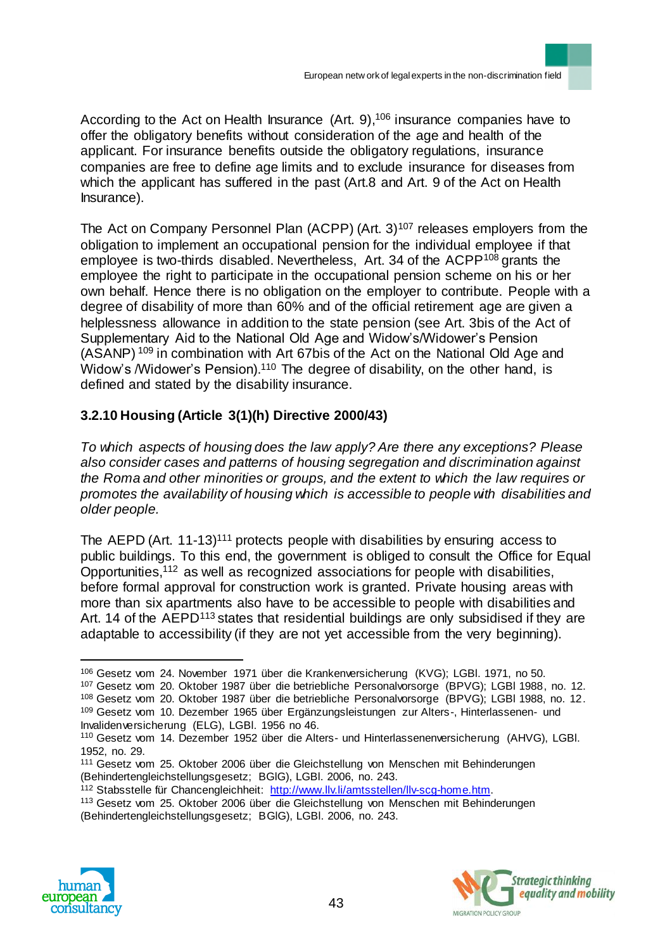According to the Act on Health Insurance (Art. 9),<sup>106</sup> insurance companies have to offer the obligatory benefits without consideration of the age and health of the applicant. For insurance benefits outside the obligatory regulations, insurance companies are free to define age limits and to exclude insurance for diseases from which the applicant has suffered in the past (Art.8 and Art. 9 of the Act on Health Insurance).

The Act on Company Personnel Plan (ACPP) (Art.  $3$ )<sup>107</sup> releases employers from the obligation to implement an occupational pension for the individual employee if that employee is two-thirds disabled. Nevertheless, Art. 34 of the ACPP<sup>108</sup> grants the employee the right to participate in the occupational pension scheme on his or her own behalf. Hence there is no obligation on the employer to contribute. People with a degree of disability of more than 60% and of the official retirement age are given a helplessness allowance in addition to the state pension (see Art. 3bis of the Act of Supplementary Aid to the National Old Age and Widow's/Widower's Pension (ASANP) <sup>109</sup> in combination with Art 67bis of the Act on the National Old Age and Widow's /Widower's Pension).<sup>110</sup> The degree of disability, on the other hand, is defined and stated by the disability insurance.

# **3.2.10 Housing (Article 3(1)(h) Directive 2000/43)**

*To which aspects of housing does the law apply? Are there any exceptions? Please also consider cases and patterns of housing segregation and discrimination against the Roma and other minorities or groups, and the extent to which the law requires or promotes the availability of housing which is accessible to people with disabilities and older people.*

The AEPD (Art. 11-13)<sup>111</sup> protects people with disabilities by ensuring access to public buildings. To this end, the government is obliged to consult the Office for Equal Opportunities, <sup>112</sup> as well as recognized associations for people with disabilities, before formal approval for construction work is granted. Private housing areas with more than six apartments also have to be accessible to people with disabilities and Art. 14 of the AEPD<sup>113</sup> states that residential buildings are only subsidised if they are adaptable to accessibility (if they are not yet accessible from the very beginning).

<sup>113</sup> Gesetz vom 25. Oktober 2006 über die Gleichstellung von Menschen mit Behinderungen (Behindertengleichstellungsgesetz; BGlG), LGBl. 2006, no. 243.





<sup>106</sup> Gesetz vom 24. November 1971 über die Krankenversicherung (KVG); LGBl. 1971, no 50.

<sup>107</sup> Gesetz vom 20. Oktober 1987 über die betriebliche Personalvorsorge (BPVG); LGBl 1988, no. 12.

<sup>108</sup> Gesetz vom 20. Oktober 1987 über die betriebliche Personalvorsorge (BPVG); LGBl 1988, no. 12. <sup>109</sup> Gesetz vom 10. Dezember 1965 über Ergänzungsleistungen zur Alters-, Hinterlassenen- und Invalidenversicherung (ELG), LGBl. 1956 no 46.

<sup>110</sup> Gesetz vom 14. Dezember 1952 über die Alters- und Hinterlassenenversicherung (AHVG), LGBl. 1952, no. 29.

<sup>111</sup> Gesetz vom 25. Oktober 2006 über die Gleichstellung von Menschen mit Behinderungen (Behindertengleichstellungsgesetz; BGlG), LGBl. 2006, no. 243.

<sup>112</sup> Stabsstelle für Chancengleichheit: http://www.llv.li/amtsstellen/llv-scg-home.htm.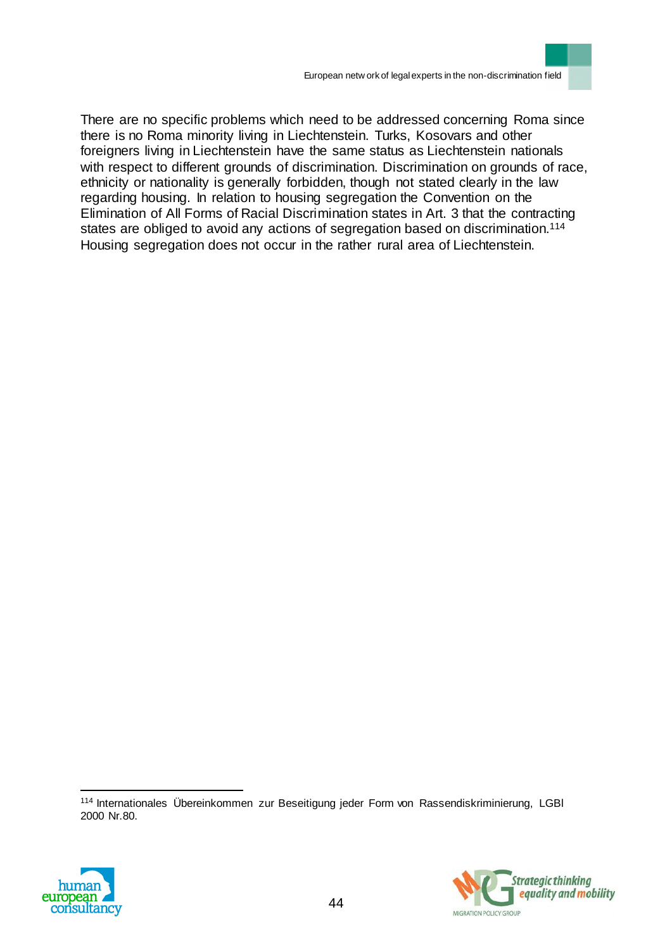

There are no specific problems which need to be addressed concerning Roma since there is no Roma minority living in Liechtenstein. Turks, Kosovars and other foreigners living in Liechtenstein have the same status as Liechtenstein nationals with respect to different grounds of discrimination. Discrimination on grounds of race, ethnicity or nationality is generally forbidden, though not stated clearly in the law regarding housing. In relation to housing segregation the Convention on the Elimination of All Forms of Racial Discrimination states in Art. 3 that the contracting states are obliged to avoid any actions of segregation based on discrimination.<sup>114</sup> Housing segregation does not occur in the rather rural area of Liechtenstein.

<sup>114</sup> Internationales Übereinkommen zur Beseitigung jeder Form von Rassendiskriminierung, LGBl 2000 Nr.80.



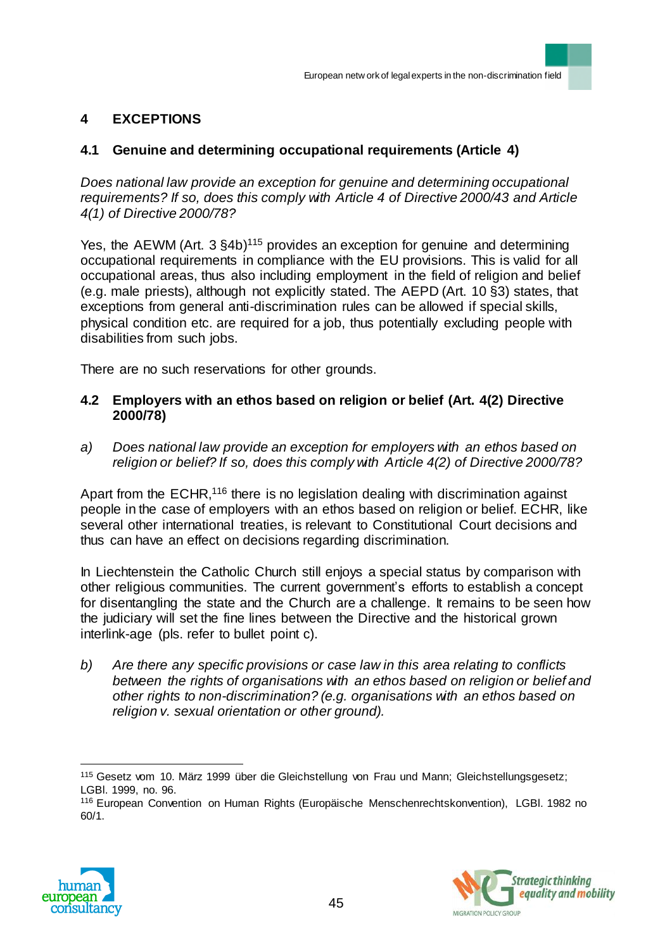# **4 EXCEPTIONS**

# **4.1 Genuine and determining occupational requirements (Article 4)**

*Does national law provide an exception for genuine and determining occupational requirements? If so, does this comply with Article 4 of Directive 2000/43 and Article 4(1) of Directive 2000/78?*

Yes, the AEWM (Art. 3 §4b)<sup>115</sup> provides an exception for genuine and determining occupational requirements in compliance with the EU provisions. This is valid for all occupational areas, thus also including employment in the field of religion and belief (e.g. male priests), although not explicitly stated. The AEPD (Art. 10 §3) states, that exceptions from general anti-discrimination rules can be allowed if special skills, physical condition etc. are required for a job, thus potentially excluding people with disabilities from such jobs.

There are no such reservations for other grounds.

#### **4.2 Employers with an ethos based on religion or belief (Art. 4(2) Directive 2000/78)**

*a) Does national law provide an exception for employers with an ethos based on religion or belief? If so, does this comply with Article 4(2) of Directive 2000/78?* 

Apart from the ECHR,<sup>116</sup> there is no legislation dealing with discrimination against people in the case of employers with an ethos based on religion or belief. ECHR, like several other international treaties, is relevant to Constitutional Court decisions and thus can have an effect on decisions regarding discrimination.

In Liechtenstein the Catholic Church still enjoys a special status by comparison with other religious communities. The current government's efforts to establish a concept for disentangling the state and the Church are a challenge. It remains to be seen how the judiciary will set the fine lines between the Directive and the historical grown interlink-age (pls. refer to bullet point c).

*b) Are there any specific provisions or case law in this area relating to conflicts between the rights of organisations with an ethos based on religion or belief and other rights to non-discrimination? (e.g. organisations with an ethos based on religion v. sexual orientation or other ground).*

<sup>116</sup> European Convention on Human Rights (Europäische Menschenrechtskonvention), LGBl. 1982 no 60/1.





<sup>115</sup> Gesetz vom 10. März 1999 über die Gleichstellung von Frau und Mann; Gleichstellungsgesetz; LGBl. 1999, no. 96.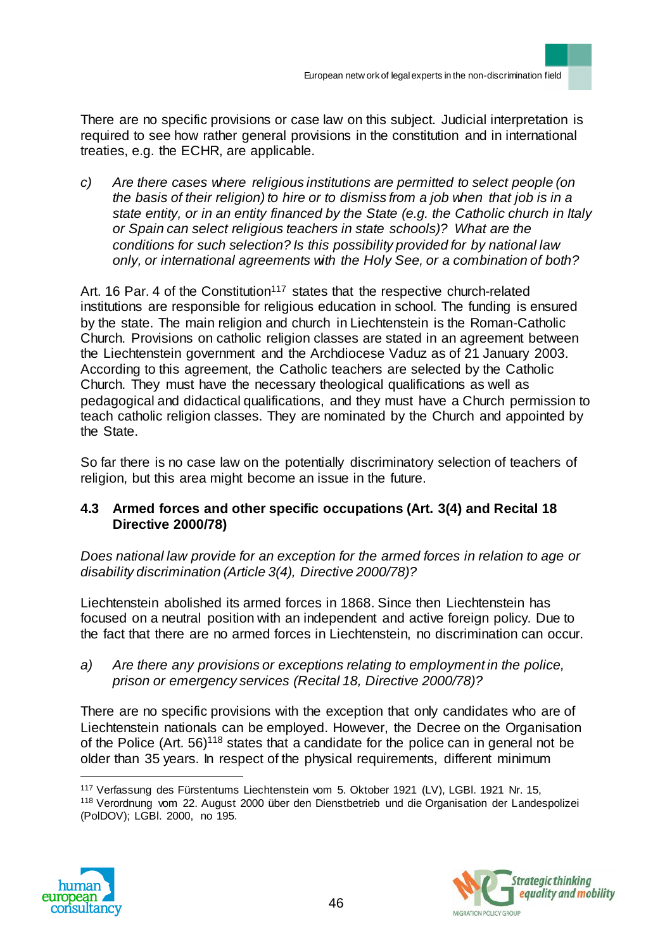There are no specific provisions or case law on this subject. Judicial interpretation is required to see how rather general provisions in the constitution and in international treaties, e.g. the ECHR, are applicable.

*c) Are there cases where religious institutions are permitted to select people (on the basis of their religion) to hire or to dismiss from a job when that job is in a state entity, or in an entity financed by the State (e.g. the Catholic church in Italy or Spain can select religious teachers in state schools)? What are the conditions for such selection? Is this possibility provided for by national law only, or international agreements with the Holy See, or a combination of both?* 

Art. 16 Par. 4 of the Constitution<sup>117</sup> states that the respective church-related institutions are responsible for religious education in school. The funding is ensured by the state. The main religion and church in Liechtenstein is the Roman-Catholic Church. Provisions on catholic religion classes are stated in an agreement between the Liechtenstein government and the Archdiocese Vaduz as of 21 January 2003. According to this agreement, the Catholic teachers are selected by the Catholic Church. They must have the necessary theological qualifications as well as pedagogical and didactical qualifications, and they must have a Church permission to teach catholic religion classes. They are nominated by the Church and appointed by the State.

So far there is no case law on the potentially discriminatory selection of teachers of religion, but this area might become an issue in the future.

# **4.3 Armed forces and other specific occupations (Art. 3(4) and Recital 18 Directive 2000/78)**

*Does national law provide for an exception for the armed forces in relation to age or disability discrimination (Article 3(4), Directive 2000/78)?* 

Liechtenstein abolished its armed forces in 1868. Since then Liechtenstein has focused on a neutral position with an independent and active foreign policy. Due to the fact that there are no armed forces in Liechtenstein, no discrimination can occur.

*a) Are there any provisions or exceptions relating to employment in the police, prison or emergency services (Recital 18, Directive 2000/78)?*

There are no specific provisions with the exception that only candidates who are of Liechtenstein nationals can be employed. However, the Decree on the Organisation of the Police (Art. 56)<sup>118</sup> states that a candidate for the police can in general not be older than 35 years. In respect of the physical requirements, different minimum

<sup>117</sup> Verfassung des Fürstentums Liechtenstein vom 5. Oktober 1921 (LV), LGBl. 1921 Nr. 15, <sup>118</sup> Verordnung vom 22. August 2000 über den Dienstbetrieb und die Organisation der Landespolizei (PolDOV); LGBl. 2000, no 195.



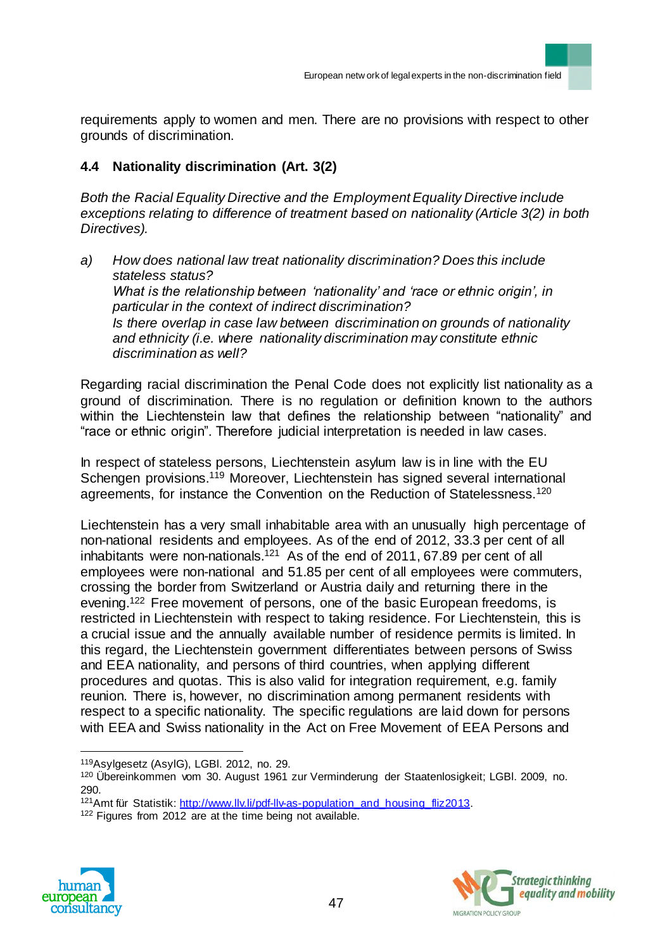requirements apply to women and men. There are no provisions with respect to other grounds of discrimination.

# **4.4 Nationality discrimination (Art. 3(2)**

*Both the Racial Equality Directive and the Employment Equality Directive include exceptions relating to difference of treatment based on nationality (Article 3(2) in both Directives).* 

*a) How does national law treat nationality discrimination? Does this include stateless status? What is the relationship between 'nationality' and 'race or ethnic origin', in particular in the context of indirect discrimination? Is there overlap in case law between discrimination on grounds of nationality and ethnicity (i.e. where nationality discrimination may constitute ethnic discrimination as well?*

Regarding racial discrimination the Penal Code does not explicitly list nationality as a ground of discrimination. There is no regulation or definition known to the authors within the Liechtenstein law that defines the relationship between "nationality" and "race or ethnic origin". Therefore judicial interpretation is needed in law cases.

In respect of stateless persons, Liechtenstein asylum law is in line with the EU Schengen provisions.<sup>119</sup> Moreover, Liechtenstein has signed several international agreements, for instance the Convention on the Reduction of Statelessness.<sup>120</sup>

Liechtenstein has a very small inhabitable area with an unusually high percentage of non-national residents and employees. As of the end of 2012, 33.3 per cent of all inhabitants were non-nationals.<sup>121</sup> As of the end of 2011, 67.89 per cent of all employees were non-national and 51.85 per cent of all employees were commuters, crossing the border from Switzerland or Austria daily and returning there in the evening.<sup>122</sup> Free movement of persons, one of the basic European freedoms, is restricted in Liechtenstein with respect to taking residence. For Liechtenstein, this is a crucial issue and the annually available number of residence permits is limited. In this regard, the Liechtenstein government differentiates between persons of Swiss and EEA nationality, and persons of third countries, when applying different procedures and quotas. This is also valid for integration requirement, e.g. family reunion. There is, however, no discrimination among permanent residents with respect to a specific nationality. The specific regulations are laid down for persons with EEA and Swiss nationality in the Act on Free Movement of EEA Persons and

<sup>122</sup> Figures from 2012 are at the time being not available.





 $\overline{a}$ <sup>119</sup>Asylgesetz (AsylG), LGBl. 2012, no. 29.

<sup>120</sup> Übereinkommen vom 30. August 1961 zur Verminderung der Staatenlosigkeit; LGBI. 2009, no. 290.

<sup>121</sup>Amt für Statistik: http://www.llv.li/pdf-llv-as-population\_and\_housing\_fliz2013.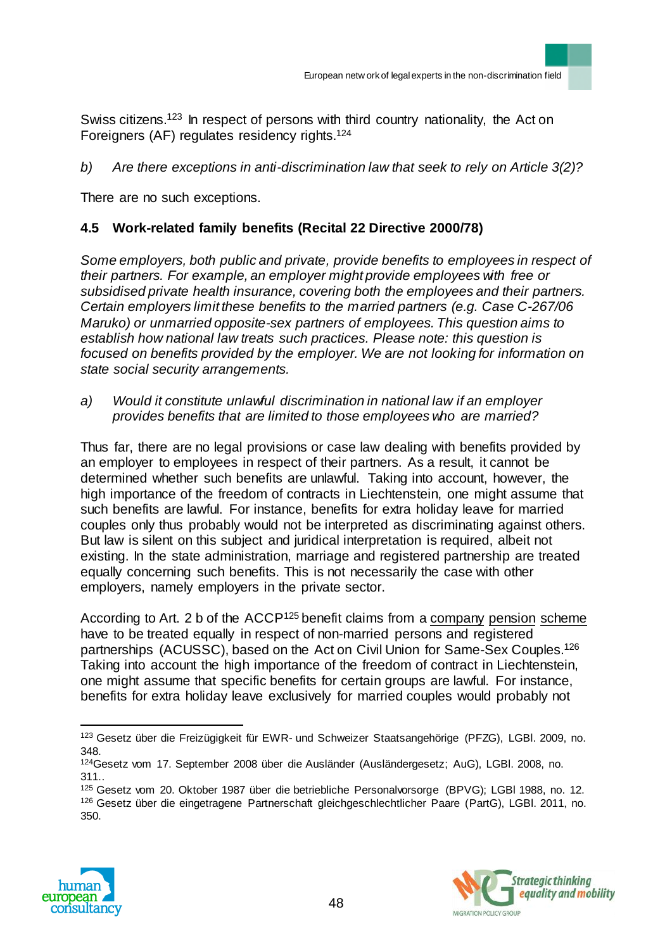Swiss citizens.<sup>123</sup> In respect of persons with third country nationality, the Act on Foreigners (AF) regulates residency rights.<sup>124</sup>

*b) Are there exceptions in anti-discrimination law that seek to rely on Article 3(2)?* 

There are no such exceptions.

## **4.5 Work-related family benefits (Recital 22 Directive 2000/78)**

*Some employers, both public and private, provide benefits to employees in respect of their partners. For example, an employer might provide employees with free or subsidised private health insurance, covering both the employees and their partners. Certain employers limit these benefits to the married partners (e.g. Case C-267/06 Maruko) or unmarried opposite-sex partners of employees. This question aims to establish how national law treats such practices. Please note: this question is focused on benefits provided by the employer. We are not looking for information on state social security arrangements.* 

*a) Would it constitute unlawful discrimination in national law if an employer provides benefits that are limited to those employees who are married?*

Thus far, there are no legal provisions or case law dealing with benefits provided by an employer to employees in respect of their partners. As a result, it cannot be determined whether such benefits are unlawful. Taking into account, however, the high importance of the freedom of contracts in Liechtenstein, one might assume that such benefits are lawful. For instance, benefits for extra holiday leave for married couples only thus probably would not be interpreted as discriminating against others. But law is silent on this subject and juridical interpretation is required, albeit not existing. In the state administration, marriage and registered partnership are treated equally concerning such benefits. This is not necessarily the case with other employers, namely employers in the private sector.

According to Art. 2 b of the  $ACCP<sup>125</sup>$  benefit claims from [a company](http://dict.leo.org/ende?lp=ende&p=DOKJAA&search=company&trestr=0x8001) [pension](http://dict.leo.org/ende?lp=ende&p=DOKJAA&search=pension&trestr=0x8001) [scheme](http://dict.leo.org/ende?lp=ende&p=DOKJAA&search=scheme&trestr=0x8001) have to be treated equally in respect of non-married persons and registered partnerships (ACUSSC), based on the Act on Civil Union for Same-Sex Couples.<sup>126</sup> Taking into account the high importance of the freedom of contract in Liechtenstein, one might assume that specific benefits for certain groups are lawful. For instance, benefits for extra holiday leave exclusively for married couples would probably not

<sup>125</sup> Gesetz vom 20. Oktober 1987 über die betriebliche Personalvorsorge (BPVG); LGBl 1988, no. 12. <sup>126</sup> Gesetz über die eingetragene Partnerschaft gleichgeschlechtlicher Paare (PartG), LGBl. 2011, no. 350.





<sup>123</sup> Gesetz über die Freizügigkeit für EWR- und Schweizer Staatsangehörige (PFZG), LGBl. 2009, no. 348.

<sup>124</sup>Gesetz vom 17. September 2008 über die Ausländer (Ausländergesetz; AuG), LGBl. 2008, no. 311..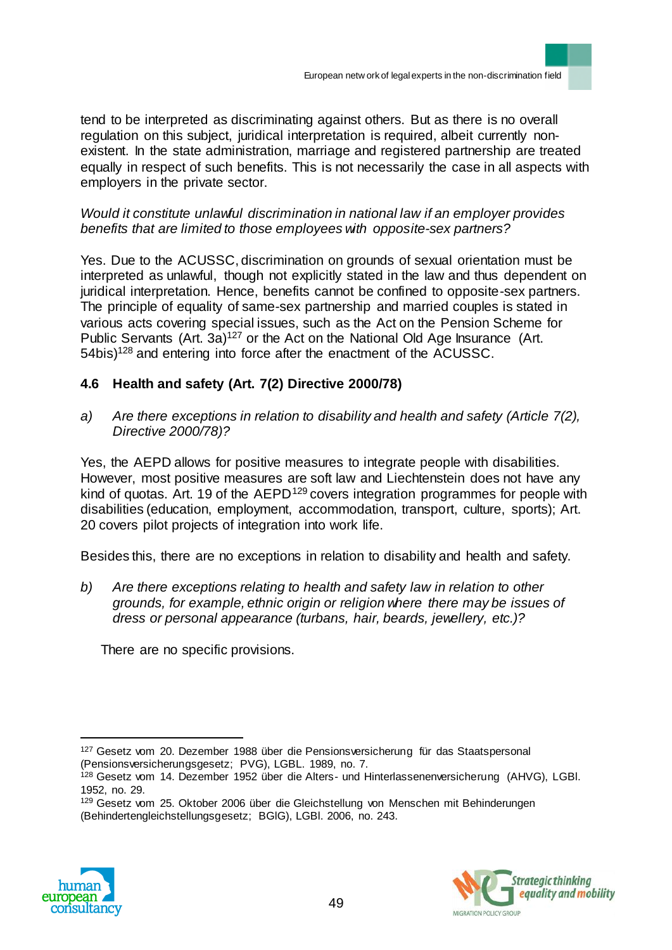tend to be interpreted as discriminating against others. But as there is no overall regulation on this subject, juridical interpretation is required, albeit currently nonexistent. In the state administration, marriage and registered partnership are treated equally in respect of such benefits. This is not necessarily the case in all aspects with employers in the private sector.

## *Would it constitute unlawful discrimination in national law if an employer provides benefits that are limited to those employees with opposite-sex partners?*

Yes. Due to the ACUSSC, discrimination on grounds of sexual orientation must be interpreted as unlawful, though not explicitly stated in the law and thus dependent on juridical interpretation. Hence, benefits cannot be confined to opposite-sex partners. The principle of equality of same-sex partnership and married couples is stated in various acts covering special issues, such as the Act on the Pension Scheme for Public Servants  $(Art. 3a)^{127}$  or the Act on the National Old Age Insurance (Art. 54bis)<sup>128</sup> and entering into force after the enactment of the ACUSSC.

# **4.6 Health and safety (Art. 7(2) Directive 2000/78)**

*a) Are there exceptions in relation to disability and health and safety (Article 7(2), Directive 2000/78)?* 

Yes, the AEPD allows for positive measures to integrate people with disabilities. However, most positive measures are soft law and Liechtenstein does not have any kind of quotas. Art. 19 of the AEPD<sup>129</sup> covers integration programmes for people with disabilities (education, employment, accommodation, transport, culture, sports); Art. 20 covers pilot projects of integration into work life.

Besides this, there are no exceptions in relation to disability and health and safety.

*b) Are there exceptions relating to health and safety law in relation to other grounds, for example, ethnic origin or religion where there may be issues of dress or personal appearance (turbans, hair, beards, jewellery, etc.)?*

There are no specific provisions.

<sup>129</sup> Gesetz vom 25. Oktober 2006 über die Gleichstellung von Menschen mit Behinderungen (Behindertengleichstellungsgesetz; BGlG), LGBl. 2006, no. 243.





<sup>127</sup> Gesetz vom 20. Dezember 1988 über die Pensionsversicherung für das Staatspersonal (Pensionsversicherungsgesetz; PVG), LGBL. 1989, no. 7.

<sup>128</sup> Gesetz vom 14. Dezember 1952 über die Alters- und Hinterlassenenversicherung (AHVG), LGBl. 1952, no. 29.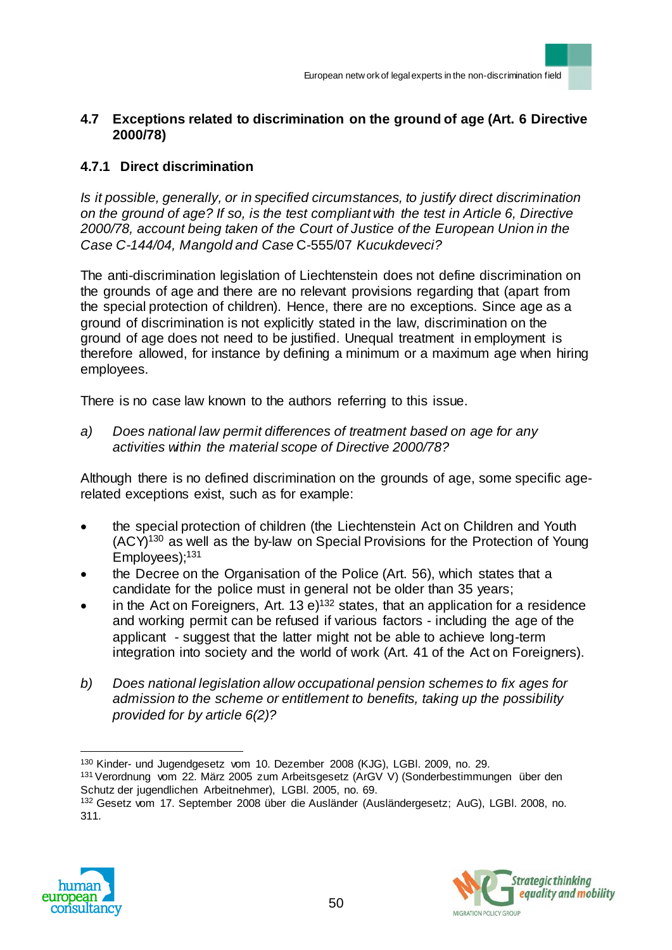## **4.7 Exceptions related to discrimination on the ground of age (Art. 6 Directive 2000/78)**

# **4.7.1 Direct discrimination**

*Is it possible, generally, or in specified circumstances, to justify direct discrimination on the ground of age? If so, is the test compliant with the test in Article 6, Directive 2000/78, account being taken of the Court of Justice of the European Union in the Case C-144/04, Mangold and Case* C-555/07 *Kucukdeveci?*

The anti-discrimination legislation of Liechtenstein does not define discrimination on the grounds of age and there are no relevant provisions regarding that (apart from the special protection of children). Hence, there are no exceptions. Since age as a ground of discrimination is not explicitly stated in the law, discrimination on the ground of age does not need to be justified. Unequal treatment in employment is therefore allowed, for instance by defining a minimum or a maximum age when hiring employees.

There is no case law known to the authors referring to this issue.

*a) Does national law permit differences of treatment based on age for any activities within the material scope of Directive 2000/78?*

Although there is no defined discrimination on the grounds of age, some specific agerelated exceptions exist, such as for example:

- the special protection of children (the Liechtenstein Act on Children and Youth  $(ACY)^{130}$  as well as the by-law on Special Provisions for the Protection of Young Employees);<sup>131</sup>
- the Decree on the Organisation of the Police (Art. 56), which states that a candidate for the police must in general not be older than 35 years;
- in the Act on Foreigners, Art. 13  $e^{132}$  states, that an application for a residence and working permit can be refused if various factors - including the age of the applicant - suggest that the latter might not be able to achieve long-term integration into society and the world of work (Art. 41 of the Act on Foreigners).
- *b) Does national legislation allow occupational pension schemes to fix ages for admission to the scheme or entitlement to benefits, taking up the possibility provided for by article 6(2)?*

<sup>132</sup> Gesetz vom 17. September 2008 über die Ausländer (Ausländergesetz; AuG), LGBl. 2008, no. 311.





<sup>130</sup> Kinder- und Jugendgesetz vom 10. Dezember 2008 (KJG), LGBl. 2009, no. 29.

<sup>131</sup>Verordnung vom 22. März 2005 zum Arbeitsgesetz (ArGV V) (Sonderbestimmungen über den Schutz der jugendlichen Arbeitnehmer), LGBl. 2005, no. 69.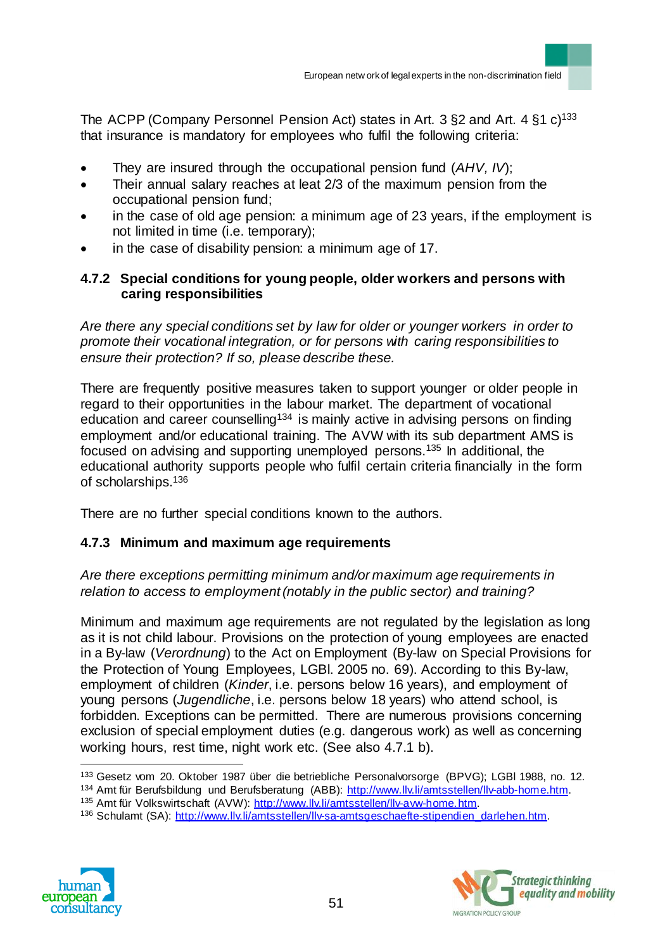The ACPP (Company Personnel Pension Act) states in Art. 3  $\S$ 2 and Art. 4  $\S$ 1 c)<sup>133</sup> that insurance is mandatory for employees who fulfil the following criteria:

- They are insured through the occupational pension fund (*AHV, IV*);
- Their annual salary reaches at leat 2/3 of the maximum pension from the occupational pension fund;
- in the case of old age pension: a minimum age of 23 years, if the employment is not limited in time (i.e. temporary);
- in the case of disability pension: a minimum age of 17.

#### **4.7.2 Special conditions for young people, older workers and persons with caring responsibilities**

*Are there any special conditions set by law for older or younger workers in order to promote their vocational integration, or for persons with caring responsibilities to ensure their protection? If so, please describe these.* 

There are frequently positive measures taken to support younger or older people in regard to their opportunities in the labour market. The department of vocational education and career counselling<sup>134</sup> is mainly active in advising persons on finding employment and/or educational training. The AVW with its sub department AMS is focused on advising and supporting unemployed persons.<sup>135</sup> In additional, the educational authority supports people who fulfil certain criteria financially in the form of scholarships.<sup>136</sup>

There are no further special conditions known to the authors.

## **4.7.3 Minimum and maximum age requirements**

*Are there exceptions permitting minimum and/or maximum age requirements in relation to access to employment (notably in the public sector) and training?*

Minimum and maximum age requirements are not regulated by the legislation as long as it is not child labour. Provisions on the protection of young employees are enacted in a By-law (*Verordnung*) to the Act on Employment (By-law on Special Provisions for the Protection of Young Employees, LGBl. 2005 no. 69). According to this By-law, employment of children (*Kinder*, i.e. persons below 16 years), and employment of young persons (*Jugendliche*, i.e. persons below 18 years) who attend school, is forbidden. Exceptions can be permitted. There are numerous provisions concerning exclusion of special employment duties (e.g. dangerous work) as well as concerning working hours, rest time, night work etc. (See also 4.7.1 b).

<sup>136</sup> Schulamt (SA): http://www.llv.li/amtsstellen/llv-sa-amtsgeschaefte-stipendien\_darlehen.htm.





<sup>133</sup> Gesetz vom 20. Oktober 1987 über die betriebliche Personalvorsorge (BPVG); LGBl 1988, no. 12. 134 Amt für Berufsbildung und Berufsberatung (ABB): http://www.llv.li/amtsstellen/llv-abb-home.htm.

<sup>135</sup> Amt für Volkswirtschaft (AVW): http://www.llv.li/amtsstellen/llv-avw-home.htm.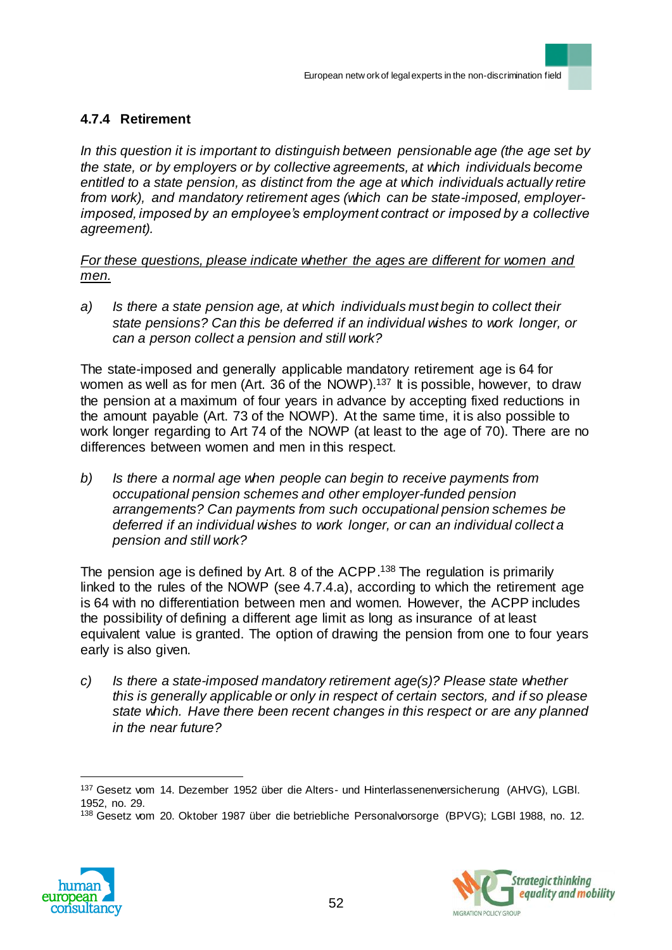## **4.7.4 Retirement**

*In this question it is important to distinguish between pensionable age (the age set by the state, or by employers or by collective agreements, at which individuals become entitled to a state pension, as distinct from the age at which individuals actually retire from work), and mandatory retirement ages (which can be state-imposed, employerimposed, imposed by an employee's employment contract or imposed by a collective agreement).*

*For these questions, please indicate whether the ages are different for women and men.*

*a) Is there a state pension age, at which individuals must begin to collect their state pensions? Can this be deferred if an individual wishes to work longer, or can a person collect a pension and still work?*

The state-imposed and generally applicable mandatory retirement age is 64 for women as well as for men (Art. 36 of the NOWP).<sup>137</sup> It is possible, however, to draw the pension at a maximum of four years in advance by accepting fixed reductions in the amount payable (Art. 73 of the NOWP). At the same time, it is also possible to work longer regarding to Art 74 of the NOWP (at least to the age of 70). There are no differences between women and men in this respect.

*b) Is there a normal age when people can begin to receive payments from occupational pension schemes and other employer-funded pension arrangements? Can payments from such occupational pension schemes be deferred if an individual wishes to work longer, or can an individual collect a pension and still work?*

The pension age is defined by Art. 8 of the ACPP. <sup>138</sup> The regulation is primarily linked to the rules of the NOWP (see 4.7.4.a), according to which the retirement age is 64 with no differentiation between men and women. However, the ACPP includes the possibility of defining a different age limit as long as insurance of at least equivalent value is granted. The option of drawing the pension from one to four years early is also given.

*c) Is there a state-imposed mandatory retirement age(s)? Please state whether this is generally applicable or only in respect of certain sectors, and if so please state which. Have there been recent changes in this respect or are any planned in the near future?*

<sup>138</sup> Gesetz vom 20. Oktober 1987 über die betriebliche Personalvorsorge (BPVG); LGBl 1988, no. 12.





<sup>137</sup> Gesetz vom 14. Dezember 1952 über die Alters- und Hinterlassenenversicherung (AHVG), LGBI. 1952, no. 29.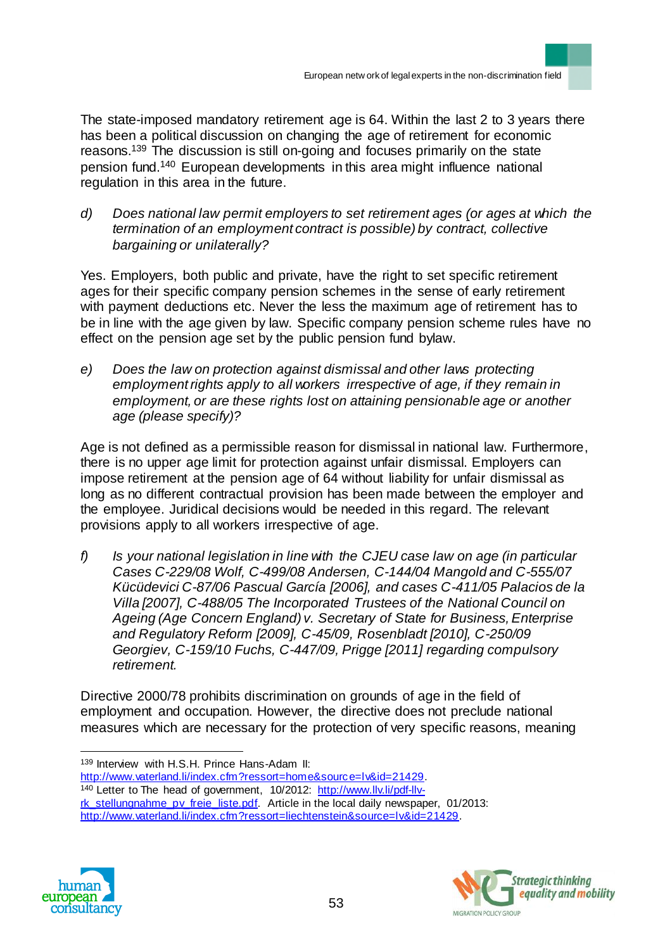The state-imposed mandatory retirement age is 64. Within the last 2 to 3 years there has been a political discussion on changing the age of retirement for economic reasons. <sup>139</sup> The discussion is still on-going and focuses primarily on the state pension fund.<sup>140</sup> European developments in this area might influence national regulation in this area in the future.

*d) Does national law permit employers to set retirement ages (or ages at which the termination of an employment contract is possible) by contract, collective bargaining or unilaterally?* 

Yes. Employers, both public and private, have the right to set specific retirement ages for their specific company pension schemes in the sense of early retirement with payment deductions etc. Never the less the maximum age of retirement has to be in line with the age given by law. Specific company pension scheme rules have no effect on the pension age set by the public pension fund bylaw.

*e) Does the law on protection against dismissal and other laws protecting employment rights apply to all workers irrespective of age, if they remain in employment, or are these rights lost on attaining pensionable age or another age (please specify)?* 

Age is not defined as a permissible reason for dismissal in national law. Furthermore, there is no upper age limit for protection against unfair dismissal. Employers can impose retirement at the pension age of 64 without liability for unfair dismissal as long as no different contractual provision has been made between the employer and the employee. Juridical decisions would be needed in this regard. The relevant provisions apply to all workers irrespective of age.

*f) Is your national legislation in line with the CJEU case law on age (in particular Cases C-229/08 Wolf, C-499/08 Andersen, C-144/04 Mangold and C-555/07 Kücüdevici C-87/06 Pascual García [2006], and cases C-411/05 Palacios de la Villa [2007], C-488/05 The Incorporated Trustees of the National Council on Ageing (Age Concern England) v. Secretary of State for Business, Enterprise and Regulatory Reform [2009], C-45/09, Rosenbladt [2010], C-250/09 Georgiev, C-159/10 Fuchs, C-447/09, Prigge [2011] regarding compulsory retirement.*

Directive 2000/78 prohibits discrimination on grounds of age in the field of employment and occupation. However, the directive does not preclude national measures which are necessary for the protection of very specific reasons, meaning

139 Interview with H.S.H. Prince Hans-Adam II: http://www.vaterland.li/index.cfm?ressort=home&source=lv&id=21429. 140 Letter to The head of government, 10/2012: http://www.llv.li/pdf-llvrk\_stellungnahme\_pv\_freie\_liste.pdf. Article in the local daily newspaper, 01/2013: http://www.vaterland.li/index.cfm?ressort=liechtenstein&source=lv&id=21429.



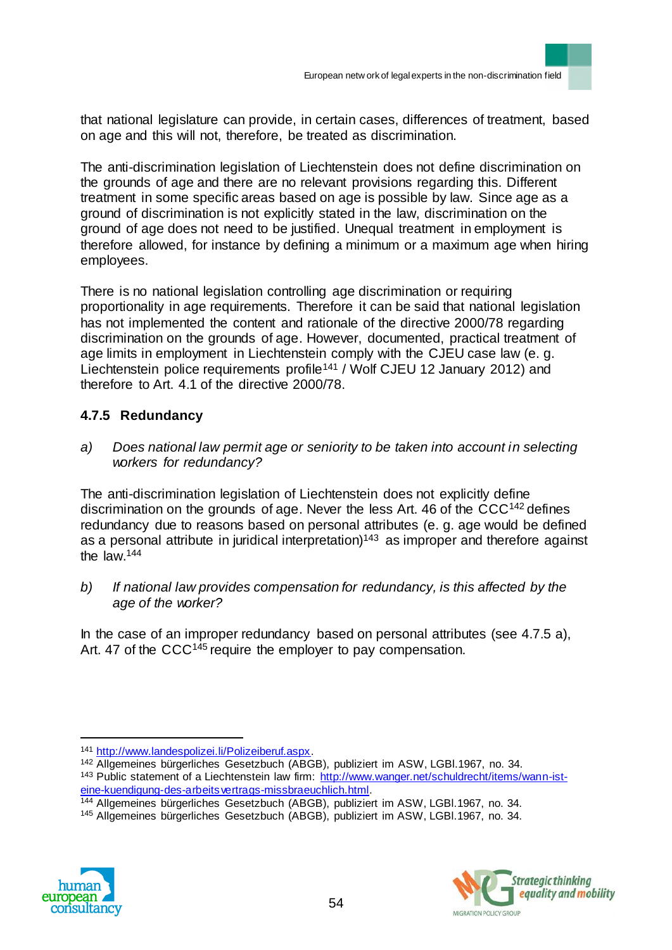that national legislature can provide, in certain cases, differences of treatment, based on age and this will not, therefore, be treated as discrimination.

The anti-discrimination legislation of Liechtenstein does not define discrimination on the grounds of age and there are no relevant provisions regarding this. Different treatment in some specific areas based on age is possible by law. Since age as a ground of discrimination is not explicitly stated in the law, discrimination on the ground of age does not need to be justified. Unequal treatment in employment is therefore allowed, for instance by defining a minimum or a maximum age when hiring employees.

There is no national legislation controlling age discrimination or requiring proportionality in age requirements. Therefore it can be said that national legislation has not implemented the content and rationale of the directive 2000/78 regarding discrimination on the grounds of age. However, documented, practical treatment of age limits in employment in Liechtenstein comply with the CJEU case law (e. g. Liechtenstein police requirements profile<sup>141</sup> / Wolf CJEU 12 January 2012) and therefore to Art. 4.1 of the directive 2000/78.

# **4.7.5 Redundancy**

*a) Does national law permit age or seniority to be taken into account in selecting workers for redundancy?* 

The anti-discrimination legislation of Liechtenstein does not explicitly define discrimination on the grounds of age. Never the less Art. 46 of the  $CCC<sup>142</sup>$  defines redundancy due to reasons based on personal attributes (e. g. age would be defined as a personal attribute in juridical interpretation)<sup>143</sup> as improper and therefore against the law.<sup>144</sup>

*b) If national law provides compensation for redundancy, is this affected by the age of the worker?*

In the case of an improper redundancy based on personal attributes (see 4.7.5 a), Art. 47 of the CCC<sup>145</sup> require the employer to pay compensation.

<sup>142</sup> Allgemeines bürgerliches Gesetzbuch (ABGB), publiziert im ASW, LGBl.1967, no. 34. 143 Public statement of a Liechtenstein law firm: http://www.wanger.net/schuldrecht/items/wann-isteine-kuendigung-des-arbeitsvertrags-missbraeuchlich.html.

<sup>145</sup> Allgemeines bürgerliches Gesetzbuch (ABGB), publiziert im ASW, LGBl.1967, no. 34.





<sup>141</sup> http://www.landespolizei.li/Polizeiberuf.aspx.

<sup>144</sup> Allgemeines bürgerliches Gesetzbuch (ABGB), publiziert im ASW, LGBl.1967, no. 34.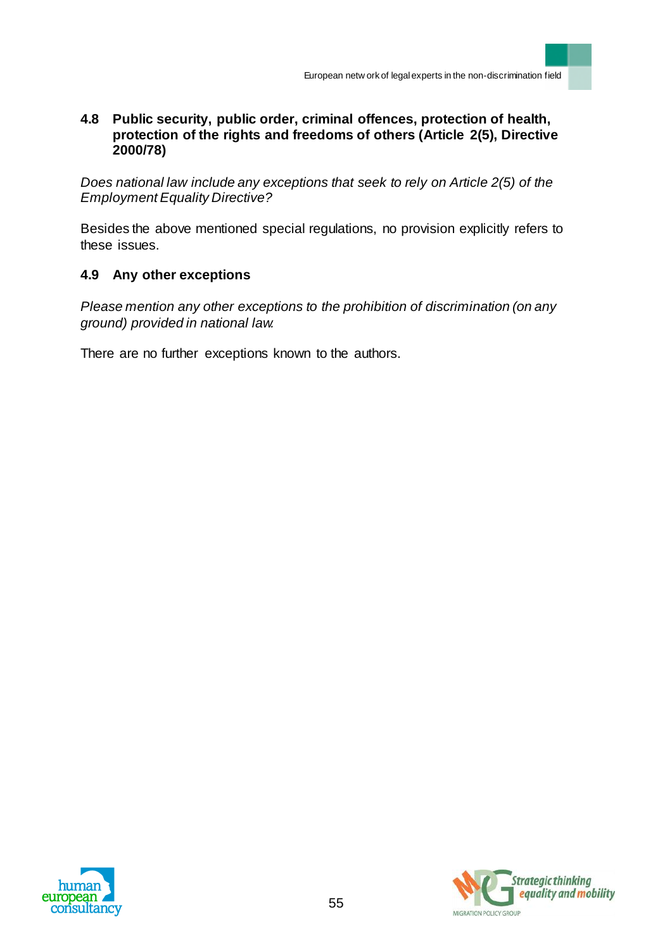## **4.8 Public security, public order, criminal offences, protection of health, protection of the rights and freedoms of others (Article 2(5), Directive 2000/78)**

*Does national law include any exceptions that seek to rely on Article 2(5) of the Employment Equality Directive?*

Besides the above mentioned special regulations, no provision explicitly refers to these issues.

# **4.9 Any other exceptions**

*Please mention any other exceptions to the prohibition of discrimination (on any ground) provided in national law.* 

There are no further exceptions known to the authors.



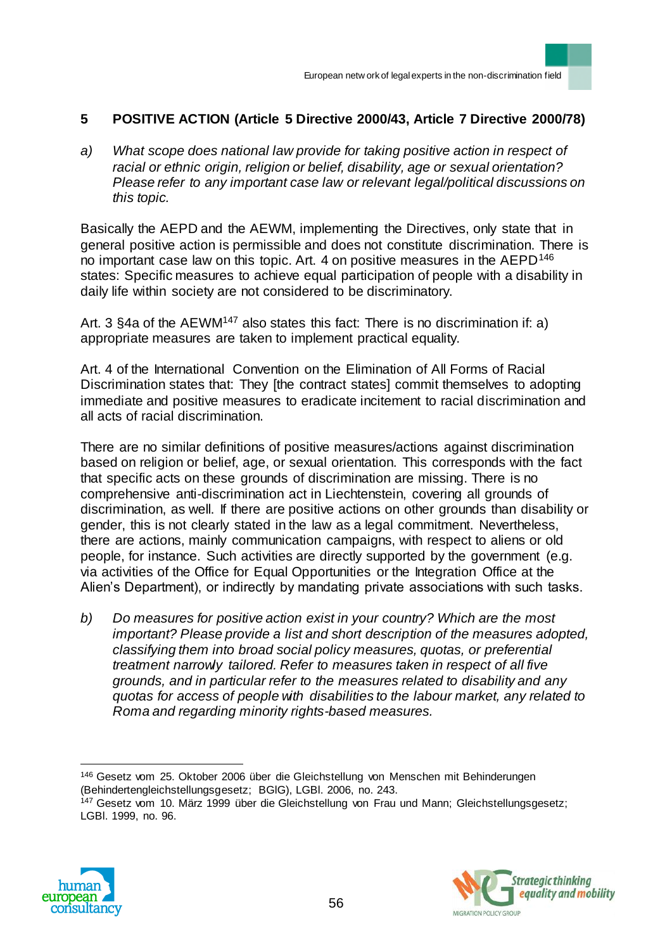## **5 POSITIVE ACTION (Article 5 Directive 2000/43, Article 7 Directive 2000/78)**

*a) What scope does national law provide for taking positive action in respect of racial or ethnic origin, religion or belief, disability, age or sexual orientation? Please refer to any important case law or relevant legal/political discussions on this topic.*

Basically the AEPD and the AEWM, implementing the Directives, only state that in general positive action is permissible and does not constitute discrimination. There is no important case law on this topic. Art. 4 on positive measures in the AEPD<sup>146</sup> states: Specific measures to achieve equal participation of people with a disability in daily life within society are not considered to be discriminatory.

Art. 3 §4a of the AEWM<sup>147</sup> also states this fact: There is no discrimination if: a) appropriate measures are taken to implement practical equality.

Art. 4 of the International Convention on the Elimination of All Forms of Racial Discrimination states that: They [the contract states] commit themselves to adopting immediate and positive measures to eradicate incitement to racial discrimination and all acts of racial discrimination.

There are no similar definitions of positive measures/actions against discrimination based on religion or belief, age, or sexual orientation. This corresponds with the fact that specific acts on these grounds of discrimination are missing. There is no comprehensive anti-discrimination act in Liechtenstein, covering all grounds of discrimination, as well. If there are positive actions on other grounds than disability or gender, this is not clearly stated in the law as a legal commitment. Nevertheless, there are actions, mainly communication campaigns, with respect to aliens or old people, for instance. Such activities are directly supported by the government (e.g. via activities of the Office for Equal Opportunities or the Integration Office at the Alien's Department), or indirectly by mandating private associations with such tasks.

*b) Do measures for positive action exist in your country? Which are the most important? Please provide a list and short description of the measures adopted, classifying them into broad social policy measures, quotas, or preferential treatment narrowly tailored. Refer to measures taken in respect of all five grounds, and in particular refer to the measures related to disability and any quotas for access of people with disabilities to the labour market, any related to Roma and regarding minority rights-based measures.* 

<sup>&</sup>lt;sup>147</sup> Gesetz vom 10. März 1999 über die Gleichstellung von Frau und Mann; Gleichstellungsgesetz; LGBl. 1999, no. 96.





<sup>146</sup> Gesetz vom 25. Oktober 2006 über die Gleichstellung von Menschen mit Behinderungen (Behindertengleichstellungsgesetz; BGlG), LGBl. 2006, no. 243.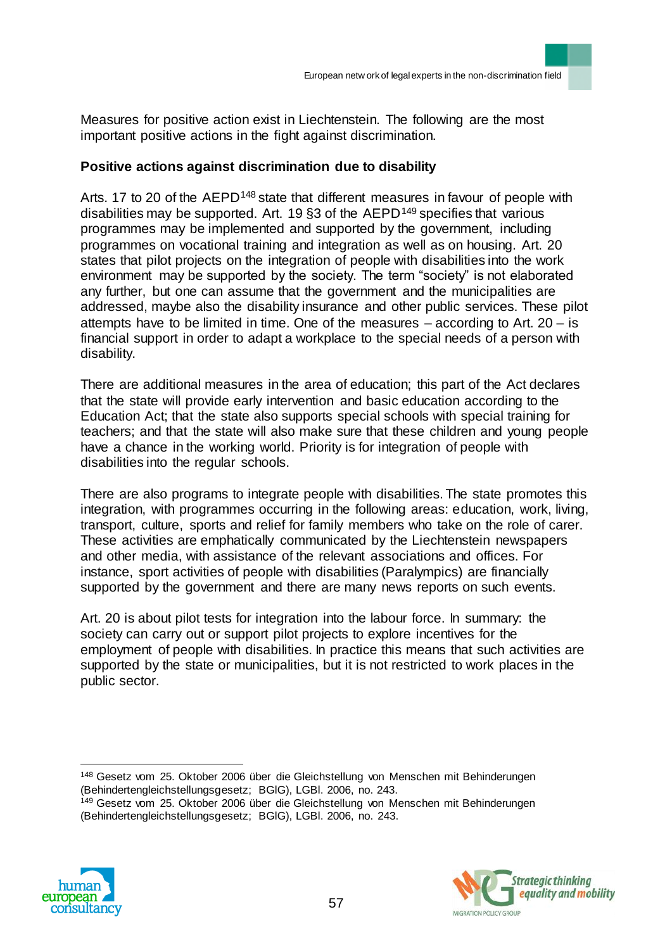Measures for positive action exist in Liechtenstein. The following are the most important positive actions in the fight against discrimination.

#### **Positive actions against discrimination due to disability**

Arts. 17 to 20 of the AEPD<sup>148</sup> state that different measures in favour of people with disabilities may be supported. Art. 19  $\S$ 3 of the AEPD<sup>149</sup> specifies that various programmes may be implemented and supported by the government, including programmes on vocational training and integration as well as on housing. Art. 20 states that pilot projects on the integration of people with disabilities into the work environment may be supported by the society. The term "society" is not elaborated any further, but one can assume that the government and the municipalities are addressed, maybe also the disability insurance and other public services. These pilot attempts have to be limited in time. One of the measures – according to Art. 20 – is financial support in order to adapt a workplace to the special needs of a person with disability.

There are additional measures in the area of education; this part of the Act declares that the state will provide early intervention and basic education according to the Education Act; that the state also supports special schools with special training for teachers; and that the state will also make sure that these children and young people have a chance in the working world. Priority is for integration of people with disabilities into the regular schools.

There are also programs to integrate people with disabilities. The state promotes this integration, with programmes occurring in the following areas: education, work, living, transport, culture, sports and relief for family members who take on the role of carer. These activities are emphatically communicated by the Liechtenstein newspapers and other media, with assistance of the relevant associations and offices. For instance, sport activities of people with disabilities (Paralympics) are financially supported by the government and there are many news reports on such events.

Art. 20 is about pilot tests for integration into the labour force. In summary: the society can carry out or support pilot projects to explore incentives for the employment of people with disabilities. In practice this means that such activities are supported by the state or municipalities, but it is not restricted to work places in the public sector.

 $\overline{a}$ <sup>148</sup> Gesetz vom 25. Oktober 2006 über die Gleichstellung von Menschen mit Behinderungen (Behindertengleichstellungsgesetz; BGlG), LGBl. 2006, no. 243. <sup>149</sup> Gesetz vom 25. Oktober 2006 über die Gleichstellung von Menschen mit Behinderungen (Behindertengleichstellungsgesetz; BGlG), LGBl. 2006, no. 243.



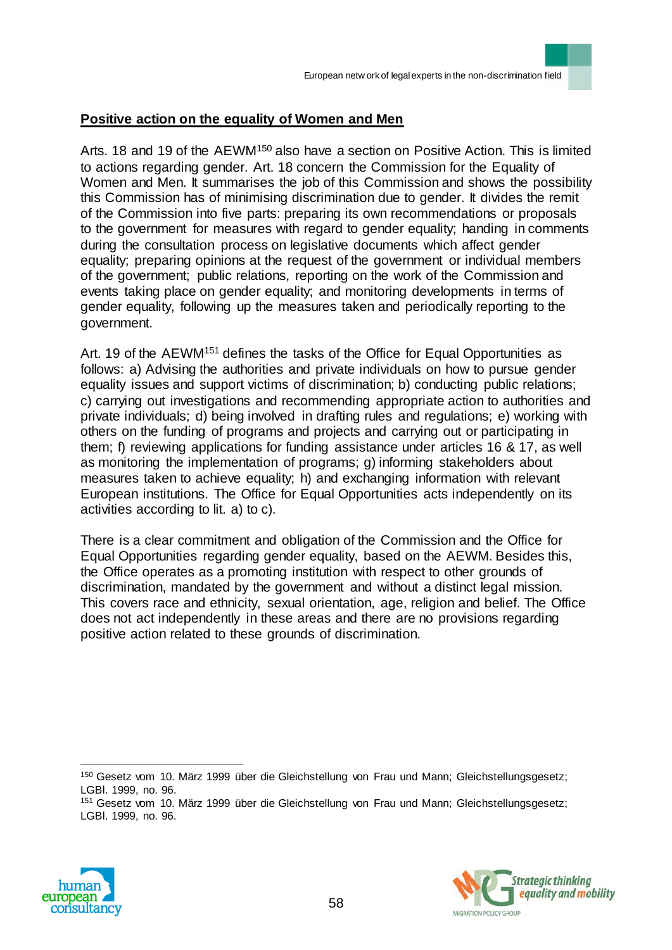#### **Positive action on the equality of Women and Men**

Arts. 18 and 19 of the AEWM<sup>150</sup> also have a section on Positive Action. This is limited to actions regarding gender. Art. 18 concern the Commission for the Equality of Women and Men. It summarises the job of this Commission and shows the possibility this Commission has of minimising discrimination due to gender. It divides the remit of the Commission into five parts: preparing its own recommendations or proposals to the government for measures with regard to gender equality; handing in comments during the consultation process on legislative documents which affect gender equality; preparing opinions at the request of the government or individual members of the government; public relations, reporting on the work of the Commission and events taking place on gender equality; and monitoring developments in terms of gender equality, following up the measures taken and periodically reporting to the government.

Art. 19 of the AEWM<sup>151</sup> defines the tasks of the Office for Equal Opportunities as follows: a) Advising the authorities and private individuals on how to pursue gender equality issues and support victims of discrimination; b) conducting public relations; c) carrying out investigations and recommending appropriate action to authorities and private individuals; d) being involved in drafting rules and regulations; e) working with others on the funding of programs and projects and carrying out or participating in them; f) reviewing applications for funding assistance under articles 16 & 17, as well as monitoring the implementation of programs; g) informing stakeholders about measures taken to achieve equality; h) and exchanging information with relevant European institutions. The Office for Equal Opportunities acts independently on its activities according to lit. a) to c).

There is a clear commitment and obligation of the Commission and the Office for Equal Opportunities regarding gender equality, based on the AEWM. Besides this, the Office operates as a promoting institution with respect to other grounds of discrimination, mandated by the government and without a distinct legal mission. This covers race and ethnicity, sexual orientation, age, religion and belief. The Office does not act independently in these areas and there are no provisions regarding positive action related to these grounds of discrimination.

<sup>151</sup> Gesetz vom 10. März 1999 über die Gleichstellung von Frau und Mann; Gleichstellungsgesetz; LGBl. 1999, no. 96.





<sup>150</sup> Gesetz vom 10. März 1999 über die Gleichstellung von Frau und Mann; Gleichstellungsgesetz; LGBl. 1999, no. 96.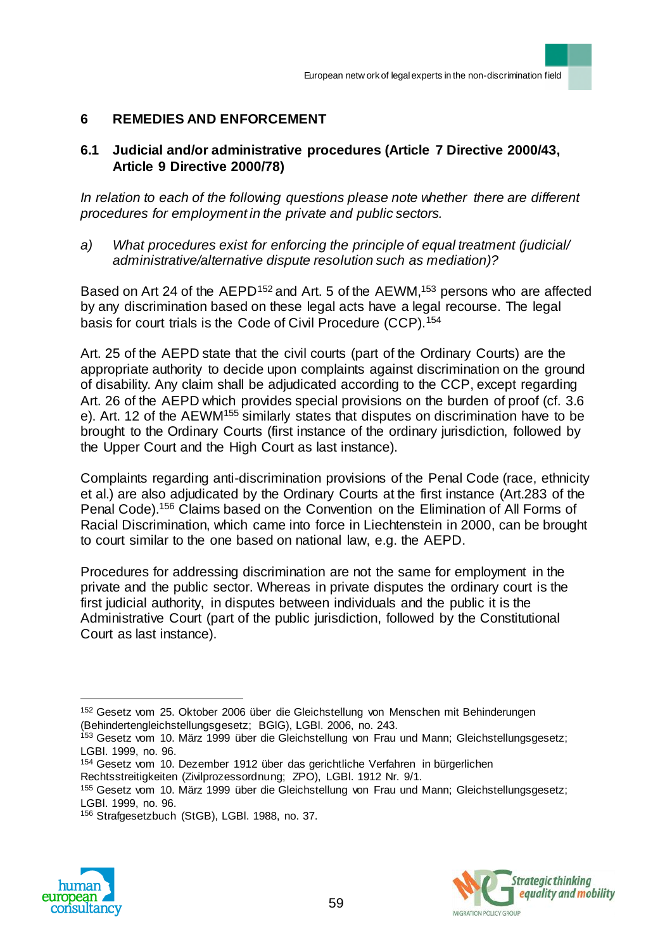## **6 REMEDIES AND ENFORCEMENT**

## **6.1 Judicial and/or administrative procedures (Article 7 Directive 2000/43, Article 9 Directive 2000/78)**

*In relation to each of the following questions please note whether there are different procedures for employment in the private and public sectors.*

*a) What procedures exist for enforcing the principle of equal treatment (judicial/ administrative/alternative dispute resolution such as mediation)?* 

Based on Art 24 of the AEPD<sup>152</sup> and Art. 5 of the AEWM,<sup>153</sup> persons who are affected by any discrimination based on these legal acts have a legal recourse. The legal basis for court trials is the Code of Civil Procedure (CCP).<sup>154</sup>

Art. 25 of the AEPD state that the civil courts (part of the Ordinary Courts) are the appropriate authority to decide upon complaints against discrimination on the ground of disability. Any claim shall be adjudicated according to the CCP, except regarding Art. 26 of the AEPD which provides special provisions on the burden of proof (cf. 3.6 e). Art. 12 of the AEWM<sup>155</sup> similarly states that disputes on discrimination have to be brought to the Ordinary Courts (first instance of the ordinary jurisdiction, followed by the Upper Court and the High Court as last instance).

Complaints regarding anti-discrimination provisions of the Penal Code (race, ethnicity et al.) are also adjudicated by the Ordinary Courts at the first instance (Art.283 of the Penal Code).<sup>156</sup> Claims based on the Convention on the Elimination of All Forms of Racial Discrimination, which came into force in Liechtenstein in 2000, can be brought to court similar to the one based on national law, e.g. the AEPD.

Procedures for addressing discrimination are not the same for employment in the private and the public sector. Whereas in private disputes the ordinary court is the first judicial authority, in disputes between individuals and the public it is the Administrative Court (part of the public jurisdiction, followed by the Constitutional Court as last instance).

<sup>154</sup> Gesetz vom 10. Dezember 1912 über das gerichtliche Verfahren in bürgerlichen Rechtsstreitigkeiten (Zivilprozessordnung; ZPO), LGBl. 1912 Nr. 9/1.

<sup>156</sup> Strafgesetzbuch (StGB), LGBl. 1988, no. 37.





<sup>&</sup>lt;sup>152</sup> Gesetz vom 25. Oktober 2006 über die Gleichstellung von Menschen mit Behinderungen (Behindertengleichstellungsgesetz; BGlG), LGBl. 2006, no. 243.

<sup>153</sup> Gesetz vom 10. März 1999 über die Gleichstellung von Frau und Mann; Gleichstellungsgesetz; LGBl. 1999, no. 96.

<sup>155</sup> Gesetz vom 10. März 1999 über die Gleichstellung von Frau und Mann; Gleichstellungsgesetz; LGBl. 1999, no. 96.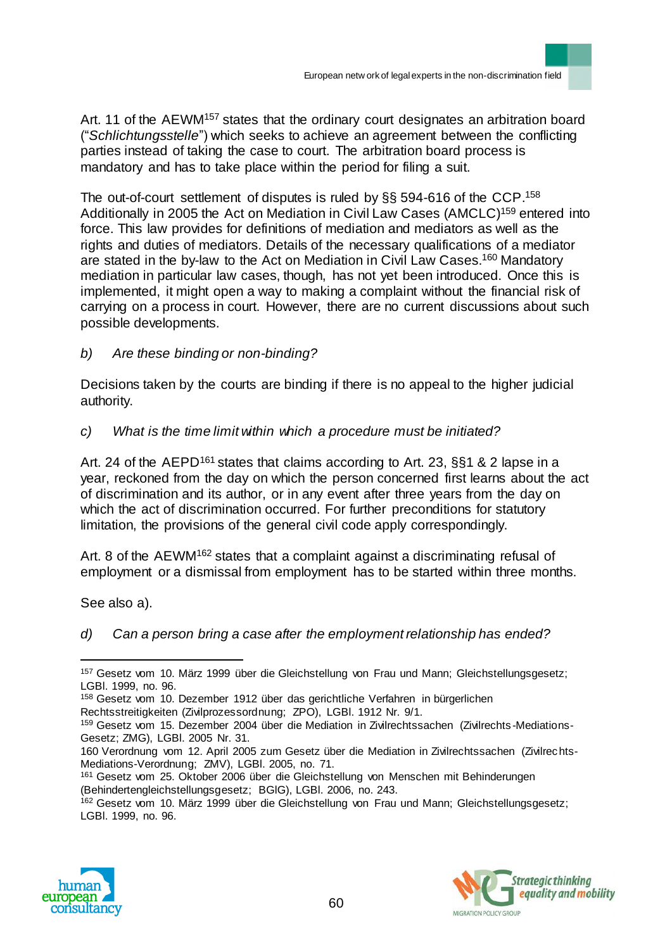Art. 11 of the AEWM<sup>157</sup> states that the ordinary court designates an arbitration board ("*Schlichtungsstelle*") which seeks to achieve an agreement between the conflicting parties instead of taking the case to court. The arbitration board process is mandatory and has to take place within the period for filing a suit.

The out-of-court settlement of disputes is ruled by §§ 594-616 of the CCP. 158 Additionally in 2005 the Act on Mediation in Civil Law Cases (AMCLC)<sup>159</sup> entered into force. This law provides for definitions of mediation and mediators as well as the rights and duties of mediators. Details of the necessary qualifications of a mediator are stated in the by-law to the Act on Mediation in Civil Law Cases.<sup>160</sup> Mandatory mediation in particular law cases, though, has not yet been introduced. Once this is implemented, it might open a way to making a complaint without the financial risk of carrying on a process in court. However, there are no current discussions about such possible developments.

*b) Are these binding or non-binding?* 

Decisions taken by the courts are binding if there is no appeal to the higher judicial authority.

*c) What is the time limit within which a procedure must be initiated?* 

Art. 24 of the AEPD<sup>161</sup> states that claims according to Art. 23, §§1 & 2 lapse in a year, reckoned from the day on which the person concerned first learns about the act of discrimination and its author, or in any event after three years from the day on which the act of discrimination occurred. For further preconditions for statutory limitation, the provisions of the general civil code apply correspondingly.

Art. 8 of the AEWM<sup>162</sup> states that a complaint against a discriminating refusal of employment or a dismissal from employment has to be started within three months.

See also a).

 $\overline{a}$ 

*d) Can a person bring a case after the employment relationship has ended?*

Rechtsstreitigkeiten (Zivilprozessordnung; ZPO), LGBl. 1912 Nr. 9/1.

<sup>&</sup>lt;sup>162</sup> Gesetz vom 10. März 1999 über die Gleichstellung von Frau und Mann; Gleichstellungsgesetz; LGBl. 1999, no. 96.





<sup>157</sup> Gesetz vom 10. März 1999 über die Gleichstellung von Frau und Mann; Gleichstellungsgesetz; LGBl. 1999, no. 96.

<sup>158</sup> Gesetz vom 10. Dezember 1912 über das gerichtliche Verfahren in bürgerlichen

<sup>159</sup> Gesetz vom 15. Dezember 2004 über die Mediation in Zivilrechtssachen (Zivilrechts -Mediations-Gesetz; ZMG), LGBl. 2005 Nr. 31.

<sup>160</sup> Verordnung vom 12. April 2005 zum Gesetz über die Mediation in Zivilrechtssachen (Zivilrec hts-Mediations-Verordnung; ZMV), LGBl. 2005, no. 71.

<sup>161</sup> Gesetz vom 25. Oktober 2006 über die Gleichstellung von Menschen mit Behinderungen (Behindertengleichstellungsgesetz; BGlG), LGBl. 2006, no. 243.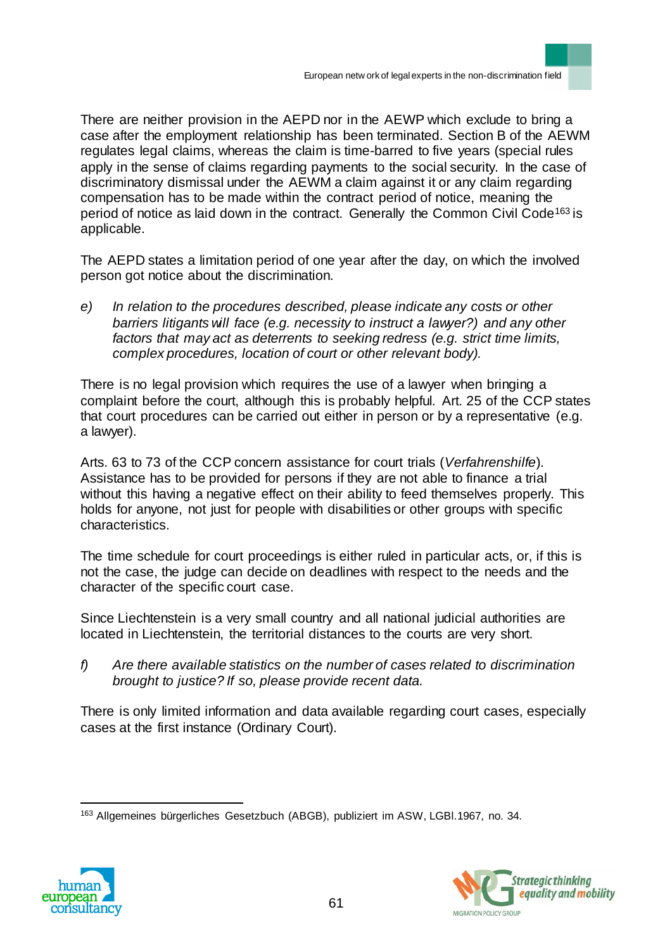There are neither provision in the AEPD nor in the AEWP which exclude to bring a case after the employment relationship has been terminated. Section B of the AEWM regulates legal claims, whereas the claim is time-barred to five years (special rules apply in the sense of claims regarding payments to the social security. In the case of discriminatory dismissal under the AEWM a claim against it or any claim regarding compensation has to be made within the contract period of notice, meaning the period of notice as laid down in the contract. Generally the Common Civil Code<sup>163</sup> is applicable.

The AEPD states a limitation period of one year after the day, on which the involved person got notice about the discrimination.

*e) In relation to the procedures described, please indicate any costs or other barriers litigants will face (e.g. necessity to instruct a lawer?) and any other factors that may act as deterrents to seeking redress (e.g. strict time limits, complex procedures, location of court or other relevant body).*

There is no legal provision which requires the use of a lawyer when bringing a complaint before the court, although this is probably helpful. Art. 25 of the CCP states that court procedures can be carried out either in person or by a representative (e.g. a lawyer).

Arts. 63 to 73 of the CCP concern assistance for court trials (*Verfahrenshilfe*). Assistance has to be provided for persons if they are not able to finance a trial without this having a negative effect on their ability to feed themselves properly. This holds for anyone, not just for people with disabilities or other groups with specific characteristics.

The time schedule for court proceedings is either ruled in particular acts, or, if this is not the case, the judge can decide on deadlines with respect to the needs and the character of the specific court case.

Since Liechtenstein is a very small country and all national judicial authorities are located in Liechtenstein, the territorial distances to the courts are very short.

*f) Are there available statistics on the number of cases related to discrimination brought to justice? If so, please provide recent data.*

There is only limited information and data available regarding court cases, especially cases at the first instance (Ordinary Court).

 $\overline{a}$ <sup>163</sup> Allgemeines bürgerliches Gesetzbuch (ABGB), publiziert im ASW, LGBl.1967, no. 34.



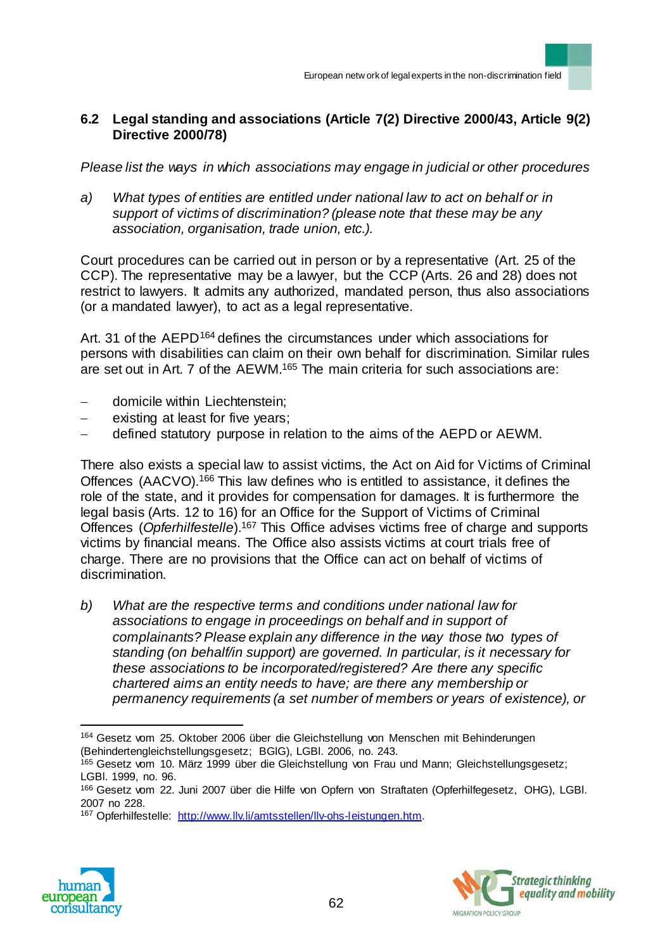## **6.2 Legal standing and associations (Article 7(2) Directive 2000/43, Article 9(2) Directive 2000/78)**

*Please list the ways in which associations may engage in judicial or other procedures*

*a) What types of entities are entitled under national law to act on behalf or in support of victims of discrimination? (please note that these may be any association, organisation, trade union, etc.).* 

Court procedures can be carried out in person or by a representative (Art. 25 of the CCP). The representative may be a lawyer, but the CCP (Arts. 26 and 28) does not restrict to lawyers. It admits any authorized, mandated person, thus also associations (or a mandated lawyer), to act as a legal representative.

Art. 31 of the AEPD<sup>164</sup> defines the circumstances under which associations for persons with disabilities can claim on their own behalf for discrimination. Similar rules are set out in Art. 7 of the AEWM.<sup>165</sup> The main criteria for such associations are:

- domicile within Liechtenstein;
- existing at least for five years;
- defined statutory purpose in relation to the aims of the AEPD or AEWM.

There also exists a special law to assist victims, the Act on Aid for Victims of Criminal Offences (AACVO).<sup>166</sup> This law defines who is entitled to assistance, it defines the role of the state, and it provides for compensation for damages. It is furthermore the legal basis (Arts. 12 to 16) for an Office for the Support of Victims of Criminal Offences (*Opferhilfestelle*).<sup>167</sup> This Office advises victims free of charge and supports victims by financial means. The Office also assists victims at court trials free of charge. There are no provisions that the Office can act on behalf of victims of discrimination.

*b) What are the respective terms and conditions under national law for associations to engage in proceedings on behalf and in support of complainants? Please explain any difference in the way those two types of standing (on behalf/in support) are governed. In particular, is it necessary for these associations to be incorporated/registered? Are there any specific chartered aims an entity needs to have; are there any membership or permanency requirements (a set number of members or years of existence), or* 

<sup>167</sup> Opferhilfestelle: http://www.llv.li/amtsstellen/llv-ohs-leistungen.htm.





<sup>164</sup> Gesetz vom 25. Oktober 2006 über die Gleichstellung von Menschen mit Behinderungen (Behindertengleichstellungsgesetz; BGlG), LGBl. 2006, no. 243.

<sup>165</sup> Gesetz vom 10. März 1999 über die Gleichstellung von Frau und Mann; Gleichstellungsgesetz; LGBl. 1999, no. 96.

<sup>166</sup> Gesetz vom 22. Juni 2007 über die Hilfe von Opfern von Straftaten (Opferhilfegesetz, OHG), LGBl. 2007 no 228.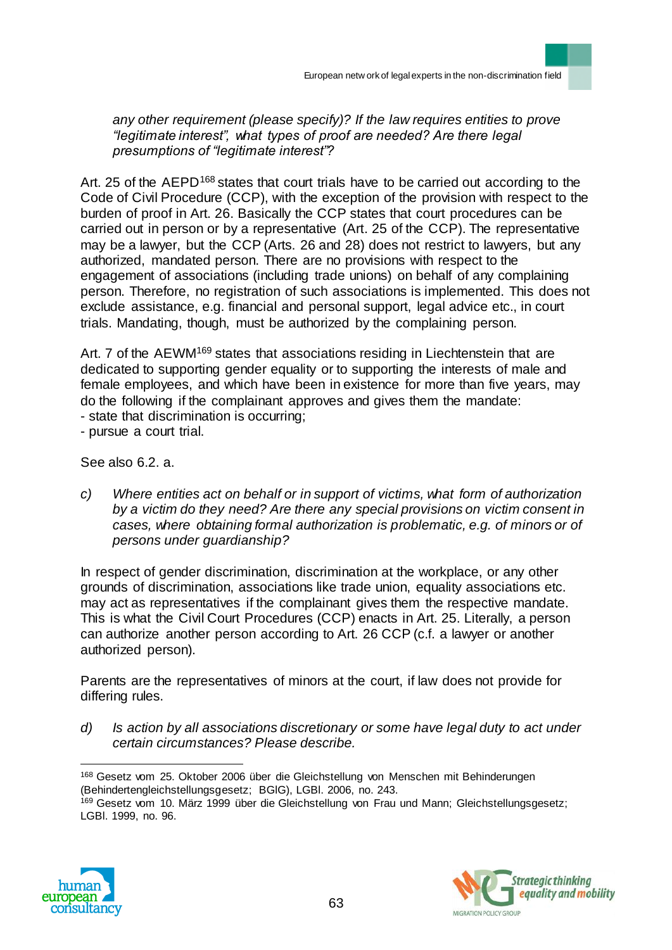*any other requirement (please specify)? If the law requires entities to prove "legitimate interest", what types of proof are needed? Are there legal presumptions of "legitimate interest"?*

Art. 25 of the AEPD<sup>168</sup> states that court trials have to be carried out according to the Code of Civil Procedure (CCP), with the exception of the provision with respect to the burden of proof in Art. 26. Basically the CCP states that court procedures can be carried out in person or by a representative (Art. 25 of the CCP). The representative may be a lawyer, but the CCP (Arts. 26 and 28) does not restrict to lawyers, but any authorized, mandated person. There are no provisions with respect to the engagement of associations (including trade unions) on behalf of any complaining person. Therefore, no registration of such associations is implemented. This does not exclude assistance, e.g. financial and personal support, legal advice etc., in court trials. Mandating, though, must be authorized by the complaining person.

Art. 7 of the AEWM<sup>169</sup> states that associations residing in Liechtenstein that are dedicated to supporting gender equality or to supporting the interests of male and female employees, and which have been in existence for more than five years, may do the following if the complainant approves and gives them the mandate: - state that discrimination is occurring;

- pursue a court trial.

See also 6.2. a.

*c) Where entities act on behalf or in support of victims, what form of authorization by a victim do they need? Are there any special provisions on victim consent in cases, where obtaining formal authorization is problematic, e.g. of minors or of persons under guardianship?*

In respect of gender discrimination, discrimination at the workplace, or any other grounds of discrimination, associations like trade union, equality associations etc. may act as representatives if the complainant gives them the respective mandate. This is what the Civil Court Procedures (CCP) enacts in Art. 25. Literally, a person can authorize another person according to Art. 26 CCP (c.f. a lawyer or another authorized person).

Parents are the representatives of minors at the court, if law does not provide for differing rules.

*d) Is action by all associations discretionary or some have legal duty to act under certain circumstances? Please describe.*

<sup>168</sup> Gesetz vom 25. Oktober 2006 über die Gleichstellung von Menschen mit Behinderungen (Behindertengleichstellungsgesetz; BGlG), LGBl. 2006, no. 243. <sup>169</sup> Gesetz vom 10. März 1999 über die Gleichstellung von Frau und Mann; Gleichstellungsgesetz; LGBl. 1999, no. 96.



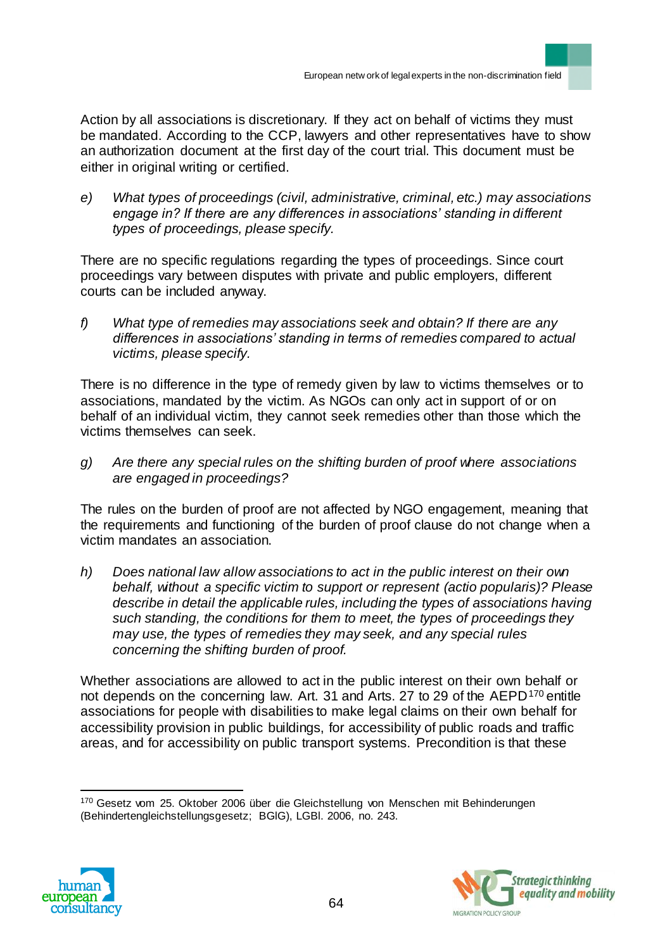Action by all associations is discretionary. If they act on behalf of victims they must be mandated. According to the CCP, lawyers and other representatives have to show an authorization document at the first day of the court trial. This document must be either in original writing or certified.

*e) What types of proceedings (civil, administrative, criminal, etc.) may associations engage in? If there are any differences in associations' standing in different types of proceedings, please specify.*

There are no specific regulations regarding the types of proceedings. Since court proceedings vary between disputes with private and public employers, different courts can be included anyway.

*f) What type of remedies may associations seek and obtain? If there are any differences in associations' standing in terms of remedies compared to actual victims, please specify.*

There is no difference in the type of remedy given by law to victims themselves or to associations, mandated by the victim. As NGOs can only act in support of or on behalf of an individual victim, they cannot seek remedies other than those which the victims themselves can seek.

*g) Are there any special rules on the shifting burden of proof where associations are engaged in proceedings?*

The rules on the burden of proof are not affected by NGO engagement, meaning that the requirements and functioning of the burden of proof clause do not change when a victim mandates an association.

*h) Does national law allow associations to act in the public interest on their own behalf, without a specific victim to support or represent (actio popularis)? Please describe in detail the applicable rules, including the types of associations having such standing, the conditions for them to meet, the types of proceedings they may use, the types of remedies they may seek, and any special rules concerning the shifting burden of proof.*

Whether associations are allowed to act in the public interest on their own behalf or not depends on the concerning law. Art. 31 and Arts. 27 to 29 of the AEPD<sup>170</sup> entitle associations for people with disabilities to make legal claims on their own behalf for accessibility provision in public buildings, for accessibility of public roads and traffic areas, and for accessibility on public transport systems. Precondition is that these

 $\overline{a}$ 170 Gesetz vom 25. Oktober 2006 über die Gleichstellung von Menschen mit Behinderungen (Behindertengleichstellungsgesetz; BGlG), LGBl. 2006, no. 243.



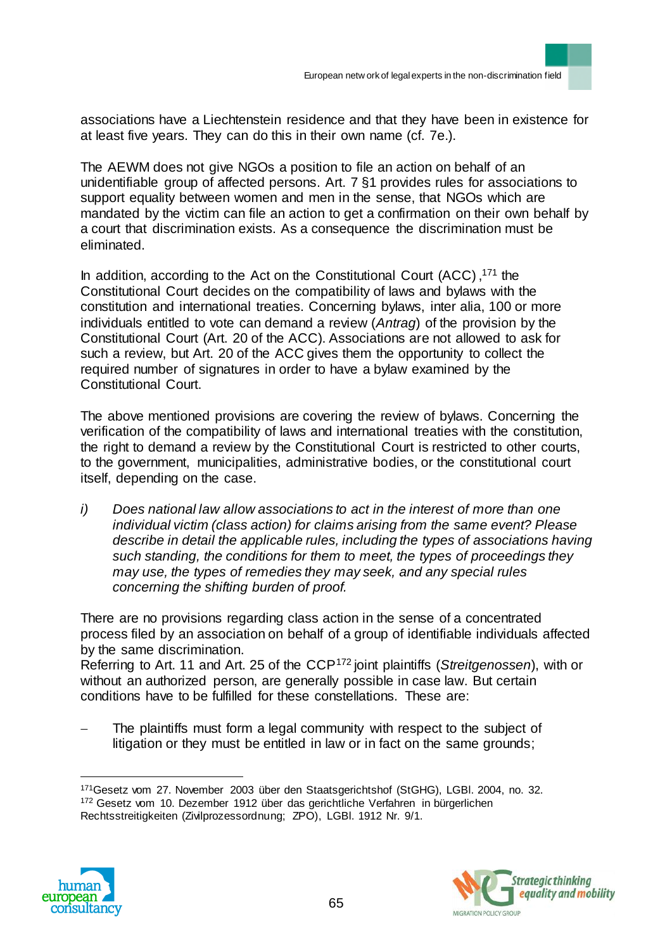associations have a Liechtenstein residence and that they have been in existence for at least five years. They can do this in their own name (cf. 7e.).

The AEWM does not give NGOs a position to file an action on behalf of an unidentifiable group of affected persons. Art. 7 §1 provides rules for associations to support equality between women and men in the sense, that NGOs which are mandated by the victim can file an action to get a confirmation on their own behalf by a court that discrimination exists. As a consequence the discrimination must be eliminated.

In addition, according to the Act on the Constitutional Court (ACC) , <sup>171</sup> the Constitutional Court decides on the compatibility of laws and bylaws with the constitution and international treaties. Concerning bylaws, inter alia, 100 or more individuals entitled to vote can demand a review (*Antrag*) of the provision by the Constitutional Court (Art. 20 of the ACC). Associations are not allowed to ask for such a review, but Art. 20 of the ACC gives them the opportunity to collect the required number of signatures in order to have a bylaw examined by the Constitutional Court.

The above mentioned provisions are covering the review of bylaws. Concerning the verification of the compatibility of laws and international treaties with the constitution, the right to demand a review by the Constitutional Court is restricted to other courts, to the government, municipalities, administrative bodies, or the constitutional court itself, depending on the case.

*i) Does national law allow associations to act in the interest of more than one individual victim (class action) for claims arising from the same event? Please describe in detail the applicable rules, including the types of associations having such standing, the conditions for them to meet, the types of proceedings they may use, the types of remedies they may seek, and any special rules concerning the shifting burden of proof.*

There are no provisions regarding class action in the sense of a concentrated process filed by an association on behalf of a group of identifiable individuals affected by the same discrimination.

Referring to Art. 11 and Art. 25 of the CCP<sup>172</sup> joint plaintiffs (*Streitgenossen*), with or without an authorized person, are generally possible in case law. But certain conditions have to be fulfilled for these constellations. These are:

 The plaintiffs must form a legal community with respect to the subject of litigation or they must be entitled in law or in fact on the same grounds;

<sup>171</sup>Gesetz vom 27. November 2003 über den Staatsgerichtshof (StGHG), LGBl. 2004, no. 32. 172 Gesetz vom 10. Dezember 1912 über das gerichtliche Verfahren in bürgerlichen Rechtsstreitigkeiten (Zivilprozessordnung; ZPO), LGBl. 1912 Nr. 9/1.



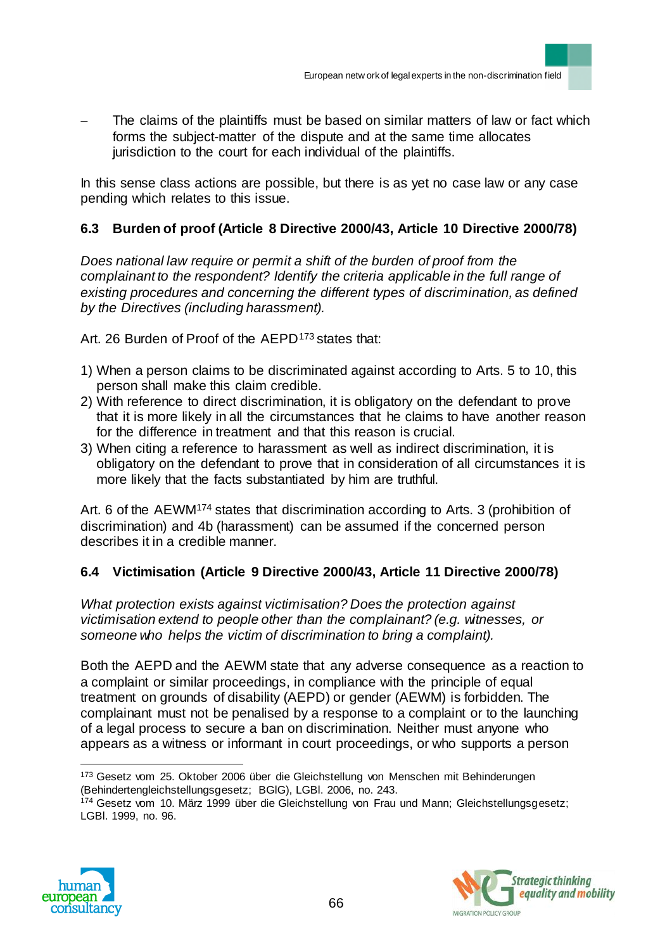The claims of the plaintiffs must be based on similar matters of law or fact which forms the subject-matter of the dispute and at the same time allocates jurisdiction to the court for each individual of the plaintiffs.

In this sense class actions are possible, but there is as yet no case law or any case pending which relates to this issue.

# **6.3 Burden of proof (Article 8 Directive 2000/43, Article 10 Directive 2000/78)**

*Does national law require or permit a shift of the burden of proof from the complainant to the respondent? Identify the criteria applicable in the full range of existing procedures and concerning the different types of discrimination, as defined by the Directives (including harassment).*

Art. 26 Burden of Proof of the AEPD<sup>173</sup> states that:

- 1) When a person claims to be discriminated against according to Arts. 5 to 10, this person shall make this claim credible.
- 2) With reference to direct discrimination, it is obligatory on the defendant to prove that it is more likely in all the circumstances that he claims to have another reason for the difference in treatment and that this reason is crucial.
- 3) When citing a reference to harassment as well as indirect discrimination, it is obligatory on the defendant to prove that in consideration of all circumstances it is more likely that the facts substantiated by him are truthful.

Art. 6 of the AEWM<sup>174</sup> states that discrimination according to Arts. 3 (prohibition of discrimination) and 4b (harassment) can be assumed if the concerned person describes it in a credible manner.

## **6.4 Victimisation (Article 9 Directive 2000/43, Article 11 Directive 2000/78)**

*What protection exists against victimisation? Does the protection against victimisation extend to people other than the complainant? (e.g. witnesses, or someone who helps the victim of discrimination to bring a complaint).*

Both the AEPD and the AEWM state that any adverse consequence as a reaction to a complaint or similar proceedings, in compliance with the principle of equal treatment on grounds of disability (AEPD) or gender (AEWM) is forbidden. The complainant must not be penalised by a response to a complaint or to the launching of a legal process to secure a ban on discrimination. Neither must anyone who appears as a witness or informant in court proceedings, or who supports a person

<sup>&</sup>lt;sup>174</sup> Gesetz vom 10. März 1999 über die Gleichstellung von Frau und Mann; Gleichstellungsgesetz; LGBl. 1999, no. 96.





 $\overline{a}$ 173 Gesetz vom 25. Oktober 2006 über die Gleichstellung von Menschen mit Behinderungen (Behindertengleichstellungsgesetz; BGlG), LGBl. 2006, no. 243.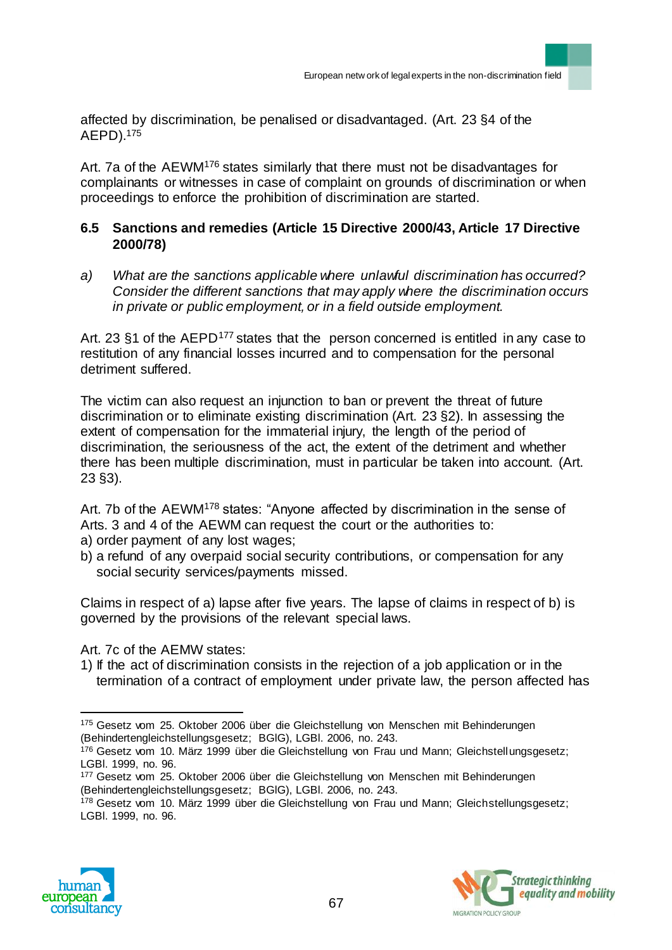affected by discrimination, be penalised or disadvantaged. (Art. 23 §4 of the AEPD).<sup>175</sup>

Art. 7a of the AEWM<sup>176</sup> states similarly that there must not be disadvantages for complainants or witnesses in case of complaint on grounds of discrimination or when proceedings to enforce the prohibition of discrimination are started.

## **6.5 Sanctions and remedies (Article 15 Directive 2000/43, Article 17 Directive 2000/78)**

*a) What are the sanctions applicable where unlawful discrimination has occurred? Consider the different sanctions that may apply where the discrimination occurs in private or public employment, or in a field outside employment.* 

Art. 23  $\S$ 1 of the AEPD<sup>177</sup> states that the person concerned is entitled in any case to restitution of any financial losses incurred and to compensation for the personal detriment suffered.

The victim can also request an injunction to ban or prevent the threat of future discrimination or to eliminate existing discrimination (Art. 23 §2). In assessing the extent of compensation for the immaterial injury, the length of the period of discrimination, the seriousness of the act, the extent of the detriment and whether there has been multiple discrimination, must in particular be taken into account. (Art. 23 §3).

Art. 7b of the AEWM<sup>178</sup> states: "Anyone affected by discrimination in the sense of Arts. 3 and 4 of the AEWM can request the court or the authorities to: a) order payment of any lost wages;

b) a refund of any overpaid social security contributions, or compensation for any social security services/payments missed.

Claims in respect of a) lapse after five years. The lapse of claims in respect of b) is governed by the provisions of the relevant special laws.

Art. 7c of the AEMW states:

1) If the act of discrimination consists in the rejection of a job application or in the termination of a contract of employment under private law, the person affected has

<sup>&</sup>lt;sup>178</sup> Gesetz vom 10. März 1999 über die Gleichstellung von Frau und Mann; Gleichstellungsgesetz; LGBl. 1999, no. 96.





<sup>175</sup> Gesetz vom 25. Oktober 2006 über die Gleichstellung von Menschen mit Behinderungen (Behindertengleichstellungsgesetz; BGlG), LGBl. 2006, no. 243.

<sup>176</sup> Gesetz vom 10. März 1999 über die Gleichstellung von Frau und Mann; Gleichstellungsgesetz; LGBl. 1999, no. 96.

<sup>177</sup> Gesetz vom 25. Oktober 2006 über die Gleichstellung von Menschen mit Behinderungen (Behindertengleichstellungsgesetz; BGlG), LGBl. 2006, no. 243.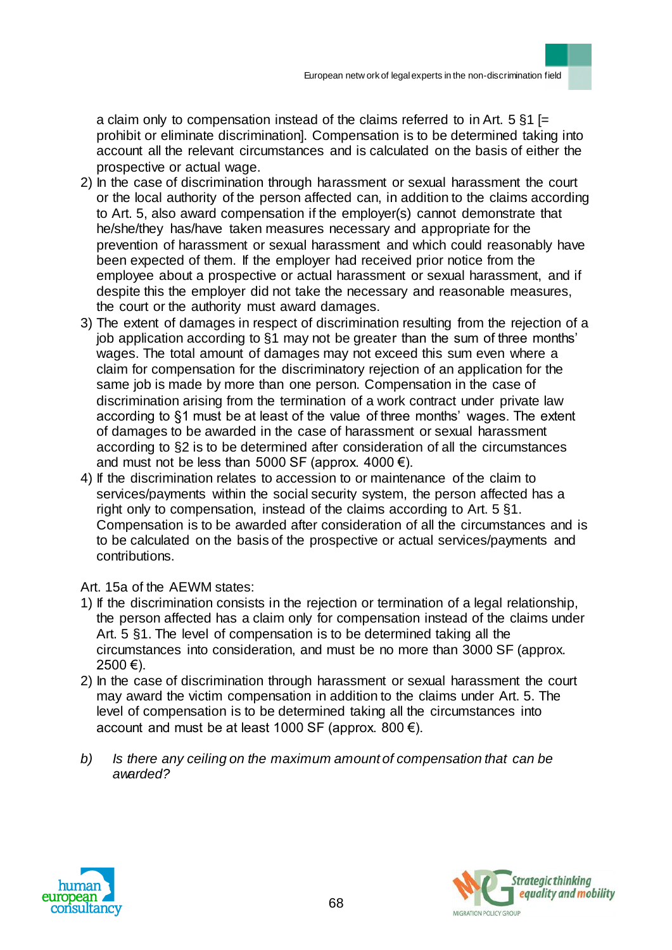a claim only to compensation instead of the claims referred to in Art.  $5 \,$ §1 [= prohibit or eliminate discrimination]. Compensation is to be determined taking into account all the relevant circumstances and is calculated on the basis of either the prospective or actual wage.

- 2) In the case of discrimination through harassment or sexual harassment the court or the local authority of the person affected can, in addition to the claims according to Art. 5, also award compensation if the employer(s) cannot demonstrate that he/she/they has/have taken measures necessary and appropriate for the prevention of harassment or sexual harassment and which could reasonably have been expected of them. If the employer had received prior notice from the employee about a prospective or actual harassment or sexual harassment, and if despite this the employer did not take the necessary and reasonable measures, the court or the authority must award damages.
- 3) The extent of damages in respect of discrimination resulting from the rejection of a job application according to §1 may not be greater than the sum of three months' wages. The total amount of damages may not exceed this sum even where a claim for compensation for the discriminatory rejection of an application for the same job is made by more than one person. Compensation in the case of discrimination arising from the termination of a work contract under private law according to §1 must be at least of the value of three months' wages. The extent of damages to be awarded in the case of harassment or sexual harassment according to §2 is to be determined after consideration of all the circumstances and must not be less than 5000 SF (approx.  $4000 \in$ ).
- 4) If the discrimination relates to accession to or maintenance of the claim to services/payments within the social security system, the person affected has a right only to compensation, instead of the claims according to Art. 5 §1. Compensation is to be awarded after consideration of all the circumstances and is to be calculated on the basis of the prospective or actual services/payments and contributions.

Art. 15a of the AEWM states:

- 1) If the discrimination consists in the rejection or termination of a legal relationship, the person affected has a claim only for compensation instead of the claims under Art. 5 §1. The level of compensation is to be determined taking all the circumstances into consideration, and must be no more than 3000 SF (approx.  $2500 \in$ ).
- 2) In the case of discrimination through harassment or sexual harassment the court may award the victim compensation in addition to the claims under Art. 5. The level of compensation is to be determined taking all the circumstances into account and must be at least 1000 SF (approx. 800  $\epsilon$ ).
- *b) Is there any ceiling on the maximum amount of compensation that can be awarded?*



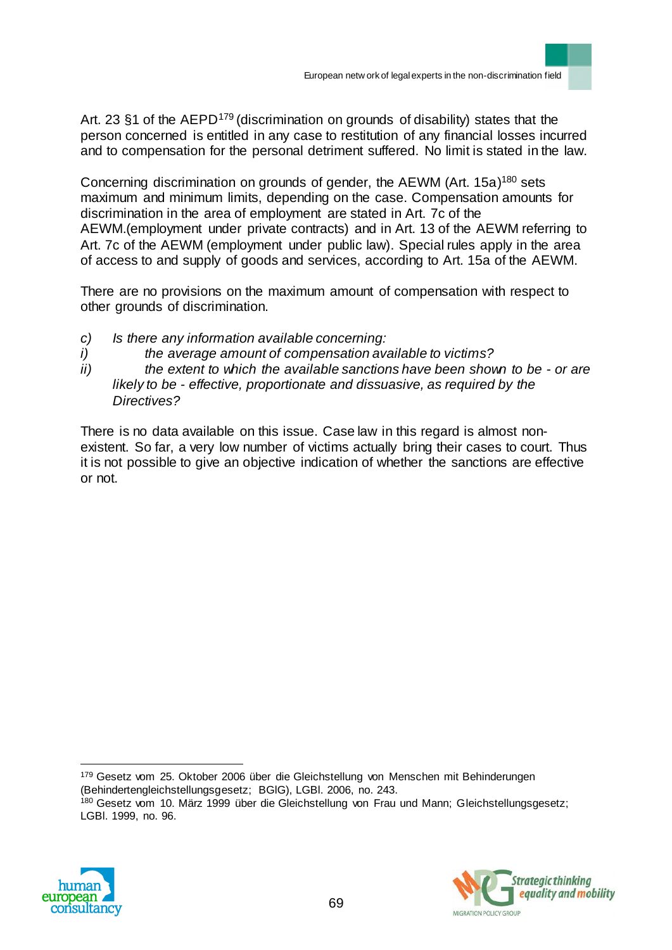Art. 23 §1 of the AEPD<sup>179</sup> (discrimination on grounds of disability) states that the person concerned is entitled in any case to restitution of any financial losses incurred and to compensation for the personal detriment suffered. No limit is stated in the law.

Concerning discrimination on grounds of gender, the AEWM (Art. 15a)<sup>180</sup> sets maximum and minimum limits, depending on the case. Compensation amounts for discrimination in the area of employment are stated in Art. 7c of the AEWM.(employment under private contracts) and in Art. 13 of the AEWM referring to Art. 7c of the AEWM (employment under public law). Special rules apply in the area of access to and supply of goods and services, according to Art. 15a of the AEWM.

There are no provisions on the maximum amount of compensation with respect to other grounds of discrimination.

- *c) Is there any information available concerning:*
- *i) the average amount of compensation available to victims?*
- *ii) the extent to which the available sanctions have been shown to be - or are likely to be - effective, proportionate and dissuasive, as required by the Directives?*

There is no data available on this issue. Case law in this regard is almost nonexistent. So far, a very low number of victims actually bring their cases to court. Thus it is not possible to give an objective indication of whether the sanctions are effective or not.

179 Gesetz vom 25. Oktober 2006 über die Gleichstellung von Menschen mit Behinderungen (Behindertengleichstellungsgesetz; BGlG), LGBl. 2006, no. 243. <sup>180</sup> Gesetz vom 10. März 1999 über die Gleichstellung von Frau und Mann; Gleichstellungsgesetz; LGBl. 1999, no. 96.



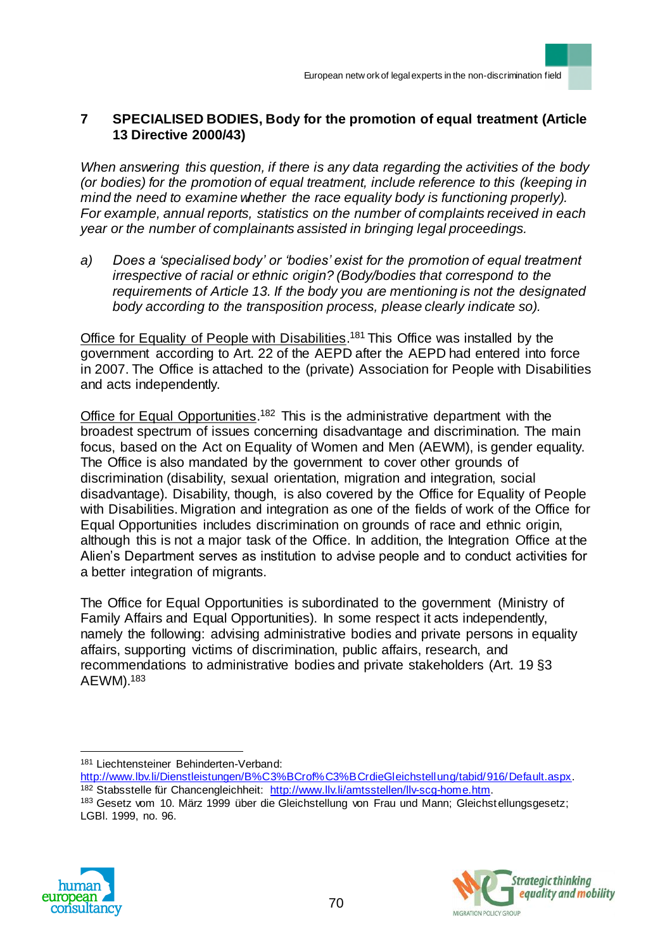## **7 SPECIALISED BODIES, Body for the promotion of equal treatment (Article 13 Directive 2000/43)**

*When answering this question, if there is any data regarding the activities of the body (or bodies) for the promotion of equal treatment, include reference to this (keeping in mind the need to examine whether the race equality body is functioning properly). For example, annual reports, statistics on the number of complaints received in each year or the number of complainants assisted in bringing legal proceedings.* 

*a) Does a 'specialised body' or 'bodies' exist for the promotion of equal treatment irrespective of racial or ethnic origin? (Body/bodies that correspond to the requirements of Article 13. If the body you are mentioning is not the designated body according to the transposition process, please clearly indicate so).*

Office for Equality of People with Disabilities.<sup>181</sup> This Office was installed by the government according to Art. 22 of the AEPD after the AEPD had entered into force in 2007. The Office is attached to the (private) Association for People with Disabilities and acts independently.

Office for Equal Opportunities.<sup>182</sup> This is the administrative department with the broadest spectrum of issues concerning disadvantage and discrimination. The main focus, based on the Act on Equality of Women and Men (AEWM), is gender equality. The Office is also mandated by the government to cover other grounds of discrimination (disability, sexual orientation, migration and integration, social disadvantage). Disability, though, is also covered by the Office for Equality of People with Disabilities. Migration and integration as one of the fields of work of the Office for Equal Opportunities includes discrimination on grounds of race and ethnic origin, although this is not a major task of the Office. In addition, the Integration Office at the Alien's Department serves as institution to advise people and to conduct activities for a better integration of migrants.

The Office for Equal Opportunities is subordinated to the government (Ministry of Family Affairs and Equal Opportunities). In some respect it acts independently, namely the following: advising administrative bodies and private persons in equality affairs, supporting victims of discrimination, public affairs, research, and recommendations to administrative bodies and private stakeholders (Art. 19 §3 AEWM).<sup>183</sup>

<sup>183</sup> Gesetz vom 10. März 1999 über die Gleichstellung von Frau und Mann; Gleichstellungsgesetz; LGBl. 1999, no. 96.





 $\overline{a}$ <sup>181</sup> Liechtensteiner Behinderten-Verband:

http://www.lbv.li/Dienstleistungen/B%C3%BCrof%C3%BCrdieGleichstellung/tabid/916/Default.aspx. <sup>182</sup> Stabsstelle für Chancengleichheit: http://www.llv.li/amtsstellen/llv-scg-home.htm.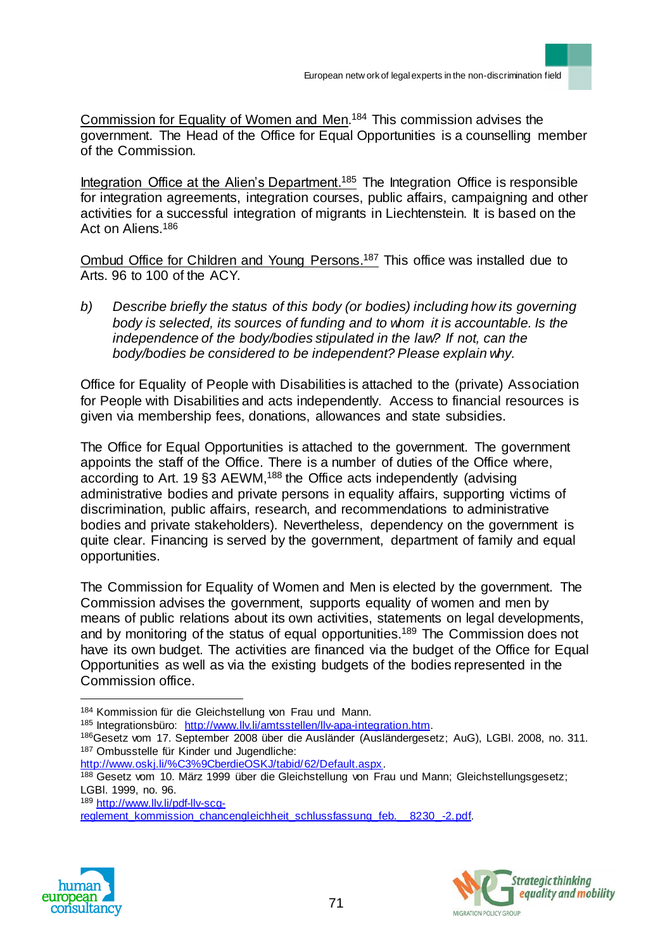Commission for Equality of Women and Men.<sup>184</sup> This commission advises the government. The Head of the Office for Equal Opportunities is a counselling member of the Commission.

Integration Office at the Alien's Department.<sup>185</sup> The Integration Office is responsible for integration agreements, integration courses, public affairs, campaigning and other activities for a successful integration of migrants in Liechtenstein. It is based on the Act on Aliens.<sup>186</sup>

Ombud Office for Children and Young Persons.<sup>187</sup> This office was installed due to Arts. 96 to 100 of the ACY.

*b) Describe briefly the status of this body (or bodies) including how its governing body is selected, its sources of funding and to whom it is accountable. Is the independence of the body/bodies stipulated in the law? If not, can the body/bodies be considered to be independent? Please explain why.*

Office for Equality of People with Disabilities is attached to the (private) Association for People with Disabilities and acts independently. Access to financial resources is given via membership fees, donations, allowances and state subsidies.

The Office for Equal Opportunities is attached to the government. The government appoints the staff of the Office. There is a number of duties of the Office where, according to Art. 19 §3 AEWM,<sup>188</sup> the Office acts independently (advising administrative bodies and private persons in equality affairs, supporting victims of discrimination, public affairs, research, and recommendations to administrative bodies and private stakeholders). Nevertheless, dependency on the government is quite clear. Financing is served by the government, department of family and equal opportunities.

The Commission for Equality of Women and Men is elected by the government. The Commission advises the government, supports equality of women and men by means of public relations about its own activities, statements on legal developments, and by monitoring of the status of equal opportunities.<sup>189</sup> The Commission does not have its own budget. The activities are financed via the budget of the Office for Equal Opportunities as well as via the existing budgets of the bodies represented in the Commission office.

reglement\_kommission\_chancengleichheit\_schlussfassung\_feb.\_\_8230\_-2.pdf.





<sup>184</sup> Kommission für die Gleichstellung von Frau und Mann.

<sup>185</sup> Integrationsbüro: http://www.llv.li/amtsstellen/llv-apa-integration.htm.

<sup>186</sup>Gesetz vom 17. September 2008 über die Ausländer (Ausländergesetz; AuG), LGBl. 2008, no. 311. 187 Ombusstelle für Kinder und Jugendliche:

http://www.oskj.li/%C3%9CberdieOSKJ/tabid/62/Default.aspx.

<sup>188</sup> Gesetz vom 10. März 1999 über die Gleichstellung von Frau und Mann; Gleichstellungsgesetz; LGBl. 1999, no. 96.

<sup>189</sup> http://www.llv.li/pdf-llv-scg-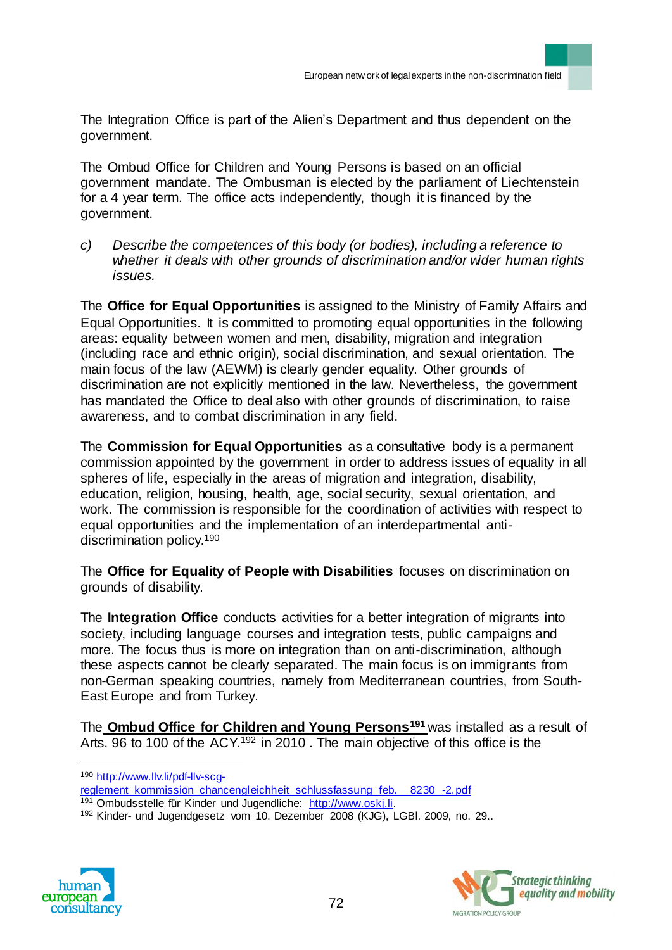The Integration Office is part of the Alien's Department and thus dependent on the government.

The Ombud Office for Children and Young Persons is based on an official government mandate. The Ombusman is elected by the parliament of Liechtenstein for a 4 year term. The office acts independently, though it is financed by the government.

*c) Describe the competences of this body (or bodies), including a reference to whether it deals with other grounds of discrimination and/or wider human rights issues.*

The **Office for Equal Opportunities** is assigned to the Ministry of Family Affairs and Equal Opportunities. It is committed to promoting equal opportunities in the following areas: equality between women and men, disability, migration and integration (including race and ethnic origin), social discrimination, and sexual orientation. The main focus of the law (AEWM) is clearly gender equality. Other grounds of discrimination are not explicitly mentioned in the law. Nevertheless, the government has mandated the Office to deal also with other grounds of discrimination, to raise awareness, and to combat discrimination in any field.

The **Commission for Equal Opportunities** as a consultative body is a permanent commission appointed by the government in order to address issues of equality in all spheres of life, especially in the areas of migration and integration, disability, education, religion, housing, health, age, social security, sexual orientation, and work. The commission is responsible for the coordination of activities with respect to equal opportunities and the implementation of an interdepartmental antidiscrimination policy.<sup>190</sup>

The **Office for Equality of People with Disabilities** focuses on discrimination on grounds of disability.

The **Integration Office** conducts activities for a better integration of migrants into society, including language courses and integration tests, public campaigns and more. The focus thus is more on integration than on anti-discrimination, although these aspects cannot be clearly separated. The main focus is on immigrants from non-German speaking countries, namely from Mediterranean countries, from South-East Europe and from Turkey.

The **Ombud Office for Children and Young Persons<sup>191</sup>** was installed as a result of Arts. 96 to 100 of the ACY.<sup>192</sup> in 2010. The main objective of this office is the

<sup>190</sup> http://www.llv.li/pdf-llv-scg-

reglement\_kommission\_chancengleichheit\_schlussfassung\_feb.\_\_8230\_-2.pdf

<sup>192</sup> Kinder- und Jugendgesetz vom 10. Dezember 2008 (KJG), LGBl. 2009, no. 29..





<sup>191</sup> Ombudsstelle für Kinder und Jugendliche: http://www.oskj.li.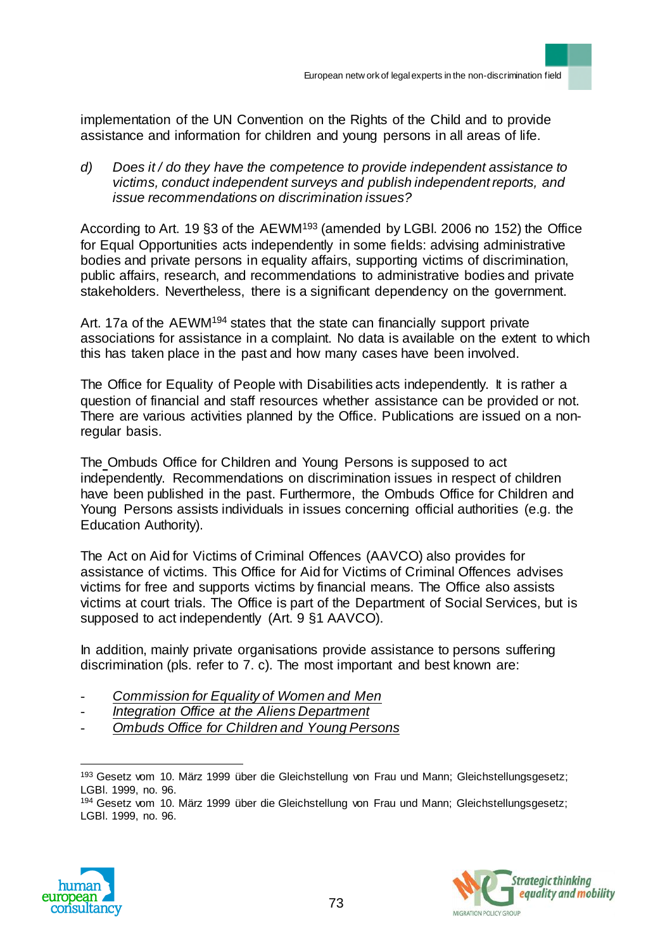implementation of the UN Convention on the Rights of the Child and to provide assistance and information for children and young persons in all areas of life.

*d) Does it / do they have the competence to provide independent assistance to victims, conduct independent surveys and publish independent reports, and issue recommendations on discrimination issues?* 

According to Art. 19 §3 of the AEWM<sup>193</sup> (amended by LGBl. 2006 no 152) the Office for Equal Opportunities acts independently in some fields: advising administrative bodies and private persons in equality affairs, supporting victims of discrimination, public affairs, research, and recommendations to administrative bodies and private stakeholders. Nevertheless, there is a significant dependency on the government.

Art. 17a of the AEWM<sup>194</sup> states that the state can financially support private associations for assistance in a complaint. No data is available on the extent to which this has taken place in the past and how many cases have been involved.

The Office for Equality of People with Disabilities acts independently. It is rather a question of financial and staff resources whether assistance can be provided or not. There are various activities planned by the Office. Publications are issued on a nonregular basis.

The Ombuds Office for Children and Young Persons is supposed to act independently. Recommendations on discrimination issues in respect of children have been published in the past. Furthermore, the Ombuds Office for Children and Young Persons assists individuals in issues concerning official authorities (e.g. the Education Authority).

The Act on Aid for Victims of Criminal Offences (AAVCO) also provides for assistance of victims. This Office for Aid for Victims of Criminal Offences advises victims for free and supports victims by financial means. The Office also assists victims at court trials. The Office is part of the Department of Social Services, but is supposed to act independently (Art. 9 §1 AAVCO).

In addition, mainly private organisations provide assistance to persons suffering discrimination (pls. refer to 7. c). The most important and best known are:

- *Commission for Equality of Women and Men*
- *Integration Office at the Aliens Department*
- *Ombuds Office for Children and Young Persons*

<sup>194</sup> Gesetz vom 10. März 1999 über die Gleichstellung von Frau und Mann; Gleichstellungsgesetz; LGBl. 1999, no. 96.





<sup>193</sup> Gesetz vom 10. März 1999 über die Gleichstellung von Frau und Mann; Gleichstellungsgesetz; LGBl. 1999, no. 96.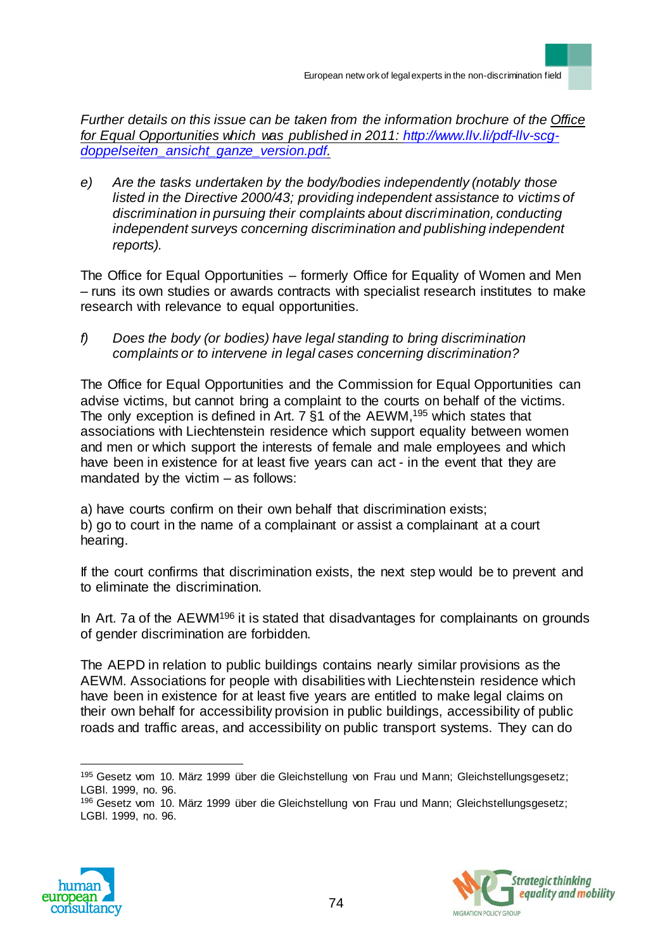*Further details on this issue can be taken from the information brochure of the Office for Equal Opportunities which was published in 2011: [http://www.llv.li/pdf-llv-scg](http://www.llv.li/pdf-llv-scg-doppelseiten_ansicht_ganze_version.pdf)[doppelseiten\\_ansicht\\_ganze\\_version.pdf.](http://www.llv.li/pdf-llv-scg-doppelseiten_ansicht_ganze_version.pdf)*

*e) Are the tasks undertaken by the body/bodies independently (notably those listed in the Directive 2000/43; providing independent assistance to victims of discrimination in pursuing their complaints about discrimination, conducting independent surveys concerning discrimination and publishing independent reports).*

The Office for Equal Opportunities – formerly Office for Equality of Women and Men – runs its own studies or awards contracts with specialist research institutes to make research with relevance to equal opportunities.

*f) Does the body (or bodies) have legal standing to bring discrimination complaints or to intervene in legal cases concerning discrimination?*

The Office for Equal Opportunities and the Commission for Equal Opportunities can advise victims, but cannot bring a complaint to the courts on behalf of the victims. The only exception is defined in Art. 7 §1 of the AEWM,<sup>195</sup> which states that associations with Liechtenstein residence which support equality between women and men or which support the interests of female and male employees and which have been in existence for at least five years can act - in the event that they are mandated by the victim – as follows:

a) have courts confirm on their own behalf that discrimination exists; b) go to court in the name of a complainant or assist a complainant at a court hearing.

If the court confirms that discrimination exists, the next step would be to prevent and to eliminate the discrimination.

In Art. 7a of the AEWM<sup>196</sup> it is stated that disadvantages for complainants on grounds of gender discrimination are forbidden.

The AEPD in relation to public buildings contains nearly similar provisions as the AEWM. Associations for people with disabilities with Liechtenstein residence which have been in existence for at least five years are entitled to make legal claims on their own behalf for accessibility provision in public buildings, accessibility of public roads and traffic areas, and accessibility on public transport systems. They can do

<sup>196</sup> Gesetz vom 10. März 1999 über die Gleichstellung von Frau und Mann; Gleichstellungsgesetz; LGBl. 1999, no. 96.





<sup>195</sup> Gesetz vom 10. März 1999 über die Gleichstellung von Frau und Mann; Gleichstellungsgesetz; LGBl. 1999, no. 96.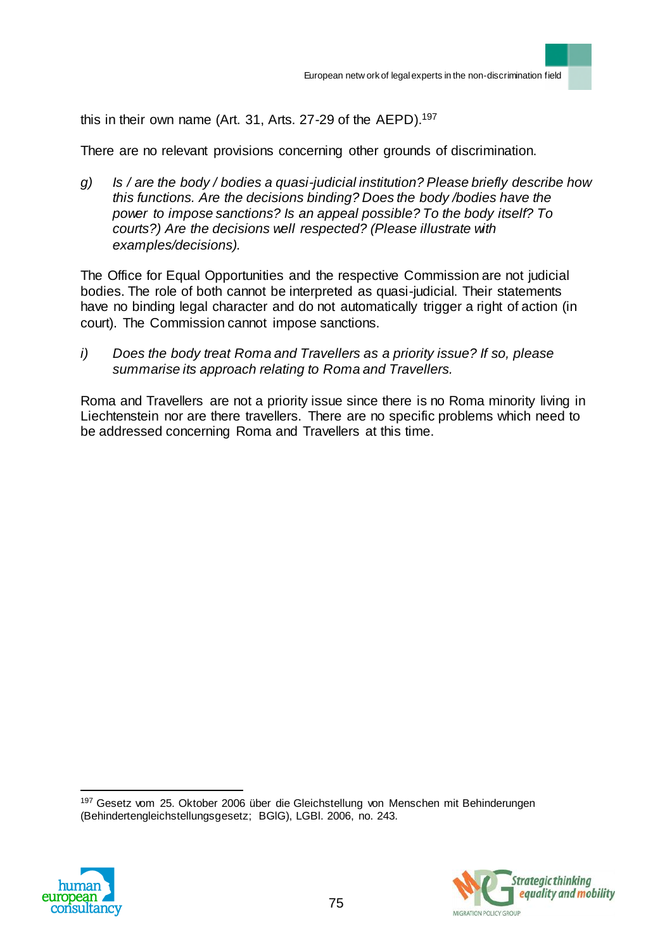this in their own name (Art. 31, Arts. 27-29 of the AEPD).<sup>197</sup>

There are no relevant provisions concerning other grounds of discrimination.

*g) Is / are the body / bodies a quasi-judicial institution? Please briefly describe how this functions. Are the decisions binding? Does the body /bodies have the power to impose sanctions? Is an appeal possible? To the body itself? To courts?) Are the decisions well respected? (Please illustrate with examples/decisions).*

The Office for Equal Opportunities and the respective Commission are not judicial bodies. The role of both cannot be interpreted as quasi-judicial. Their statements have no binding legal character and do not automatically trigger a right of action (in court). The Commission cannot impose sanctions.

*i) Does the body treat Roma and Travellers as a priority issue? If so, please summarise its approach relating to Roma and Travellers.*

Roma and Travellers are not a priority issue since there is no Roma minority living in Liechtenstein nor are there travellers. There are no specific problems which need to be addressed concerning Roma and Travellers at this time.

197 Gesetz vom 25. Oktober 2006 über die Gleichstellung von Menschen mit Behinderungen (Behindertengleichstellungsgesetz; BGlG), LGBl. 2006, no. 243.



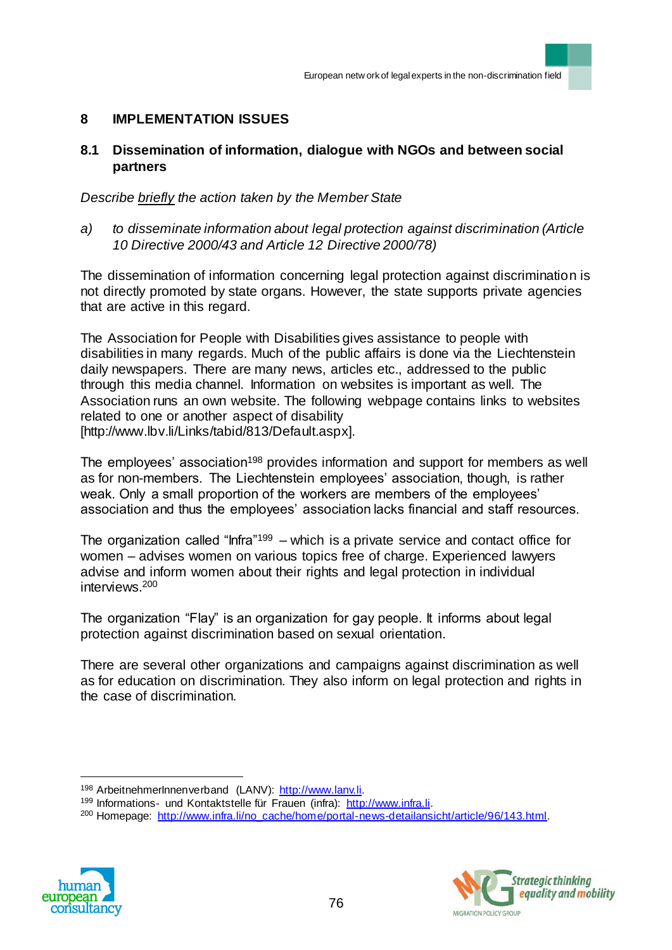## **8 IMPLEMENTATION ISSUES**

### **8.1 Dissemination of information, dialogue with NGOs and between social partners**

*Describe briefly the action taken by the Member State* 

*a) to disseminate information about legal protection against discrimination (Article 10 Directive 2000/43 and Article 12 Directive 2000/78)* 

The dissemination of information concerning legal protection against discrimination is not directly promoted by state organs. However, the state supports private agencies that are active in this regard.

The Association for People with Disabilities gives assistance to people with disabilities in many regards. Much of the public affairs is done via the Liechtenstein daily newspapers. There are many news, articles etc., addressed to the public through this media channel. Information on websites is important as well. The Association runs an own website. The following webpage contains links to websites related to one or another aspect of disability [http://www.lbv.li/Links/tabid/813/Default.aspx].

The employees' association<sup>198</sup> provides information and support for members as well as for non-members. The Liechtenstein employees' association, though, is rather weak. Only a small proportion of the workers are members of the employees' association and thus the employees' association lacks financial and staff resources.

The organization called "Infra"<sup>199</sup> – which is a private service and contact office for women – advises women on various topics free of charge. Experienced lawyers advise and inform women about their rights and legal protection in individual interviews.<sup>200</sup>

The organization "Flay" is an organization for gay people. It informs about legal protection against discrimination based on sexual orientation.

There are several other organizations and campaigns against discrimination as well as for education on discrimination. They also inform on legal protection and rights in the case of discrimination.

<sup>&</sup>lt;sup>200</sup> Homepage: http://www.infra.li/no\_cache/home/portal-news-detailansicht/article/96/143.html.





<sup>198</sup> ArbeitnehmerInnenverband (LANV): http://www.lanv.li.

<sup>199</sup> Informations- und Kontaktstelle für Frauen (infra): http://www.infra.li.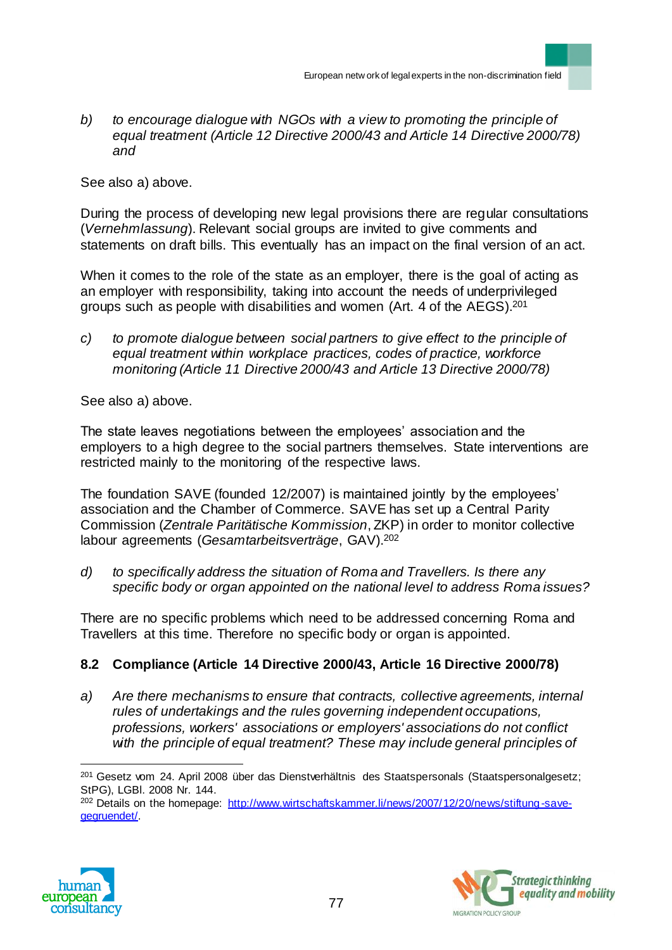*b) to encourage dialogue with NGOs with a view to promoting the principle of equal treatment (Article 12 Directive 2000/43 and Article 14 Directive 2000/78) and*

See also a) above.

During the process of developing new legal provisions there are regular consultations (*Vernehmlassung*). Relevant social groups are invited to give comments and statements on draft bills. This eventually has an impact on the final version of an act.

When it comes to the role of the state as an employer, there is the goal of acting as an employer with responsibility, taking into account the needs of underprivileged groups such as people with disabilities and women (Art. 4 of the AEGS).<sup>201</sup>

*c) to promote dialogue between social partners to give effect to the principle of equal treatment within workplace practices, codes of practice, workforce monitoring (Article 11 Directive 2000/43 and Article 13 Directive 2000/78)*

See also a) above.

The state leaves negotiations between the employees' association and the employers to a high degree to the social partners themselves. State interventions are restricted mainly to the monitoring of the respective laws.

The foundation SAVE (founded 12/2007) is maintained jointly by the employees' association and the Chamber of Commerce. SAVE has set up a Central Parity Commission (*Zentrale Paritätische Kommission*, ZKP) in order to monitor collective labour agreements (*Gesamtarbeitsverträge*, GAV).<sup>202</sup>

*d) to specifically address the situation of Roma and Travellers. Is there any specific body or organ appointed on the national level to address Roma issues?*

There are no specific problems which need to be addressed concerning Roma and Travellers at this time. Therefore no specific body or organ is appointed.

# **8.2 Compliance (Article 14 Directive 2000/43, Article 16 Directive 2000/78)**

*a) Are there mechanisms to ensure that contracts, collective agreements, internal rules of undertakings and the rules governing independent occupations, professions, workers' associations or employers' associations do not conflict with the principle of equal treatment? These may include general principles of* 

<sup>&</sup>lt;sup>202</sup> Details on the homepage: http://www.wirtschaftskammer.li/news/2007/12/20/news/stiftung-savegegruendet/.





 $\overline{a}$ <sup>201</sup> Gesetz vom 24. April 2008 über das Dienstverhältnis des Staatspersonals (Staatspersonalgesetz; StPG), LGBl. 2008 Nr. 144.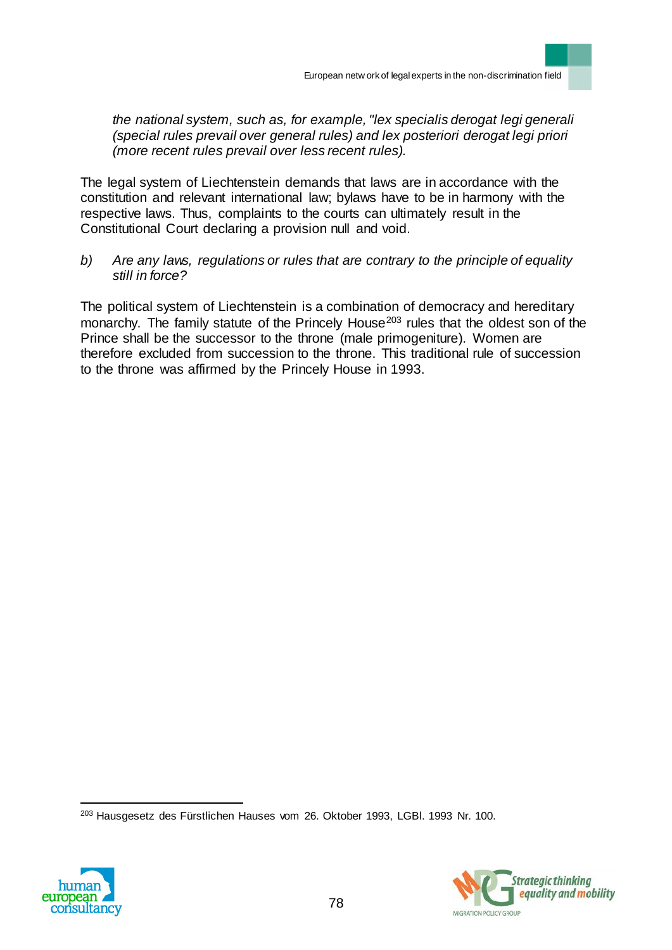*the national system, such as, for example, "lex specialis derogat legi generali (special rules prevail over general rules) and lex posteriori derogat legi priori (more recent rules prevail over less recent rules).*

The legal system of Liechtenstein demands that laws are in accordance with the constitution and relevant international law; bylaws have to be in harmony with the respective laws. Thus, complaints to the courts can ultimately result in the Constitutional Court declaring a provision null and void.

*b) Are any laws, regulations or rules that are contrary to the principle of equality still in force?*

The political system of Liechtenstein is a combination of democracy and hereditary monarchy. The family statute of the Princely House<sup>203</sup> rules that the oldest son of the Prince shall be the successor to the throne (male primogeniture). Women are therefore excluded from succession to the throne. This traditional rule of succession to the throne was affirmed by the Princely House in 1993.

<sup>203</sup> Hausgesetz des Fürstlichen Hauses vom 26. Oktober 1993, LGBl. 1993 Nr. 100.



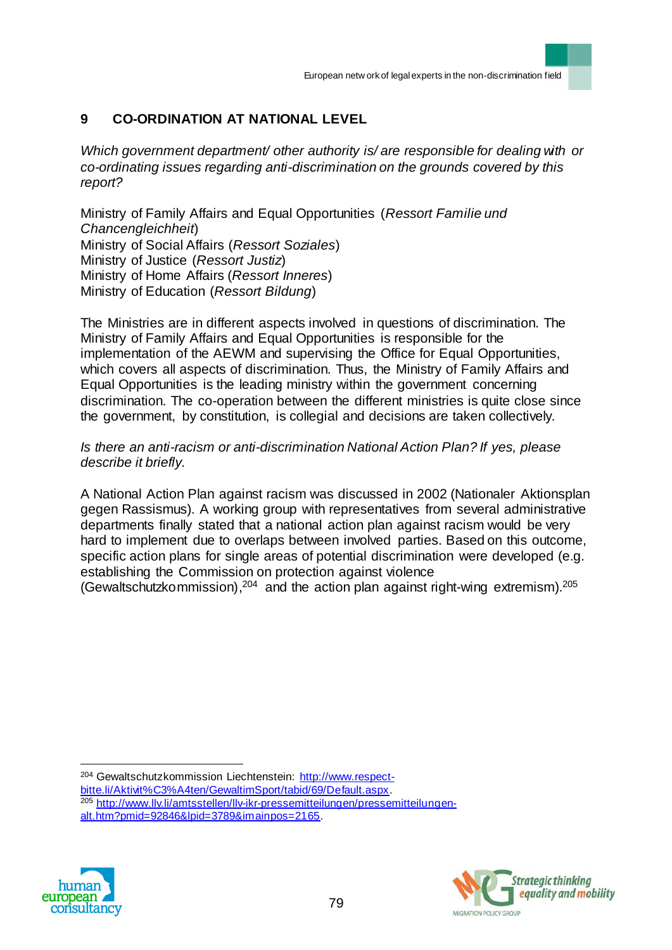# **9 CO-ORDINATION AT NATIONAL LEVEL**

*Which government department/ other authority is/ are responsible for dealing with or co-ordinating issues regarding anti-discrimination on the grounds covered by this report?* 

Ministry of Family Affairs and Equal Opportunities (*Ressort Familie und Chancengleichheit*) Ministry of Social Affairs (*Ressort Soziales*) Ministry of Justice (*Ressort Justiz*) Ministry of Home Affairs (*Ressort Inneres*) Ministry of Education (*Ressort Bildung*)

The Ministries are in different aspects involved in questions of discrimination. The Ministry of Family Affairs and Equal Opportunities is responsible for the implementation of the AEWM and supervising the Office for Equal Opportunities, which covers all aspects of discrimination. Thus, the Ministry of Family Affairs and Equal Opportunities is the leading ministry within the government concerning discrimination. The co-operation between the different ministries is quite close since the government, by constitution, is collegial and decisions are taken collectively.

#### *Is there an anti-racism or anti-discrimination National Action Plan? If yes, please describe it briefly.*

A National Action Plan against racism was discussed in 2002 (Nationaler Aktionsplan gegen Rassismus). A working group with representatives from several administrative departments finally stated that a national action plan against racism would be very hard to implement due to overlaps between involved parties. Based on this outcome, specific action plans for single areas of potential discrimination were developed (e.g. establishing the Commission on protection against violence

(Gewaltschutzkommission),  $204$  and the action plan against right-wing extremism).  $205$ 

 $\overline{a}$ <sup>204</sup> Gewaltschutzkommission Liechtenstein: http://www.respect-

bitte.li/Aktivit%C3%A4ten/GewaltimSport/tabid/69/Default.aspx.

<sup>205</sup> http://www.llv.li/amtsstellen/llv-ikr-pressemitteilungen/pressemitteilungenalt.htm?pmid=92846&lpid=3789&imainpos=2165.



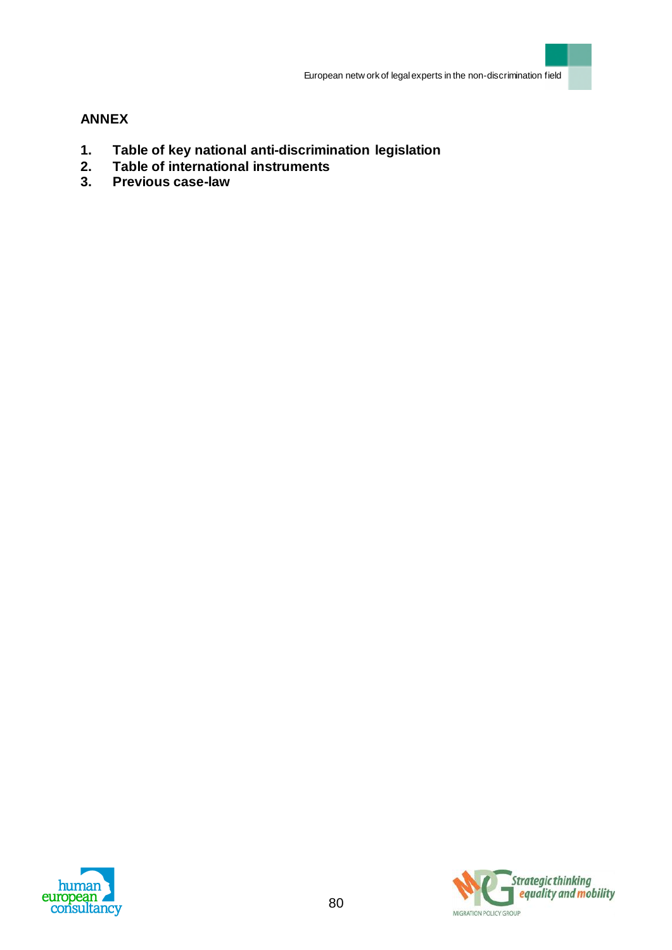## **ANNEX**

- **1. Table of key national anti-discrimination legislation**
- **2. Table of international instruments**
- **3. Previous case-law**



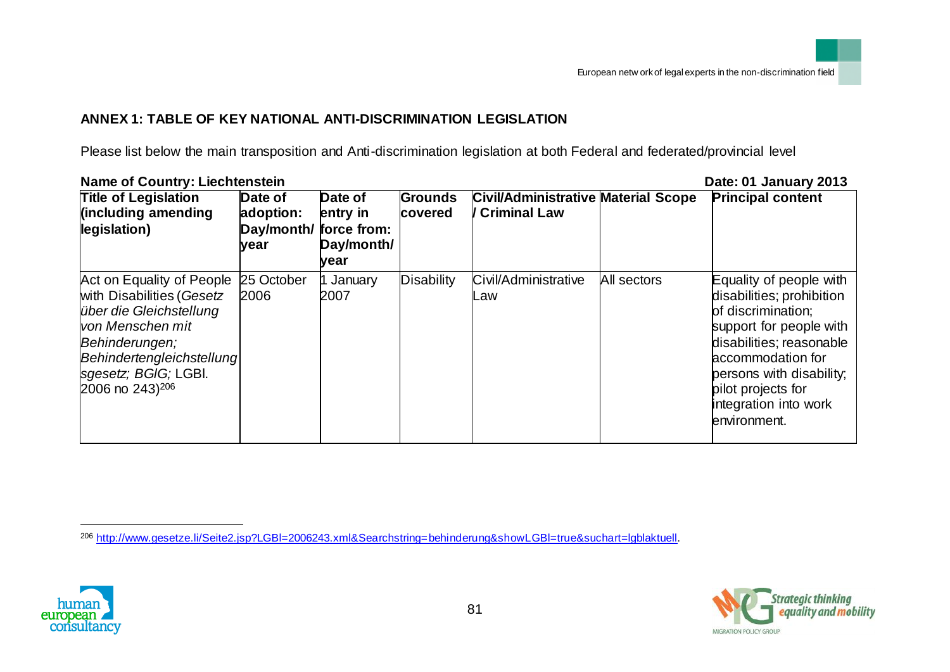# **ANNEX 1: TABLE OF KEY NATIONAL ANTI-DISCRIMINATION LEGISLATION**

Please list below the main transposition and Anti-discrimination legislation at both Federal and federated/provincial level

|                                                                                                                                                                                                                         | <b>Name of Country: Liechtenstein</b><br>Date: 01 January 2013 |                                           |                           |                                                                     |             |                                                                                                                                                                                                                                                   |  |  |
|-------------------------------------------------------------------------------------------------------------------------------------------------------------------------------------------------------------------------|----------------------------------------------------------------|-------------------------------------------|---------------------------|---------------------------------------------------------------------|-------------|---------------------------------------------------------------------------------------------------------------------------------------------------------------------------------------------------------------------------------------------------|--|--|
| <b>Title of Legislation</b><br>(including amending<br>legislation)                                                                                                                                                      | Date of<br>adoption:<br>Day/month/ force from:<br>year         | Date of<br>entry in<br>Day/month/<br>vear | <b>Grounds</b><br>covered | <b>Civil/Administrative Material Scope</b><br><b>/ Criminal Law</b> |             | <b>Principal content</b>                                                                                                                                                                                                                          |  |  |
| Act on Equality of People 25 October<br>with Disabilities (Gesetz<br>über die Gleichstellung<br>von Menschen mit<br>Behinderungen;<br>Behindertengleichstellung<br>sgesetz; BGIG; LGBI.<br>2006 no $243$ <sup>206</sup> | 2006                                                           | 1 January<br>2007                         | <b>Disability</b>         | Civil/Administrative<br>Law                                         | All sectors | Equality of people with<br>disabilities; prohibition<br>of discrimination;<br>support for people with<br>disabilities; reasonable<br>accommodation for<br>persons with disability;<br>pilot projects for<br>integration into work<br>environment. |  |  |





<sup>206</sup> http://www.gesetze.li/Seite2.jsp?LGBl=2006243.xml&Searchstring=behinderung&showLGBl=true&suchart=lgblaktuell.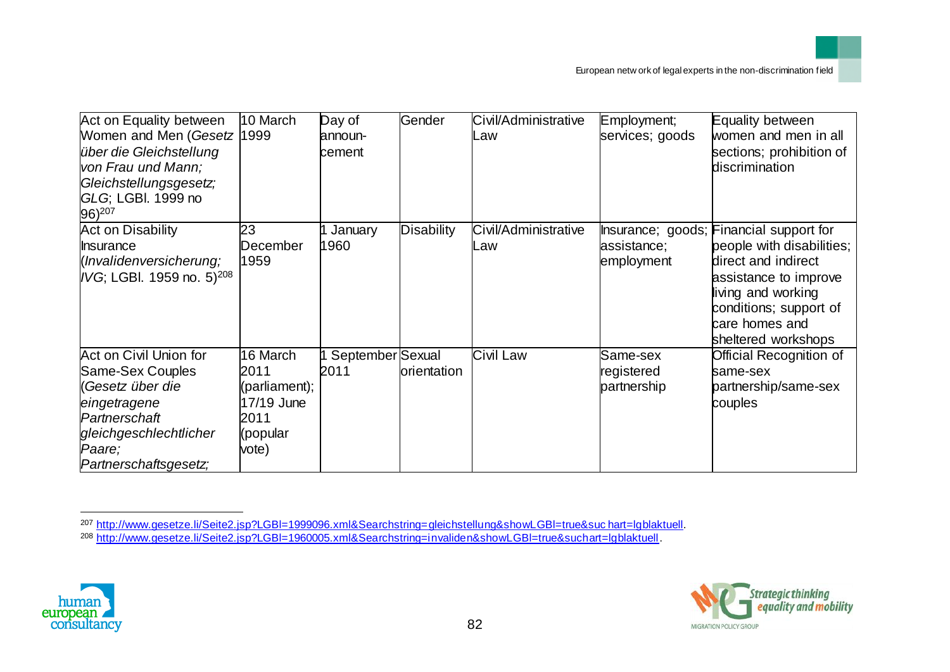| Act on Equality between<br>Women and Men (Gesetz 1999<br>über die Gleichstellung<br>von Frau und Mann;<br>Gleichstellungsgesetz;<br>GLG; LGBI. 1999 no<br>96) <sup>207</sup> | 10 March      | Day of<br>announ-<br>cement | Gender      | Civil/Administrative<br>Law | Employment;<br>services; goods | Equality between<br>women and men in all<br>sections; prohibition of<br>discrimination |
|------------------------------------------------------------------------------------------------------------------------------------------------------------------------------|---------------|-----------------------------|-------------|-----------------------------|--------------------------------|----------------------------------------------------------------------------------------|
| Act on Disability                                                                                                                                                            | 23            | January                     | Disability  | Civil/Administrative        |                                | Insurance; goods; Financial support for                                                |
| <b>Insurance</b>                                                                                                                                                             | December      | 1960                        |             | ∟aw                         | assistance;                    | people with disabilities;                                                              |
| (Invalidenversicherung;<br>IVG; LGBI. 1959 no. 5) <sup>208</sup>                                                                                                             | 1959          |                             |             |                             | employment                     | direct and indirect                                                                    |
|                                                                                                                                                                              |               |                             |             |                             |                                | assistance to improve<br>living and working                                            |
|                                                                                                                                                                              |               |                             |             |                             |                                | conditions; support of                                                                 |
|                                                                                                                                                                              |               |                             |             |                             |                                | care homes and                                                                         |
|                                                                                                                                                                              |               |                             |             |                             |                                | sheltered workshops                                                                    |
| Act on Civil Union for                                                                                                                                                       | 16 March      | September Sexual            |             | Civil Law                   | Same-sex                       | Official Recognition of                                                                |
| Same-Sex Couples                                                                                                                                                             | 2011          | 2011                        | orientation |                             | registered                     | same-sex                                                                               |
| (Gesetz über die                                                                                                                                                             | (parliament); |                             |             |                             | partnership                    | partnership/same-sex                                                                   |
| eingetragene                                                                                                                                                                 | 17/19 June    |                             |             |                             |                                | couples                                                                                |
| Partnerschaft                                                                                                                                                                | 2011          |                             |             |                             |                                |                                                                                        |
| gleichgeschlechtlicher                                                                                                                                                       | (popular      |                             |             |                             |                                |                                                                                        |
| Paare;                                                                                                                                                                       | vote)         |                             |             |                             |                                |                                                                                        |
| Partnerschaftsgesetz;                                                                                                                                                        |               |                             |             |                             |                                |                                                                                        |





<sup>207</sup> http://www.gesetze.li/Seite2.jsp?LGBl=1999096.xml&Searchstring=gleichstellung&showLGBl=true&suc hart=lgblaktuell.

<sup>208</sup> http://www.gesetze.li/Seite2.jsp?LGBl=1960005.xml&Searchstring=invaliden&showLGBl=true&suchart=lgblaktuell.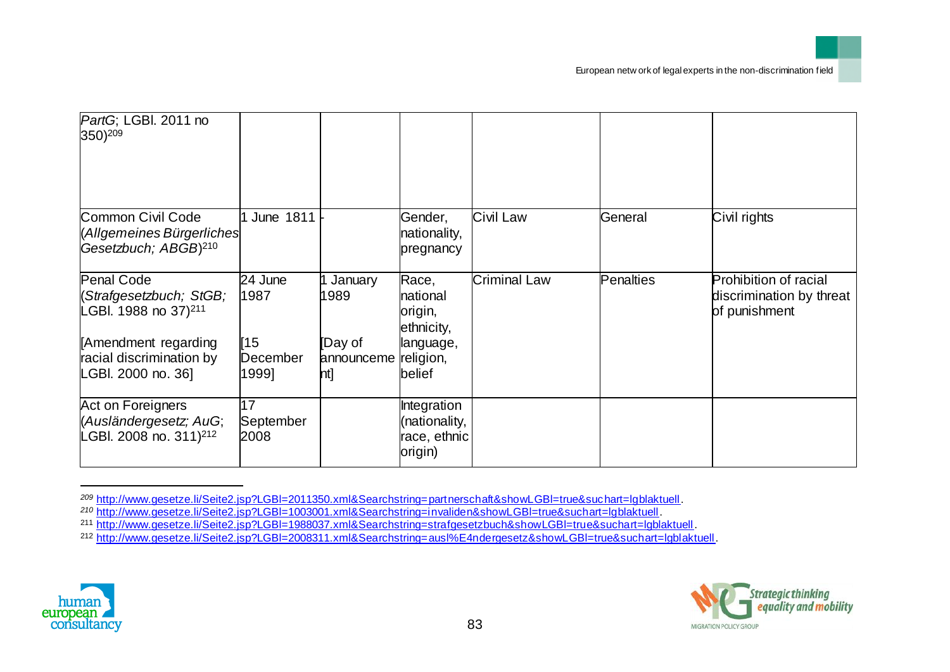| PartG; LGBI. 2011 no<br>350) <sup>209</sup>                                        |                         |                              |                                                         |                     |           |                                                                           |
|------------------------------------------------------------------------------------|-------------------------|------------------------------|---------------------------------------------------------|---------------------|-----------|---------------------------------------------------------------------------|
| Common Civil Code<br>(Allgemeines Bürgerliches<br>Gesetzbuch; ABGB) <sup>210</sup> | June 1811               |                              | Gender,<br>nationality,<br>pregnancy                    | Civil Law           | General   | Civil rights                                                              |
| <b>Penal Code</b><br>(Strafgesetzbuch; StGB;<br>LGBI. 1988 no 37) <sup>211</sup>   | 24 June<br>1987         | January<br>1989              | Race,<br>national<br>origin,<br>ethnicity,              | <b>Criminal Law</b> | Penalties | <b>Prohibition of racial</b><br>discrimination by threat<br>of punishment |
| Amendment regarding<br>racial discrimination by<br>LGBI. 2000 no. 36]              | 15<br>December<br>1999] | [Day of<br>announceme<br>nt] | language,<br>religion,<br>belief                        |                     |           |                                                                           |
| Act on Foreigners<br>(Ausländergesetz; AuG;<br>LGBI. 2008 no. 311) <sup>212</sup>  | 17<br>September<br>2008 |                              | Integration<br>(nationality,<br>race, ethnic<br>origin) |                     |           |                                                                           |

*<sup>209</sup>* http://www.gesetze.li/Seite2.jsp?LGBl=2011350.xml&Searchstring=partnerschaft&showLGBl=true&suchart=lgblaktuell.





*<sup>210</sup>* http://www.gesetze.li/Seite2.jsp?LGBl=1003001.xml&Searchstring=invaliden&showLGBl=true&suchart=lgblaktuell.

<sup>211</sup> http://www.gesetze.li/Seite2.jsp?LGBl=1988037.xml&Searchstring=strafgesetzbuch&showLGBl=true&suchart=lgblaktuell.

<sup>212</sup> http://www.gesetze.li/Seite2.jsp?LGBl=2008311.xml&Searchstring=ausl%E4ndergesetz&showLGBl=true&suchart=lgblaktuell.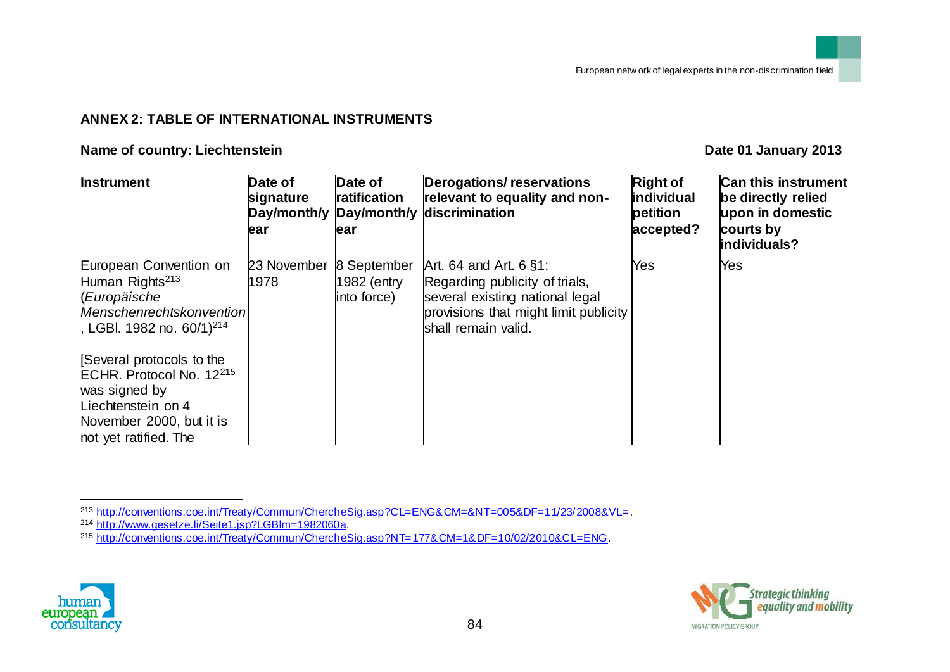## **ANNEX 2: TABLE OF INTERNATIONAL INSTRUMENTS**

#### **Name of country: Liechtenstein Date Date Date Date Date Date Date Date Date Date Date Date Date Date Date Date Date Date Date Date Date Date Date Date Date Date Date**

| <b>Instrument</b>                                                                                                                                            | Date of<br>signature<br>Day/month/y<br>ear | Date of<br>ratification<br>Day/month/y<br>ear | Derogations/reservations<br>relevant to equality and non-<br>discrimination                                                                                      | <b>Right of</b><br><i>individual</i><br>petition<br>accepted? | <b>Can this instrument</b><br>be directly relied<br>upon in domestic<br>courts by<br>individuals? |
|--------------------------------------------------------------------------------------------------------------------------------------------------------------|--------------------------------------------|-----------------------------------------------|------------------------------------------------------------------------------------------------------------------------------------------------------------------|---------------------------------------------------------------|---------------------------------------------------------------------------------------------------|
| European Convention on<br>Human Rights <sup>213</sup><br>(Europäische<br>Menschenrechtskonvention<br>l, LGBI. 1982 no. 60/1) <sup>214</sup>                  | 23 November<br>1978                        | 8 September<br>1982 (entry<br>into force)     | Art. 64 and Art. $6 \,$ §1:<br>Regarding publicity of trials,<br>several existing national legal<br>provisions that might limit publicity<br>shall remain valid. | Yes                                                           | <b>Yes</b>                                                                                        |
| Several protocols to the<br>ECHR. Protocol No. 12 <sup>215</sup><br>was signed by<br>Liechtenstein on 4<br>November 2000, but it is<br>not yet ratified. The |                                            |                                               |                                                                                                                                                                  |                                                               |                                                                                                   |

<sup>215</sup> http://conventions.coe.int/Treaty/Commun/ChercheSig.asp?NT=177&CM=1&DF=10/02/2010&CL=ENG.





l <sup>213</sup> http://conventions.coe.int/Treaty/Commun/ChercheSig.asp?CL=ENG&CM=&NT=005&DF=11/23/2008&VL=.

<sup>&</sup>lt;sup>214</sup> http://www.gesetze.li/Seite1.jsp?LGBlm=1982060a.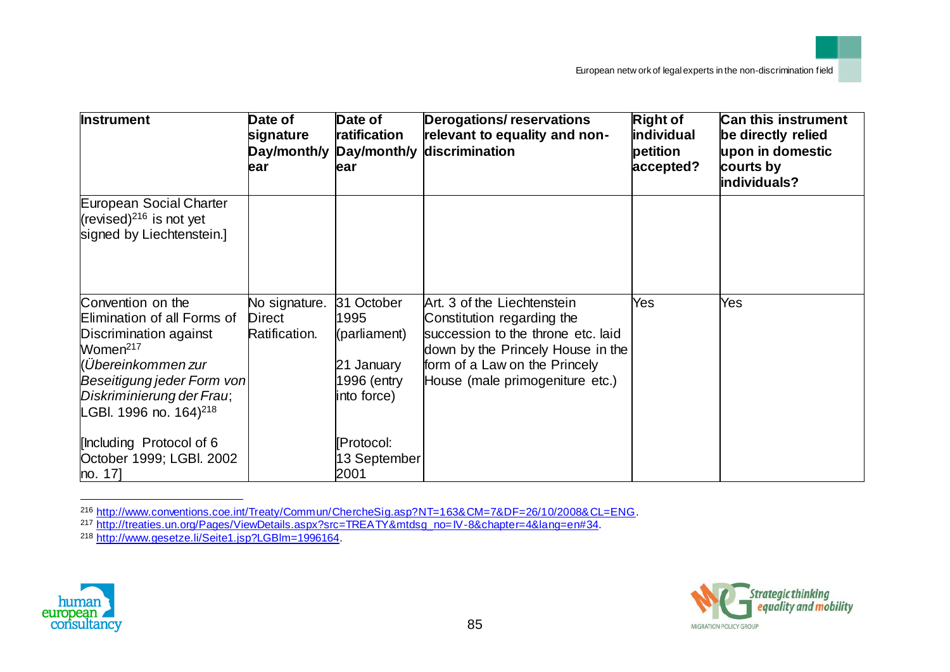| <b>Instrument</b>                                                                                                                                                                                                         | Date of<br>signature<br>Day/month/y<br>ear      | Date of<br>ratification<br>Day/month/y<br>ear                                  | <b>Derogations/reservations</b><br>relevant to equality and non-<br>discrimination                                                                                                                       | <b>Right of</b><br>individual<br>petition<br>accepted? | <b>Can this instrument</b><br>be directly relied<br>upon in domestic<br>courts by<br>individuals? |
|---------------------------------------------------------------------------------------------------------------------------------------------------------------------------------------------------------------------------|-------------------------------------------------|--------------------------------------------------------------------------------|----------------------------------------------------------------------------------------------------------------------------------------------------------------------------------------------------------|--------------------------------------------------------|---------------------------------------------------------------------------------------------------|
| European Social Charter<br>(revised) $^{216}$ is not yet<br>signed by Liechtenstein.]                                                                                                                                     |                                                 |                                                                                |                                                                                                                                                                                                          |                                                        |                                                                                                   |
| Convention on the<br>Elimination of all Forms of<br>Discrimination against<br>Women <sup>217</sup><br>(Übereinkommen zur<br>Beseitigung jeder Form von<br>Diskriminierung der Frau;<br>LGBI. 1996 no. 164) <sup>218</sup> | No signature.<br><b>Direct</b><br>Ratification. | 31 October<br>1995<br>(parliament)<br>21 January<br>1996 (entry<br>into force) | Art. 3 of the Liechtenstein<br>Constitution regarding the<br>succession to the throne etc. laid<br>down by the Princely House in the<br>form of a Law on the Princely<br>House (male primogeniture etc.) | Yes                                                    | Yes                                                                                               |
| [Including Protocol of 6<br>October 1999; LGBI. 2002<br>no. 17]                                                                                                                                                           |                                                 | [Protocol:<br>13 September<br>2001                                             |                                                                                                                                                                                                          |                                                        |                                                                                                   |

<sup>216</sup> http://www.conventions.coe.int/Treaty/Commun/ChercheSig.asp?NT=163&CM=7&DF=26/10/2008&CL=ENG.



l



<sup>217</sup> http://treaties.un.org/Pages/ViewDetails.aspx?src=TREATY&mtdsg\_no=IV-8&chapter=4&lang=en#34.

<sup>218</sup> http://www.gesetze.li/Seite1.jsp?LGBlm=1996164.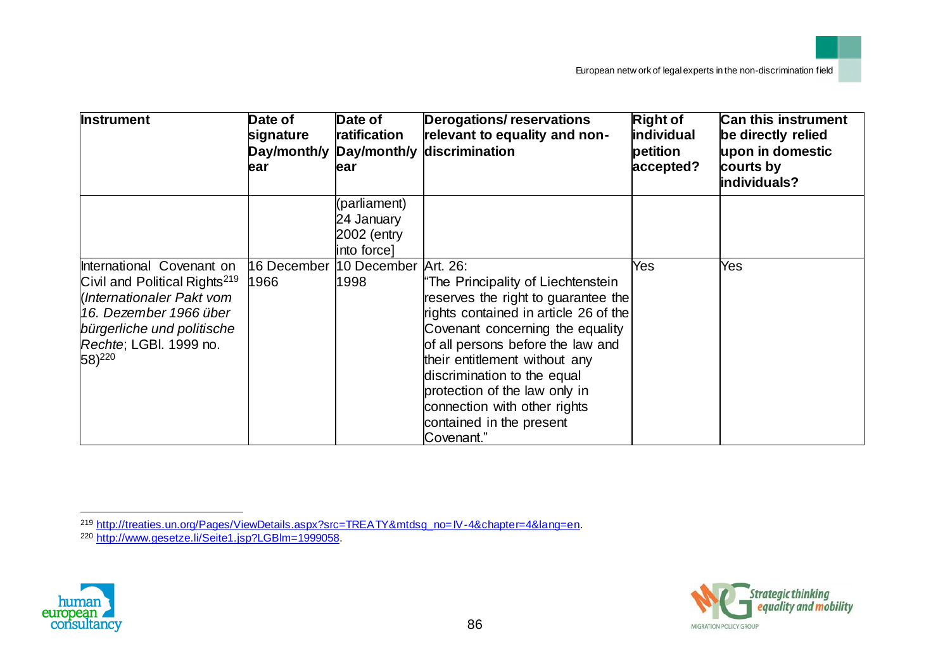| <b>Instrument</b>                                                                                                                                                                                    | Date of<br>signature<br>Day/month/y<br>ear | Date of<br>ratification<br>ear                           | <b>Derogations/reservations</b><br>relevant to equality and non-<br>Day/month/y discrimination                                                                                                                                                                                                                                                                         | <b>Right of</b><br>individual<br>petition<br>accepted? | <b>Can this instrument</b><br>be directly relied<br>upon in domestic<br>courts by<br>individuals? |
|------------------------------------------------------------------------------------------------------------------------------------------------------------------------------------------------------|--------------------------------------------|----------------------------------------------------------|------------------------------------------------------------------------------------------------------------------------------------------------------------------------------------------------------------------------------------------------------------------------------------------------------------------------------------------------------------------------|--------------------------------------------------------|---------------------------------------------------------------------------------------------------|
|                                                                                                                                                                                                      |                                            | (parliament)<br>24 January<br>2002 (entry<br>into force] |                                                                                                                                                                                                                                                                                                                                                                        |                                                        |                                                                                                   |
| International Covenant on<br>Civil and Political Rights <sup>219</sup><br>Internationaler Pakt vom<br>16. Dezember 1966 über<br>bürgerliche und politische<br>Rechte; LGBI. 1999 no.<br>$(58)^{220}$ | 16 December<br>1966                        | 10 December Art. 26:<br>1998                             | "The Principality of Liechtenstein<br>reserves the right to guarantee the<br>rights contained in article 26 of the<br>Covenant concerning the equality<br>of all persons before the law and<br>their entitlement without any<br>discrimination to the equal<br>protection of the law only in<br>connection with other rights<br>contained in the present<br>Covenant." | Yes                                                    | Yes                                                                                               |





<sup>219</sup> http://treaties.un.org/Pages/ViewDetails.aspx?src=TREATY&mtdsg\_no=IV-4&chapter=4&lang=en.

<sup>&</sup>lt;sup>220</sup> http://www.gesetze.li/Seite1.jsp?LGBlm=1999058.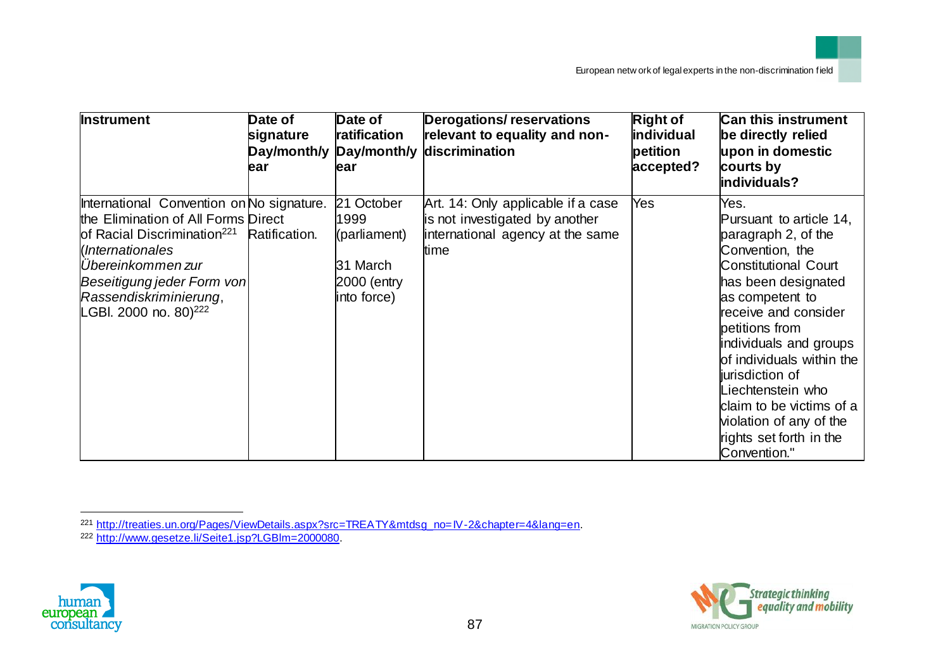| <b>Instrument</b>                                                                                                                                                                                                                                                 | Date of<br>signature<br>Day/month/y<br>ear | Date of<br>ratification<br>ear                                               | <b>Derogations/reservations</b><br>relevant to equality and non-<br>Day/month/y discrimination                   | <b>Right of</b><br>individual<br>petition<br>accepted? | <b>Can this instrument</b><br>be directly relied<br>upon in domestic<br>courts by<br>individuals?                                                                                                                                                                                                                                                                                             |
|-------------------------------------------------------------------------------------------------------------------------------------------------------------------------------------------------------------------------------------------------------------------|--------------------------------------------|------------------------------------------------------------------------------|------------------------------------------------------------------------------------------------------------------|--------------------------------------------------------|-----------------------------------------------------------------------------------------------------------------------------------------------------------------------------------------------------------------------------------------------------------------------------------------------------------------------------------------------------------------------------------------------|
| International Convention on No signature.<br>the Elimination of All Forms Direct<br>of Racial Discrimination <sup>221</sup><br>(Internationales<br>Übereinkommen zur<br>Beseitigung jeder Form von<br>Rassendiskriminierung,<br>LGBI. 2000 no. 80) <sup>222</sup> | Ratification.                              | 21 October<br>1999<br>(parliament)<br>31 March<br>2000 (entry<br>into force) | Art. 14: Only applicable if a case<br>is not investigated by another<br>international agency at the same<br>time | Yes                                                    | Yes.<br>Pursuant to article 14,<br>paragraph 2, of the<br>Convention, the<br><b>Constitutional Court</b><br>has been designated<br>as competent to<br>receive and consider<br>petitions from<br>individuals and groups<br>of individuals within the<br>jurisdiction of<br>Liechtenstein who<br>claim to be victims of a<br>violation of any of the<br>rights set forth in the<br>Convention." |





<sup>221</sup> http://treaties.un.org/Pages/ViewDetails.aspx?src=TREATY&mtdsg\_no=IV-2&chapter=4&lang=en.

<sup>&</sup>lt;sup>222</sup> http://www.gesetze.li/Seite1.jsp?LGBlm=2000080.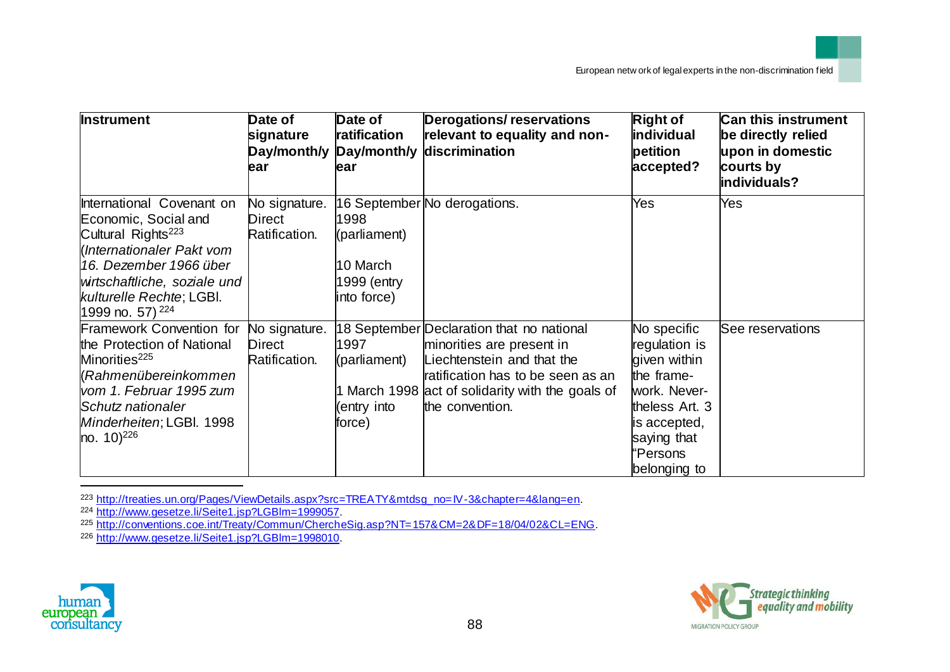| <b>Instrument</b>                                                                                                                                                                                                                    | Date of<br>signature<br>ear              | Date of<br>ratification<br>Day/month/y Day/month/y<br>lear     | <b>Derogations/reservations</b><br>relevant to equality and non-<br>discrimination                                                                                                                               | <b>Right of</b><br>individual<br>petition<br>accepted?                                                                                                  | <b>Can this instrument</b><br>be directly relied<br>upon in domestic<br>courts by<br>individuals? |
|--------------------------------------------------------------------------------------------------------------------------------------------------------------------------------------------------------------------------------------|------------------------------------------|----------------------------------------------------------------|------------------------------------------------------------------------------------------------------------------------------------------------------------------------------------------------------------------|---------------------------------------------------------------------------------------------------------------------------------------------------------|---------------------------------------------------------------------------------------------------|
| International Covenant on<br>Economic, Social and<br>Cultural Rights <sup>223</sup><br>Internationaler Pakt vom<br>16. Dezember 1966 über<br>wirtschaftliche, soziale und<br>kulturelle Rechte; LGBI.<br>1999 no. 57) <sup>224</sup> | No signature.<br>Direct<br>Ratification. | 1998<br>(parliament)<br>10 March<br>1999 (entry<br>into force) | 16 September No derogations.                                                                                                                                                                                     | Yes                                                                                                                                                     | Yes                                                                                               |
| Framework Convention for No signature.<br>the Protection of National<br>Minorities <sup>225</sup><br>Kahmenübereinkommen<br>vom 1. Februar 1995 zum<br>Schutz nationaler<br>Minderheiten; LGBI. 1998<br>$[no. 10]^{226}$             | Direct<br>Ratification.                  | 1997<br>(parliament)<br>entry into)<br>force)                  | 18 September Declaration that no national<br>minorities are present in<br>Liechtenstein and that the<br>ratification has to be seen as an<br>1 March 1998 act of solidarity with the goals of<br>the convention. | No specific<br>regulation is<br>given within<br>the frame-<br>work. Never-<br>theless Art. 3<br>is accepted,<br>saying that<br>"Persons<br>belonging to | See reservations                                                                                  |

<sup>223</sup> http://treaties.un.org/Pages/ViewDetails.aspx?src=TREATY&mtdsg\_no=IV-3&chapter=4&lang=en.

<sup>224</sup> http://www.gesetze.li/Seite1.jsp?LGBlm=1999057.

<sup>225</sup> http://conventions.coe.int/Treaty/Commun/ChercheSig.asp?NT=157&CM=2&DF=18/04/02&CL=ENG.

<sup>226</sup> http://www.gesetze.li/Seite1.jsp?LGBlm=1998010.



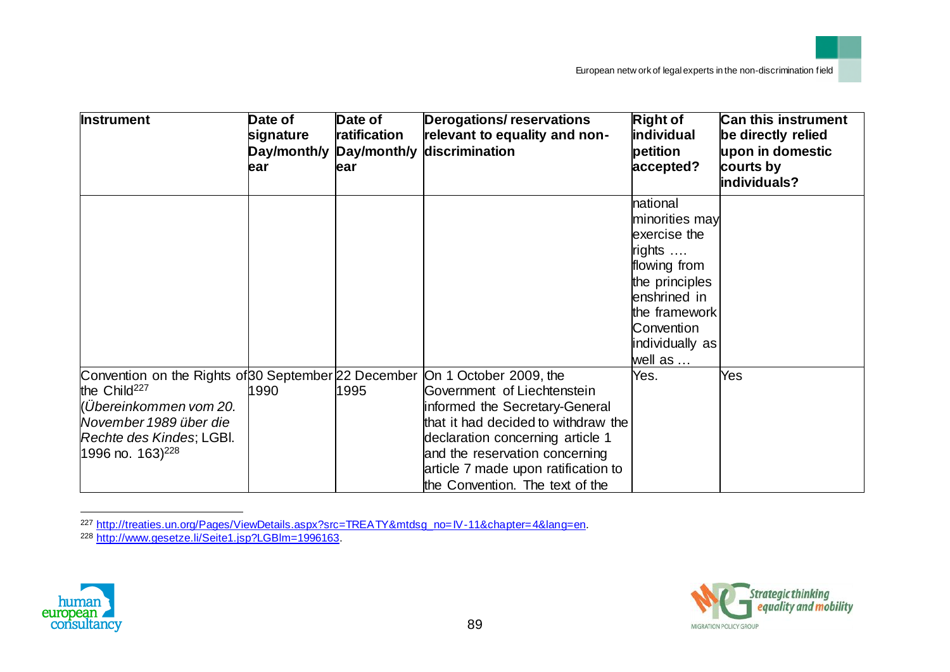| <b>Instrument</b>                                                                                                                                                                                  | Date of<br>signature<br>Day/month/y<br>ear | Date of<br>ratification<br>Day/month/y<br>ear | <b>Derogations/reservations</b><br>relevant to equality and non-<br>discrimination                                                                                                                                                                                             | <b>Right of</b><br><b>individual</b><br>petition<br>accepted?                                                                                                       | <b>Can this instrument</b><br>be directly relied<br>upon in domestic<br>courts by<br>individuals? |
|----------------------------------------------------------------------------------------------------------------------------------------------------------------------------------------------------|--------------------------------------------|-----------------------------------------------|--------------------------------------------------------------------------------------------------------------------------------------------------------------------------------------------------------------------------------------------------------------------------------|---------------------------------------------------------------------------------------------------------------------------------------------------------------------|---------------------------------------------------------------------------------------------------|
|                                                                                                                                                                                                    |                                            |                                               |                                                                                                                                                                                                                                                                                | national<br>minorities may<br>exercise the<br>rights<br>flowing from<br>the principles<br>enshrined in<br>the framework<br>Convention<br>individually as<br>well as |                                                                                                   |
| Convention on the Rights of 30 September 22 December<br>the Child <sup>227</sup><br>(Übereinkommen vom 20.<br>November 1989 über die<br> Rechte des Kindes; LGBI.<br>1996 no. $163$ <sup>228</sup> | 1990                                       | 1995                                          | On 1 October 2009, the<br>Government of Liechtenstein<br>informed the Secretary-General<br>that it had decided to withdraw the<br>declaration concerning article 1<br>and the reservation concerning<br>article 7 made upon ratification to<br>the Convention. The text of the | Yes.                                                                                                                                                                | Yes                                                                                               |

<sup>227</sup> http://treaties.un.org/Pages/ViewDetails.aspx?src=TREATY&mtdsg\_no=IV-11&chapter=4&lang=en.





<sup>&</sup>lt;sup>228</sup> http://www.gesetze.li/Seite1.jsp?LGBlm=1996163.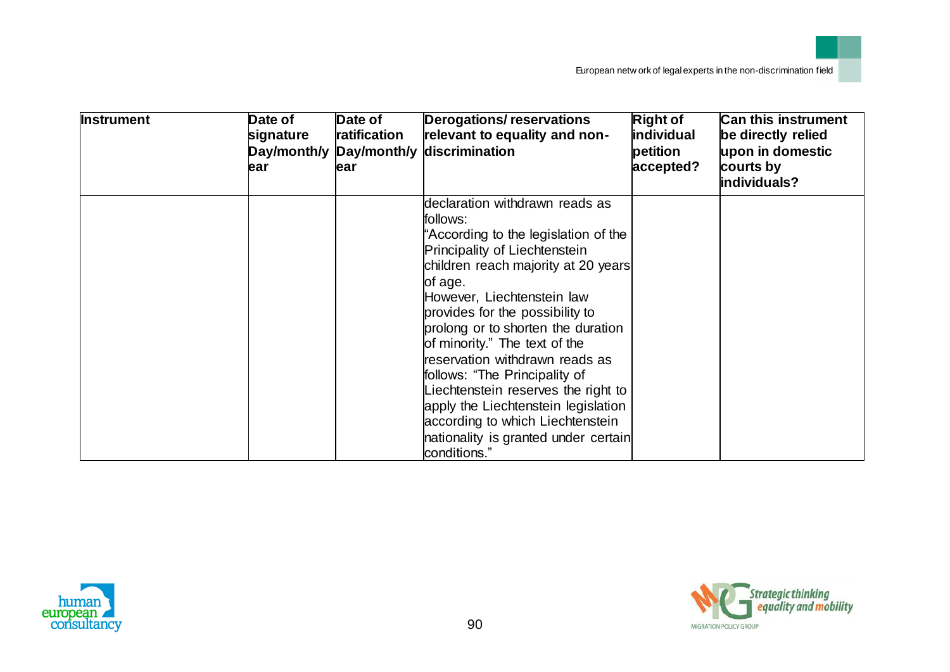| <b>Instrument</b> | Date of<br>signature<br>ear | Date of<br>ratification<br>Day/month/y Day/month/y<br>ear | <b>Derogations/reservations</b><br>relevant to equality and non-<br>discrimination                                                                                                                                                                                                                                                                                                                                                                                                                                                                         | <b>Right of</b><br>individual<br>petition<br>accepted? | Can this instrument<br>be directly relied<br>upon in domestic<br>courts by<br>individuals? |
|-------------------|-----------------------------|-----------------------------------------------------------|------------------------------------------------------------------------------------------------------------------------------------------------------------------------------------------------------------------------------------------------------------------------------------------------------------------------------------------------------------------------------------------------------------------------------------------------------------------------------------------------------------------------------------------------------------|--------------------------------------------------------|--------------------------------------------------------------------------------------------|
|                   |                             |                                                           | declaration withdrawn reads as<br>follows:<br>"According to the legislation of the<br>Principality of Liechtenstein<br>children reach majority at 20 years<br>of age.<br>However, Liechtenstein law<br>provides for the possibility to<br>prolong or to shorten the duration<br>of minority." The text of the<br>reservation withdrawn reads as<br>follows: "The Principality of<br>Liechtenstein reserves the right to<br>apply the Liechtenstein legislation<br>according to which Liechtenstein<br>nationality is granted under certain<br>conditions." |                                                        |                                                                                            |



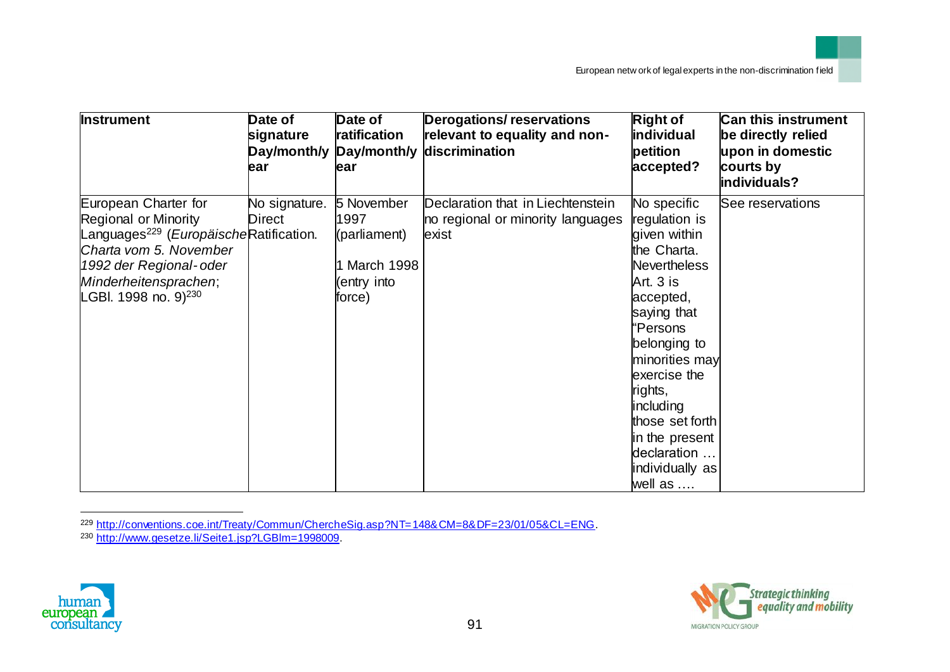| <b>Instrument</b>                                                                                                                                                                                                          | Date of<br>signature<br>Day/month/y<br>ear | Date of<br>ratification<br>Day/month/y<br>lear                             | <b>Derogations/reservations</b><br>relevant to equality and non-<br>discrimination | <b>Right of</b><br>individual<br>petition<br>accepted?                                                                                                                                                                                                                                              | <b>Can this instrument</b><br>be directly relied<br>upon in domestic<br>courts by<br>individuals? |
|----------------------------------------------------------------------------------------------------------------------------------------------------------------------------------------------------------------------------|--------------------------------------------|----------------------------------------------------------------------------|------------------------------------------------------------------------------------|-----------------------------------------------------------------------------------------------------------------------------------------------------------------------------------------------------------------------------------------------------------------------------------------------------|---------------------------------------------------------------------------------------------------|
| European Charter for<br><b>Regional or Minority</b><br>Languages <sup>229</sup> (EuropäischeRatification.<br>Charta vom 5. November<br>1992 der Regional-oder<br>Minderheitensprachen;<br>LGBI. 1998 no. 9) <sup>230</sup> | No signature.<br>Direct                    | 5 November<br>1997<br>(parliament)<br>l March 1998<br>entry into<br>force) | Declaration that in Liechtenstein<br>no regional or minority languages<br>exist    | No specific<br>regulation is<br>given within<br>the Charta.<br><b>Nevertheless</b><br>Art. 3 is<br>accepted,<br>saying that<br>'Persons<br>belonging to<br>minorities may<br>exercise the<br>rights,<br>including<br>those set forth<br>in the present<br>declaration<br>individually as<br>well as | See reservations                                                                                  |

<sup>229</sup> http://conventions.coe.int/Treaty/Commun/ChercheSig.asp?NT=148&CM=8&DF=23/01/05&CL=ENG.





<sup>&</sup>lt;sup>230</sup> http://www.gesetze.li/Seite1.jsp?LGBlm=1998009.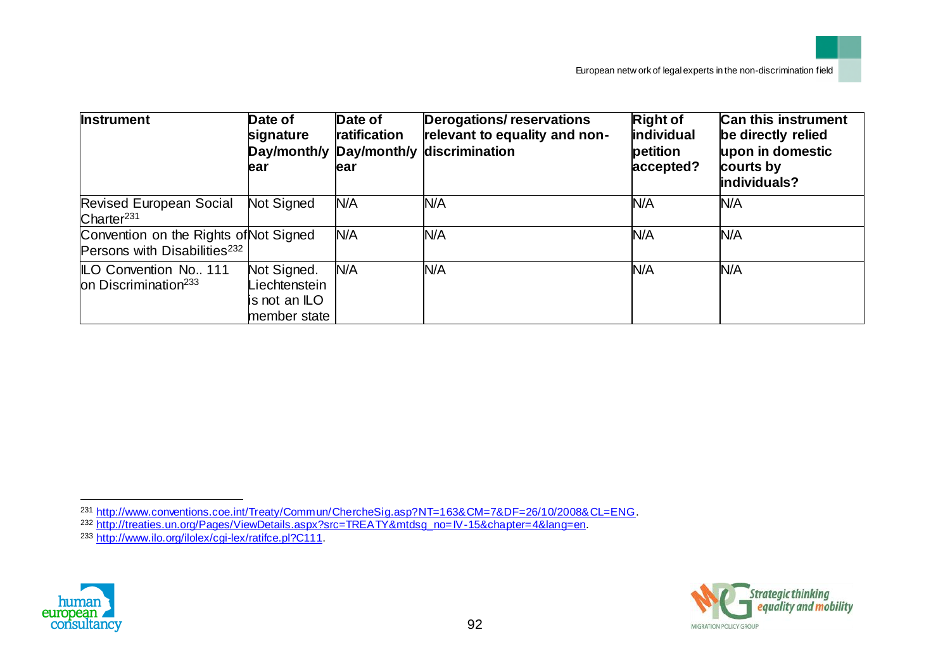| <b>Instrument</b>                                                                  | Date of<br>signature<br>ear                                   | Date of<br>ratification<br>ear | <b>Derogations/reservations</b><br>relevant to equality and non-<br>Day/month/y Day/month/y discrimination | <b>Right of</b><br>individual<br>petition<br>accepted? | <b>Can this instrument</b><br>be directly relied<br>upon in domestic<br>courts by<br>individuals? |
|------------------------------------------------------------------------------------|---------------------------------------------------------------|--------------------------------|------------------------------------------------------------------------------------------------------------|--------------------------------------------------------|---------------------------------------------------------------------------------------------------|
| <b>Revised European Social</b><br>Charter <sup>231</sup>                           | Not Signed                                                    | N/A                            | N/A                                                                                                        | N/A                                                    | N/A                                                                                               |
| Convention on the Rights of Not Signed<br>Persons with Disabilities <sup>232</sup> |                                                               | N/A                            | N/A                                                                                                        | N/A                                                    | N/A                                                                                               |
| <b>ILO Convention No., 111</b><br>on Discrimination <sup>233</sup>                 | Not Signed.<br>Liechtenstein<br>is not an ILO<br>member state | N/A                            | N/A                                                                                                        | N/A                                                    | N/A                                                                                               |



l



<sup>231</sup> http://www.conventions.coe.int/Treaty/Commun/ChercheSig.asp?NT=163&CM=7&DF=26/10/2008&CL=ENG.

<sup>232</sup> http://treaties.un.org/Pages/ViewDetails.aspx?src=TREATY&mtdsg\_no=IV-15&chapter=4&lang=en.

<sup>&</sup>lt;sup>233</sup> http://www.ilo.org/ilolex/cgi-lex/ratifce.pl?C111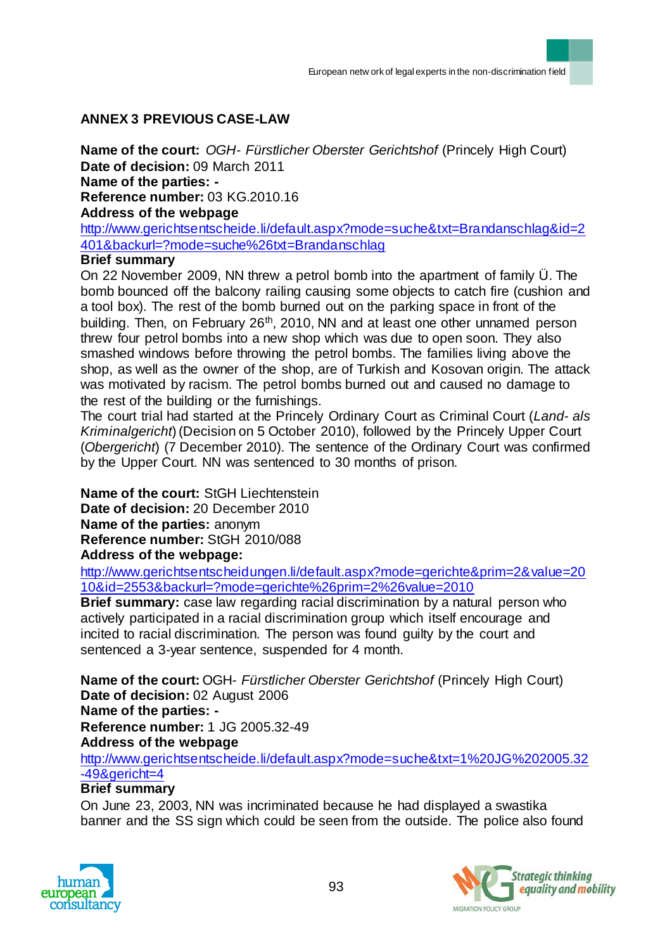# **ANNEX 3 PREVIOUS CASE-LAW**

**Name of the court:** *OGH- Fürstlicher Oberster Gerichtshof* (Princely High Court) **Date of decision:** 09 March 2011 **Name of the parties: - Reference number:** 03 KG.2010.16 **Address of the webpage**

http://www.gerichtsentscheide.li/default.aspx?mode=suche&txt=Brandanschlag&id=2 401&backurl=?mode=suche%26txt=Brandanschlag

## **Brief summary**

On 22 November 2009, NN threw a petrol bomb into the apartment of family Ü. The bomb bounced off the balcony railing causing some objects to catch fire (cushion and a tool box). The rest of the bomb burned out on the parking space in front of the building. Then, on February 26<sup>th</sup>, 2010, NN and at least one other unnamed person threw four petrol bombs into a new shop which was due to open soon. They also smashed windows before throwing the petrol bombs. The families living above the shop, as well as the owner of the shop, are of Turkish and Kosovan origin. The attack was motivated by racism. The petrol bombs burned out and caused no damage to the rest of the building or the furnishings.

The court trial had started at the Princely Ordinary Court as Criminal Court (*Land- als Kriminalgericht*) (Decision on 5 October 2010), followed by the Princely Upper Court (*Obergericht*) (7 December 2010). The sentence of the Ordinary Court was confirmed by the Upper Court. NN was sentenced to 30 months of prison.

**Name of the court:** StGH Liechtenstein **Date of decision:** 20 December 2010 **Name of the parties:** anonym **Reference number:** [StGH 2010/088](http://www.gerichtsentscheidungen.li/default.aspx?mode=gerichte&prim=2&value=2010&id=2553&backurl=?mode=gerichte%26prim=2%26value=2010) **Address of the webpage:**

http://www.gerichtsentscheidungen.li/default.aspx?mode=gerichte&prim=2&value=20 10&id=2553&backurl=?mode=gerichte%26prim=2%26value=2010

**Brief summary:** case law regarding racial discrimination by a natural person who actively participated in a racial discrimination group which itself encourage and incited to racial discrimination. The person was found guilty by the court and sentenced a 3-year sentence, suspended for 4 month.

**Name of the court:** OGH*- Fürstlicher Oberster Gerichtshof* (Princely High Court) **Date of decision:** 02 August 2006 **Name of the parties: - Reference number:** 1 JG 2005.32-49 **Address of the webpage**

http://www.gerichtsentscheide.li/default.aspx?mode=suche&txt=1%20JG%202005.32 -49&gericht=4

## **Brief summary**

On June 23, 2003, NN was incriminated because he had displayed a swastika banner and the SS sign which could be seen from the outside. The police also found



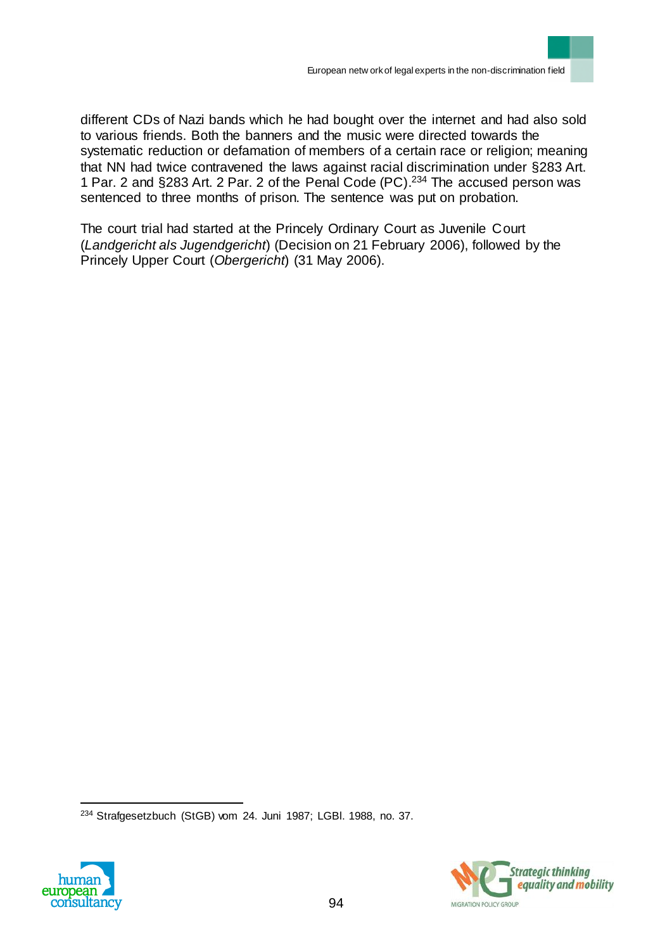different CDs of Nazi bands which he had bought over the internet and had also sold to various friends. Both the banners and the music were directed towards the systematic reduction or defamation of members of a certain race or religion; meaning that NN had twice contravened the laws against racial discrimination under §283 Art. 1 Par. 2 and §283 Art. 2 Par. 2 of the Penal Code (PC). <sup>234</sup> The accused person was sentenced to three months of prison. The sentence was put on probation.

The court trial had started at the Princely Ordinary Court as Juvenile Court (*Landgericht als Jugendgericht*) (Decision on 21 February 2006), followed by the Princely Upper Court (*Obergericht*) (31 May 2006).

 $\overline{a}$ <sup>234</sup> Strafgesetzbuch (StGB) vom 24. Juni 1987; LGBl. 1988, no. 37.



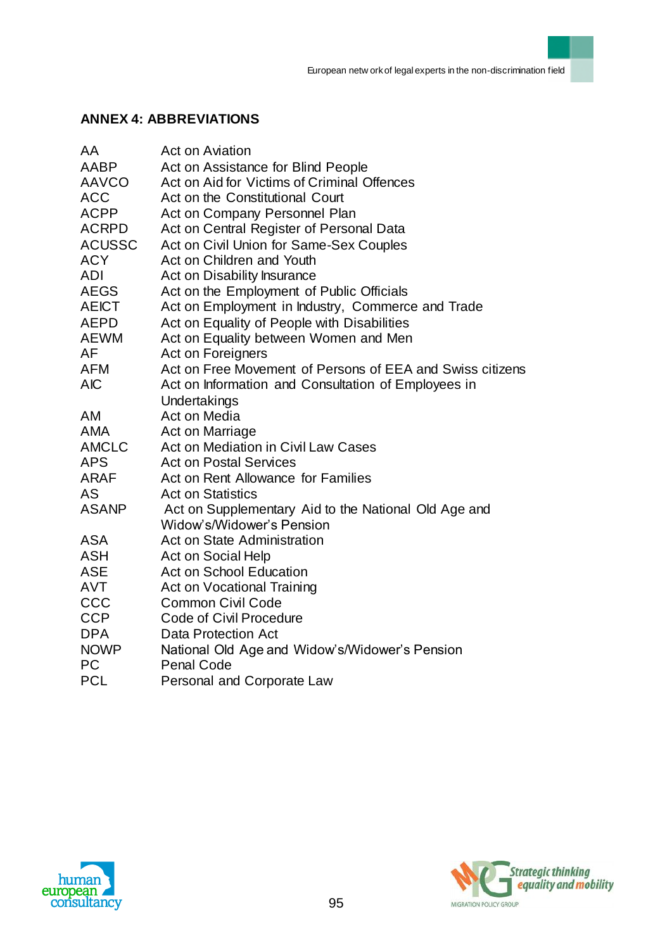# **ANNEX 4: ABBREVIATIONS**

| AA            | <b>Act on Aviation</b>                                    |
|---------------|-----------------------------------------------------------|
| AABP          | Act on Assistance for Blind People                        |
| <b>AAVCO</b>  | Act on Aid for Victims of Criminal Offences               |
| <b>ACC</b>    | Act on the Constitutional Court                           |
| <b>ACPP</b>   | Act on Company Personnel Plan                             |
| <b>ACRPD</b>  | Act on Central Register of Personal Data                  |
| <b>ACUSSC</b> | Act on Civil Union for Same-Sex Couples                   |
| <b>ACY</b>    | Act on Children and Youth                                 |
| <b>ADI</b>    | Act on Disability Insurance                               |
| <b>AEGS</b>   | Act on the Employment of Public Officials                 |
| <b>AEICT</b>  | Act on Employment in Industry, Commerce and Trade         |
| <b>AEPD</b>   | Act on Equality of People with Disabilities               |
| <b>AEWM</b>   | Act on Equality between Women and Men                     |
| AF            | Act on Foreigners                                         |
| <b>AFM</b>    | Act on Free Movement of Persons of EEA and Swiss citizens |
| <b>AIC</b>    | Act on Information and Consultation of Employees in       |
|               | Undertakings                                              |
| AM            | Act on Media                                              |
| <b>AMA</b>    | Act on Marriage                                           |
| <b>AMCLC</b>  | Act on Mediation in Civil Law Cases                       |
| <b>APS</b>    | <b>Act on Postal Services</b>                             |
| <b>ARAF</b>   | Act on Rent Allowance for Families                        |
| <b>AS</b>     | <b>Act on Statistics</b>                                  |
| <b>ASANP</b>  | Act on Supplementary Aid to the National Old Age and      |
|               | Widow's/Widower's Pension                                 |
| <b>ASA</b>    | Act on State Administration                               |
| <b>ASH</b>    | Act on Social Help                                        |
| <b>ASE</b>    | <b>Act on School Education</b>                            |
| <b>AVT</b>    | <b>Act on Vocational Training</b>                         |
| CCC           | <b>Common Civil Code</b>                                  |
| <b>CCP</b>    | Code of Civil Procedure                                   |
| <b>DPA</b>    | Data Protection Act                                       |
| <b>NOWP</b>   | National Old Age and Widow's/Widower's Pension            |
| <b>PC</b>     | <b>Penal Code</b>                                         |
| <b>PCL</b>    | Personal and Corporate Law                                |